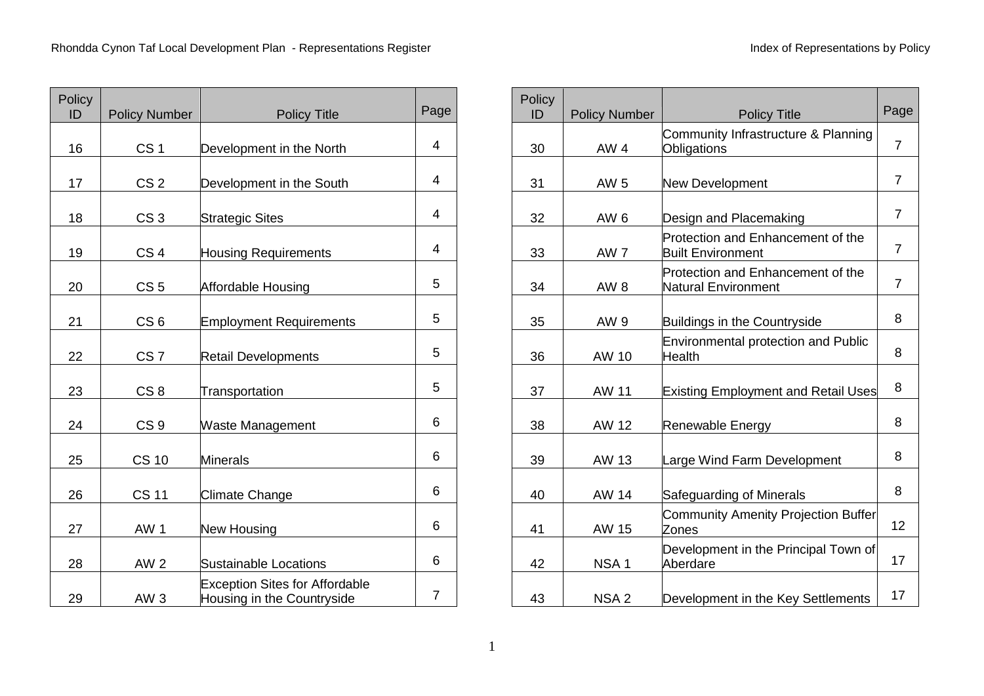| Policy<br>ID | <b>Policy Number</b> | <b>Policy Title</b>                                                 | Page           |
|--------------|----------------------|---------------------------------------------------------------------|----------------|
| 16           | CS <sub>1</sub>      | Development in the North                                            | 4              |
| 17           | CS <sub>2</sub>      | Development in the South                                            | 4              |
| 18           | CS <sub>3</sub>      | <b>Strategic Sites</b>                                              | 4              |
| 19           | CS <sub>4</sub>      | <b>Housing Requirements</b>                                         | 4              |
| 20           | CS <sub>5</sub>      | Affordable Housing                                                  | 5              |
| 21           | CS <sub>6</sub>      | <b>Employment Requirements</b>                                      | 5              |
| 22           | CS <sub>7</sub>      | <b>Retail Developments</b>                                          | 5              |
| 23           | CS <sub>8</sub>      | Transportation                                                      | 5              |
| 24           | CS <sub>9</sub>      | <b>Waste Management</b>                                             | 6              |
| 25           | <b>CS 10</b>         | <b>Minerals</b>                                                     | 6              |
| 26           | <b>CS 11</b>         | <b>Climate Change</b>                                               | 6              |
| 27           | AW <sub>1</sub>      | <b>New Housing</b>                                                  | 6              |
| 28           | <b>AW 2</b>          | <b>Sustainable Locations</b>                                        | 6              |
| 29           | AW <sub>3</sub>      | <b>Exception Sites for Affordable</b><br>Housing in the Countryside | $\overline{7}$ |

| Policy<br>ID | <b>Policy Number</b> | <b>Policy Title</b>                                             | Page           |  |  |
|--------------|----------------------|-----------------------------------------------------------------|----------------|--|--|
| 30           | <b>AW4</b>           | Community Infrastructure & Planning<br>Obligations              | 7              |  |  |
| 31           | AW 5                 | New Development                                                 | $\overline{7}$ |  |  |
| 32           | AW <sub>6</sub>      | Design and Placemaking                                          | $\overline{7}$ |  |  |
| 33           | AW <sub>7</sub>      | Protection and Enhancement of the<br><b>Built Environment</b>   | $\overline{7}$ |  |  |
| 34           | AW <sub>8</sub>      | Protection and Enhancement of the<br><b>Natural Environment</b> | $\overline{7}$ |  |  |
| 35           | AW 9                 | <b>Buildings in the Countryside</b>                             | 8              |  |  |
| 36           | AW 10                | <b>Environmental protection and Public</b><br><b>Health</b>     |                |  |  |
| 37           | <b>AW 11</b>         | <b>Existing Employment and Retail Uses</b>                      | 8              |  |  |
| 38           | AW 12                | Renewable Energy                                                | 8              |  |  |
| 39           | AW 13                | Large Wind Farm Development                                     | 8              |  |  |
| 40           | AW 14                | Safeguarding of Minerals                                        | 8              |  |  |
| 41           | AW 15                | <b>Community Amenity Projection Buffer</b><br>Zones             |                |  |  |
| 42           | NSA <sub>1</sub>     | Development in the Principal Town of<br>Aberdare                | 17             |  |  |
| 43           | NSA <sub>2</sub>     | Development in the Key Settlements                              | 17             |  |  |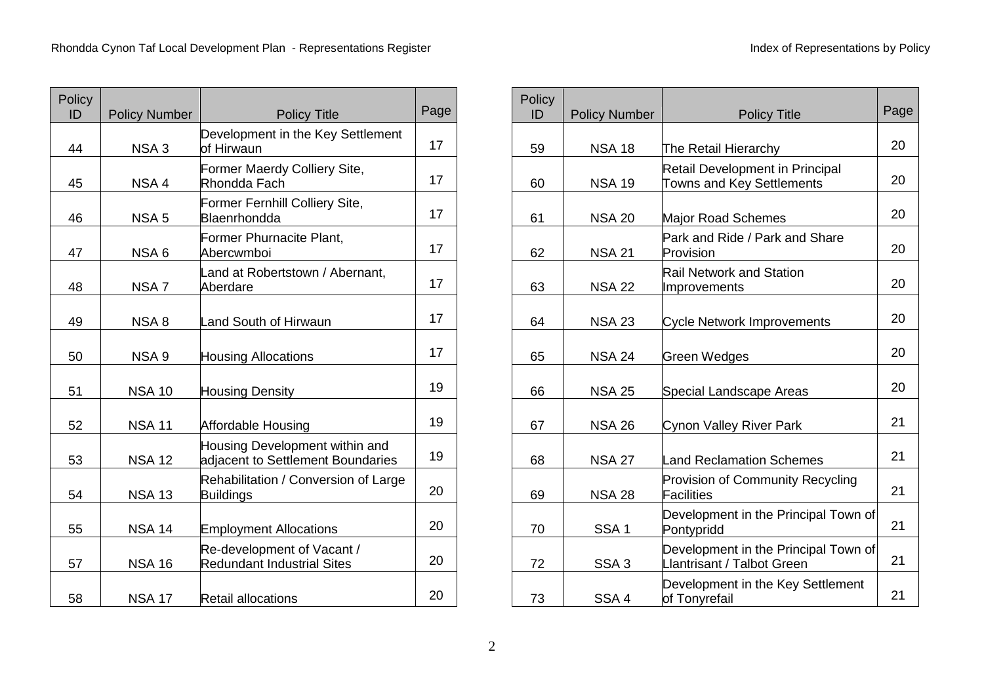| Policy<br>ID | <b>Policy Number</b> | <b>Policy Title</b>                                                 | Page |
|--------------|----------------------|---------------------------------------------------------------------|------|
| 44           | NSA <sub>3</sub>     | Development in the Key Settlement<br>lof Hirwaun                    | 17   |
| 45           | NSA <sub>4</sub>     | Former Maerdy Colliery Site,<br>Rhondda Fach                        | 17   |
| 46           | NSA <sub>5</sub>     | Former Fernhill Colliery Site,<br>Blaenrhondda                      | 17   |
| 47           | NSA 6                | Former Phurnacite Plant,<br>Abercwmboi                              | 17   |
| 48           | NSA <sub>7</sub>     | Land at Robertstown / Abernant,<br>Aberdare                         | 17   |
| 49           | NSA8                 | Land South of Hirwaun                                               | 17   |
| 50           | NSA <sub>9</sub>     | <b>Housing Allocations</b>                                          | 17   |
| 51           | <b>NSA 10</b>        | <b>Housing Density</b>                                              | 19   |
| 52           | <b>NSA 11</b>        | Affordable Housing                                                  | 19   |
| 53           | <b>NSA 12</b>        | Housing Development within and<br>adjacent to Settlement Boundaries | 19   |
| 54           | <b>NSA 13</b>        | Rehabilitation / Conversion of Large<br><b>Buildings</b>            | 20   |
| 55           | <b>NSA 14</b>        | <b>Employment Allocations</b>                                       | 20   |
| 57           | <b>NSA 16</b>        | Re-development of Vacant /<br><b>Redundant Industrial Sites</b>     | 20   |
| 58           | <b>NSA 17</b>        | <b>Retail allocations</b>                                           | 20   |

| Policy<br>ID | <b>Policy Number</b>                                             | <b>Policy Title</b>                                                 |    |  |  |
|--------------|------------------------------------------------------------------|---------------------------------------------------------------------|----|--|--|
| 59           | <b>NSA 18</b>                                                    | The Retail Hierarchy                                                | 20 |  |  |
| 60           | <b>NSA 19</b>                                                    | <b>Retail Development in Principal</b><br>Towns and Key Settlements | 20 |  |  |
| 61           | <b>NSA 20</b>                                                    | Major Road Schemes                                                  | 20 |  |  |
| 62           | Park and Ride / Park and Share<br>Provision<br><b>NSA 21</b>     |                                                                     |    |  |  |
| 63           | <b>Rail Network and Station</b><br><b>NSA 22</b><br>Improvements |                                                                     |    |  |  |
| 64           | <b>NSA 23</b>                                                    | <b>Cycle Network Improvements</b>                                   |    |  |  |
| 65           | <b>NSA 24</b>                                                    | Green Wedges                                                        | 20 |  |  |
| 66           | <b>NSA 25</b>                                                    | Special Landscape Areas                                             | 20 |  |  |
| 67           | <b>NSA 26</b>                                                    | Cynon Valley River Park                                             | 21 |  |  |
| 68           | <b>NSA 27</b>                                                    | Land Reclamation Schemes                                            | 21 |  |  |
| 69           | <b>NSA 28</b>                                                    | Provision of Community Recycling<br><b>Facilities</b>               | 21 |  |  |
| 70           | SSA <sub>1</sub>                                                 | Development in the Principal Town of<br>Pontypridd                  | 21 |  |  |
| 72           | SSA <sub>3</sub>                                                 | Development in the Principal Town of<br>Llantrisant / Talbot Green  |    |  |  |
| 73           | SSA <sub>4</sub>                                                 | Development in the Key Settlement<br>of Tonyrefail                  | 21 |  |  |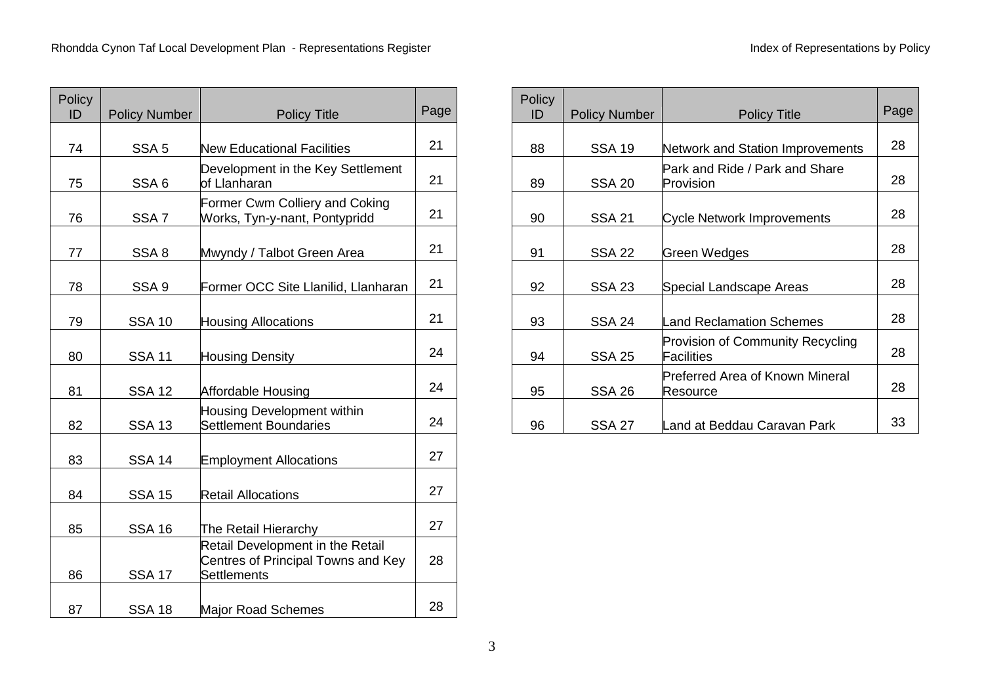| Policy<br>ID | <b>Policy Number</b><br><b>Policy Title</b> |                                                                                       |    |  |  |
|--------------|---------------------------------------------|---------------------------------------------------------------------------------------|----|--|--|
|              |                                             |                                                                                       |    |  |  |
| 74           | SSA <sub>5</sub>                            | <b>New Educational Facilities</b>                                                     | 21 |  |  |
| 75           | SSA <sub>6</sub>                            | Development in the Key Settlement<br>of Llanharan                                     | 21 |  |  |
| 76           | SSA <sub>7</sub>                            | Former Cwm Colliery and Coking<br>Works, Tyn-y-nant, Pontypridd                       | 21 |  |  |
| 77           | SSA 8                                       | Mwyndy / Talbot Green Area                                                            | 21 |  |  |
| 78           | SSA <sub>9</sub>                            | Former OCC Site Llanilid, Llanharan                                                   | 21 |  |  |
| 79           | <b>SSA 10</b>                               | <b>Housing Allocations</b>                                                            | 21 |  |  |
| 80           | <b>SSA 11</b>                               | <b>Housing Density</b>                                                                | 24 |  |  |
| 81           | <b>SSA 12</b>                               | Affordable Housing                                                                    | 24 |  |  |
| 82           | <b>SSA 13</b>                               | <b>Housing Development within</b><br><b>Settlement Boundaries</b>                     | 24 |  |  |
| 83           | <b>SSA 14</b>                               | <b>Employment Allocations</b>                                                         | 27 |  |  |
| 84           | <b>SSA 15</b>                               | <b>Retail Allocations</b>                                                             | 27 |  |  |
| 85           | <b>SSA 16</b>                               | The Retail Hierarchy                                                                  | 27 |  |  |
| 86           | <b>SSA 17</b>                               | Retail Development in the Retail<br>Centres of Principal Towns and Key<br>Settlements | 28 |  |  |
| 87           | <b>SSA 18</b>                               | Major Road Schemes                                                                    | 28 |  |  |

| Policy<br>ID | <b>Policy Number</b> | <b>Policy Title</b>                                   | Page |
|--------------|----------------------|-------------------------------------------------------|------|
| 88           | <b>SSA 19</b>        | Network and Station Improvements                      | 28   |
| 89           | <b>SSA 20</b>        | Park and Ride / Park and Share<br>Provision           | 28   |
| 90           | <b>SSA 21</b>        | <b>Cycle Network Improvements</b>                     | 28   |
| 91           | <b>SSA 22</b>        | Green Wedges                                          | 28   |
| 92           | <b>SSA 23</b>        | Special Landscape Areas                               | 28   |
| 93           | <b>SSA 24</b>        | Land Reclamation Schemes                              | 28   |
| 94           | <b>SSA 25</b>        | <b>Provision of Community Recycling</b><br>Facilities | 28   |
| 95           | <b>SSA 26</b>        | Preferred Area of Known Mineral<br>Resource           | 28   |
| 96           | <b>SSA 27</b>        | Land at Beddau Caravan Park                           | 33   |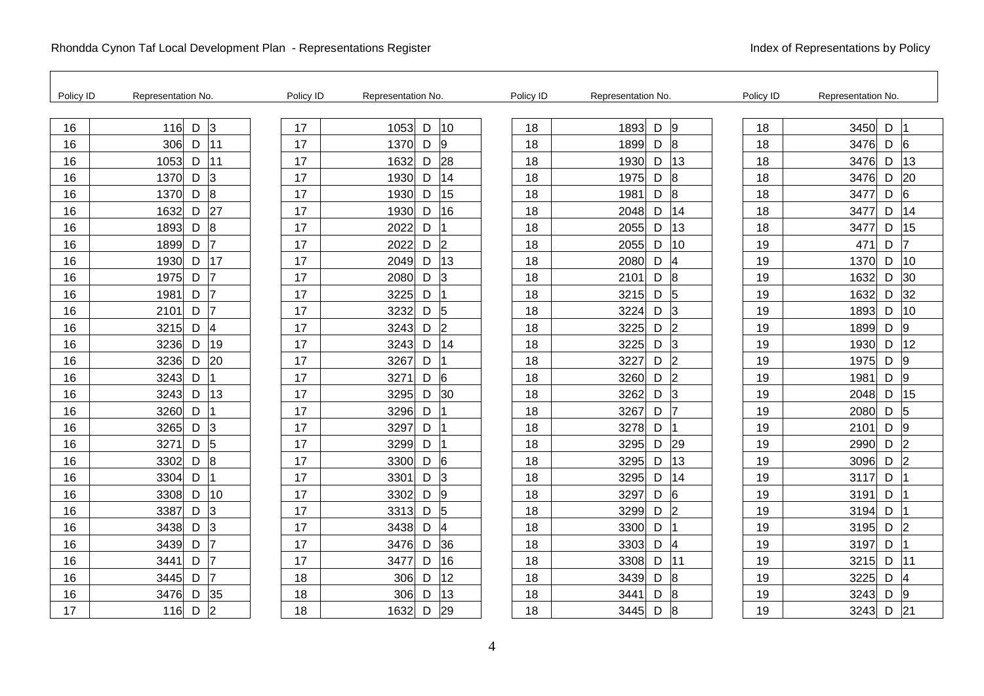| Policy ID | Representation No.          | Policy ID | Representation No. |                     | Policy ID | Representation No.          | Policy ID | Representation No.          |
|-----------|-----------------------------|-----------|--------------------|---------------------|-----------|-----------------------------|-----------|-----------------------------|
| 16        | $\mathsf D$<br>116<br>3     | 17        | 1053               | 10<br>D             | 18        | 1893<br>$\mathsf D$<br> 9   | 18        | 3450<br>D                   |
| 16        | 306<br> 11<br>D             | 17        | 1370               | D<br>19             | 18        | 1899<br>D<br>8              | 18        | 3476<br>$\mathsf D$<br>6    |
| 16        | 11<br>1053<br>D             | 17        | 1632               | 28<br>D             | 18        | 1930<br>D                   | 13<br>18  | 13<br>3476<br>D             |
| 16        | 3<br>1370<br>D              | 17        | 1930               | 14<br>D             | 18        | 8<br>1975<br>D              | 18        | 20<br>3476<br>D             |
| 16        | 8<br>1370<br>D              | 17        | 1930               | 15<br>D             | 18        | 8<br>1981<br>D              | 18        | 6<br>3477<br>D              |
| 16        | 27<br>1632<br>D             | 17        | 1930               | 16<br>D             | 18        | 2048<br>D                   | 18<br>14  | 3477<br>D<br>14             |
| 16        | 8<br>1893<br>D              | 17        | 2022               | D                   | 18        | 2055<br>D                   | 13<br>18  | 15<br>3477<br>D             |
| 16        | D<br>17<br>1899             | 17        | 2022               | 2<br>D              | 18        | 2055<br>D                   | 10<br>19  | D<br>17<br>471              |
| 16        | 17<br>D<br>1930             | 17        | 2049               | 13<br>D             | 18        | 4<br>2080<br>D              | 19        | 10<br>1370<br>D             |
| 16        | $\overline{7}$<br>1975<br>D | 17        | 2080               | D<br>$\overline{3}$ | 18        | 8<br>2101<br>D              | 19        | 30<br>1632<br>D             |
| 16        | 1981<br>D<br>7              | 17        | 3225               | D                   | 18        | $\sqrt{5}$<br>3215<br>D     | 19        | 32<br>1632<br>D             |
| 16        | 2101<br>D<br>7              | 17        | 3232               | D<br>5              | 18        | 3224<br>D<br>3              | 19        | 1893<br>10<br>D             |
| 16        | 4<br>3215<br>D              | 17        | 3243               | 2<br>D              | 18        | 2<br>3225<br>D              | 19        | 1899<br>D<br>9              |
| 16        | 3236<br>19<br>D             | 17        | 3243               | 14<br>D             | 18        | 3225<br>D<br>$\vert$ 3      | 19        | 1930<br>D<br>12             |
| 16        | 3236<br>20<br>D             | 17        | 3267               | D                   | 18        | 3227<br> 2<br>D             | 19        | 1975<br>D<br>9              |
| 16        | 3243<br>D                   | 17        | 3271               | 6<br>D              | 18        | 3260<br>D<br>2              | 19        | 9<br>1981<br>D              |
| 16        | 13<br>3243<br>D             | 17        | 3295               | 30<br>D             | 18        | $\overline{3}$<br>3262<br>D | 19        | 15<br>2048<br>D             |
| 16        | 3260<br>D                   | 17        | 3296               | D                   | 18        | 3267<br>D<br>17             | 19        | 2080<br>D<br>5              |
| 16        | 3265<br>D<br>3              | 17        | 3297               | D                   | 18        | 3278<br>D                   | 19        | 2101<br>D<br>9              |
| 16        | 5<br>3271<br>D              | 17        | 3299               | D                   | 18        | 3295<br>D                   | 29<br>19  | $\overline{2}$<br>2990<br>D |
| 16        | 8<br>D<br>3302              | 17        | 3300               | D<br>6              | 18        | 3295<br>D                   | 13<br>19  | 3096<br>D<br>$\overline{2}$ |
| 16        | 3304<br>D                   | 17        | 3301               | D<br>3              | 18        | 3295<br>D                   | 14<br>19  | 3117<br>D                   |
| 16        | 3308<br>D<br>10             | 17        | 3302               | D<br>9              | 18        | 3297<br>6<br>D              | 19        | 3191<br>D                   |
| 16        | 3<br>3387<br>D              | 17        | 3313               | $\overline{5}$<br>D | 18        | 2<br>3299<br>D              | 19        | D<br>3194                   |
| 16        | 3<br>3438<br>D              | 17        | 3438               | D<br>4              | 18        | 3300<br>D                   | 19        | 3195<br>D<br>$\overline{2}$ |
| 16        | $\overline{7}$<br>3439<br>D | 17        | 3476               | 36<br>D             | 18        | 3303<br>D<br> 4             | 19        | 3197<br>D                   |
| 16        | 3441<br>D                   | 17        | 3477               | 16<br>D             | 18        | 3308<br>D                   | 111<br>19 | 3215<br>D<br>11             |
| 16        | 7<br>3445<br>D              | 18        | 306                | 12<br>D             | 18        | 3439<br>8<br>D              | 19        | 3225<br>D<br>4              |
| 16        | 3476<br>D<br>35             | 18        | 306                | 13<br>D             | 18        | 8<br>3441<br>D              | 19        | 3243<br>D<br>9              |
| 17        | $\overline{2}$<br>D<br>116  | 18        | 1632               | 29<br>D             | 18        | 3445<br>D<br>8              | 19        | 3243<br>D<br>21             |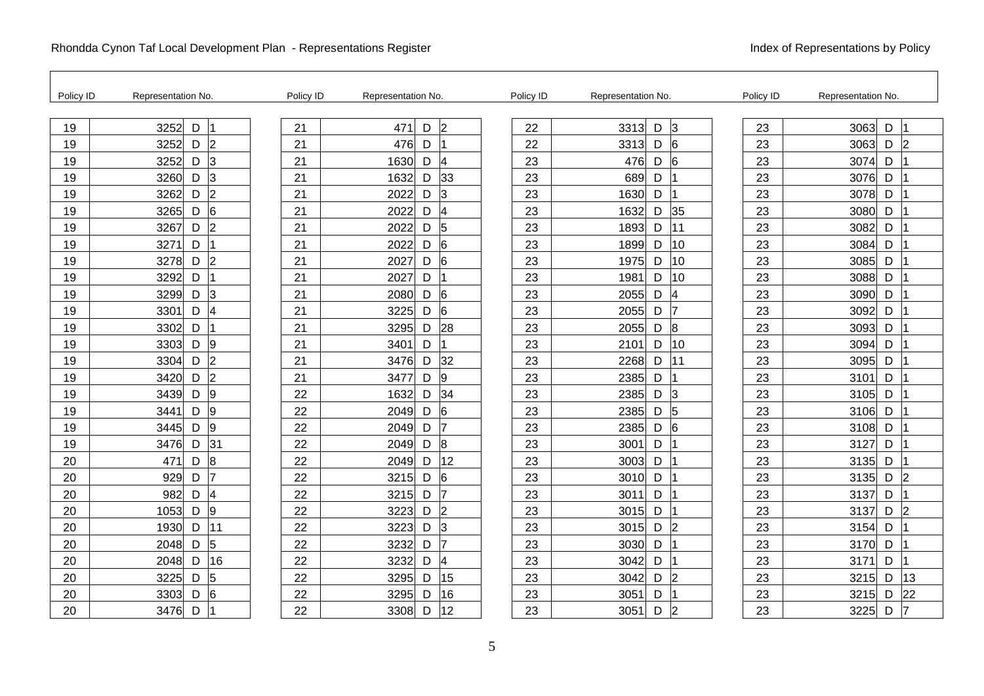| Policy ID | Representation No.                    | Policy ID | Representation No. |                      | Policy ID | Representation No.          | Policy ID | Representation No.          |
|-----------|---------------------------------------|-----------|--------------------|----------------------|-----------|-----------------------------|-----------|-----------------------------|
| 19        | $\mathsf D$<br>3252                   | 21        | 471                | $\overline{2}$<br>D  | 22        | $\overline{3}$<br>3313<br>D | 23        | 3063<br>D                   |
| 19        | $\overline{2}$<br>3252<br>D           | 21        | 476                | D                    | 22        | 3313<br>D<br>6              | 23        | D<br>3063<br>$\overline{2}$ |
| 19        | $\overline{3}$<br>3252<br>D           | 21        | 1630               | D<br>$\overline{4}$  | 23        | $6\overline{6}$<br>476<br>D | 23        | 3074<br>D                   |
| 19        | $\overline{3}$<br>D<br>3260           | 21        | 1632               | 33<br>D              | 23        | 689<br>D                    | 23        | D<br>3076                   |
| 19        | $\overline{2}$<br>$\mathsf D$<br>3262 | 21        | 2022               | D<br>3               | 23        | 1630<br>D                   | 23        | 3078<br>D                   |
| 19        | $6\phantom{.}6$<br>3265<br>D          | 21        | 2022               | D<br>4               | 23        | 1632<br>D                   | 35<br>23  | D<br>3080                   |
| 19        | $\overline{2}$<br>3267<br>D           | 21        | 2022               | D<br>5               | 23        | 1893<br>D                   | 23<br>111 | 3082<br>D                   |
| 19        | D<br>3271                             | 21        | 2022               | $6\phantom{.}6$<br>D | 23        | 1899<br>D                   | 10<br>23  | 3084<br>D                   |
| 19        | $\overline{2}$<br>D<br>3278           | 21        | 2027               | D<br>6               | 23        | 1975<br>D                   | 10<br>23  | D<br>3085                   |
| 19        | 3292<br>D                             | 21        | 2027               | D                    | 23        | 1981<br>D                   | 10<br>23  | D<br>3088                   |
| 19        | 3<br>3299<br>$\mathsf D$              | 21        | 2080               | 6<br>D               | 23        | 4<br>D<br>2055              | 23        | D<br>3090                   |
| 19        | $\overline{\mathcal{A}}$<br>D<br>3301 | 21        | 3225               | 6<br>D               | 23        | 17<br>2055<br>D             | 23        | D<br>3092                   |
| 19        | $\mathsf D$<br>3302                   | 21        | 3295               | 28<br>D              | 23        | l8<br>2055<br>D             | 23        | D<br>3093                   |
| 19        | 9<br>3303<br>D                        | 21        | 3401               | D                    | 23        | 2101<br>D                   | 10<br>23  | 3094<br>D                   |
| 19        | $\overline{2}$<br>3304<br>D           | 21        | 3476               | 32<br>D              | 23        | 2268<br>D                   | 23<br>111 | 3095<br>D                   |
| 19        | $\overline{2}$<br>D<br>3420           | 21        | 3477               | D<br>9               | 23        | 2385<br>D                   | 23        | D<br>3101                   |
| 19        | 9<br>$\mathsf D$<br>3439              | 22        | 1632               | 34<br>D              | 23        | 2385<br>D<br>3              | 23        | D<br>3105                   |
| 19        | 9<br>3441<br>D                        | 22        | 2049               | D<br>6               | 23        | 2385<br>$\overline{5}$<br>D | 23        | D<br>3106                   |
| 19        | 9<br>3445<br>D                        | 22        | 2049               | 7<br>D               | 23        | $\overline{6}$<br>2385<br>D | 23        | D<br>3108                   |
| 19        | 31<br>D<br>3476                       | 22        | 2049               | D<br>8               | 23        | 3001<br>D                   | 23        | 3127<br>D                   |
| 20        | $\bf{8}$<br>D<br>471                  | 22        | 2049               | 12<br>D              | 23        | D<br>3003                   | 23        | D<br>3135                   |
| 20        | 929<br>D                              | 22        | 3215               | D<br>6               | 23        | 3010<br>D                   | 23        | 3135<br>D<br>2              |
| 20        | $\overline{\mathbf{4}}$<br>982<br>D   | 22        | 3215               | 17<br>D              | 23        | 3011<br>D                   | 23        | 3137<br>D                   |
| 20        | 9<br>D<br>1053                        | 22        | 3223               | $\overline{2}$<br>D  | 23        | 3015<br>D                   | 23        | $\overline{2}$<br>3137<br>D |
| 20        | 11<br>D<br>1930                       | 22        | 3223               | D<br>3               | 23        | 3015<br>D<br>12             | 23        | D<br>3154                   |
| 20        | 5<br>2048<br>D                        | 22        | 3232               | 17<br>D              | 23        | 3030<br>D                   | 23        | D<br>3170                   |
| 20        | 16<br>2048<br>D                       | 22        | 3232               | D<br>4               | 23        | 3042<br>D                   | 23        | D<br>3171                   |
| 20        | 5<br>3225<br>D                        | 22        | 3295               | 15<br>D              | 23        | 2<br>3042<br>D              | 23        | 13<br>3215<br>D             |
| 20        | 6<br>3303<br>D                        | 22        | 3295               | 16<br>D              | 23        | 3051<br>D                   | 23        | 3215<br>D<br>22             |
| 20        | 3476<br>D                             | 22        | 3308               | 12<br>D              | 23        | 3051<br>D<br>$\vert$ 2      | 23        | 3225<br>D<br>7              |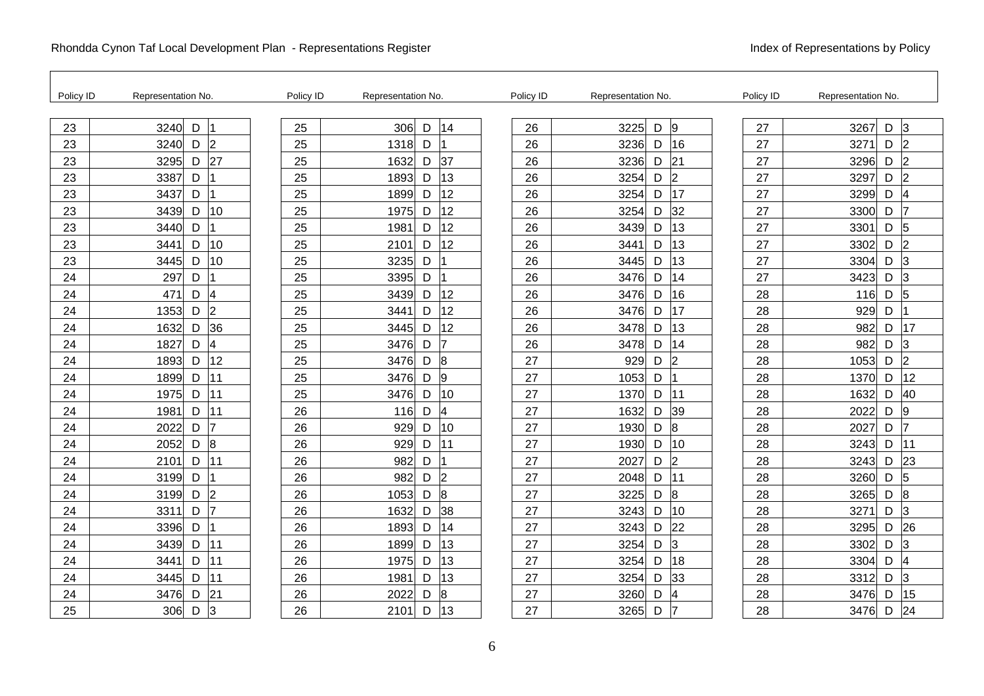| Policy ID | Representation No.          | Policy ID | Representation No. |   |                | Policy ID | Representation No. |   |                | Policy ID | Representation No. |   |                          |
|-----------|-----------------------------|-----------|--------------------|---|----------------|-----------|--------------------|---|----------------|-----------|--------------------|---|--------------------------|
| 23        | $\mathsf D$<br>3240         | 25        | 306                | D | 14             | 26        | 3225               | D | 9              | 27        | 3267               | D | 3                        |
| 23        | $\overline{2}$<br>3240<br>D | 25        | 1318               | D |                | 26        | 3236               | D | 16             | 27        | 3271               | D | 2                        |
| 23        | 27<br>3295<br>D             | 25        | 1632               | D | 37             | 26        | 3236               | D | 21             | 27        | 3296               | D | $\overline{2}$           |
| 23        | 3387<br>D                   | 25        | 1893               | D | 13             | 26        | 3254               | D | $\overline{2}$ | 27        | 3297               | D | $\overline{2}$           |
| 23        | D<br>3437                   | 25        | 1899               | D | 12             | 26        | 3254               | D | 17             | 27        | 3299               | D | $\overline{\mathcal{A}}$ |
| 23        | 10<br>3439<br>D             | 25        | 1975               | D | 12             | 26        | 3254               | D | 32             | 27        | 3300               | D |                          |
| 23        | 3440<br>D                   | 25        | 1981               | D | 12             | 26        | 3439               | D | 13             | 27        | 3301               | D | 5                        |
| 23        | 10<br>3441<br>D             | 25        | 2101               | D | 12             | 26        | 3441               | D | 13             | 27        | 3302               | D | $\overline{2}$           |
| 23        | D<br>10<br>3445             | 25        | 3235               | D |                | 26        | 3445               | D | 13             | 27        | 3304               | D | 3                        |
| 24        | 297<br>D                    | 25        | 3395               | D |                | 26        | 3476               | D | 14             | 27        | 3423               | D | 3                        |
| 24        | 4<br>471<br>D               | 25        | 3439               | D | 12             | 26        | 3476               | D | 16             | 28        | 116                | D | 5                        |
| 24        | $\overline{2}$<br>1353<br>D | 25        | 3441               | D | 12             | 26        | 3476               | D | 17             | 28        | 929                | D |                          |
| 24        | $\mathsf D$<br>36<br>1632   | 25        | 3445               | D | 12             | 26        | 3478               | D | 13             | 28        | 982                | D | 17                       |
| 24        | 4<br>1827<br>D              | 25        | 3476               | D | 17             | 26        | 3478               | D | 14             | 28        | 982                | D | 3                        |
| 24        | 12<br>1893<br>D             | 25        | 3476               | D | $\overline{8}$ | 27        | 929                | D | 2              | 28        | 1053               | D | $\overline{2}$           |
| 24        | 11<br>1899<br>D             | 25        | 3476               | D | 9              | 27        | 1053               | D |                | 28        | 1370               | D | 12                       |
| 24        | 11<br>D<br>1975             | 25        | 3476               | D | 10             | 27        | 1370               | D | 11             | 28        | 1632               | D | 40                       |
| 24        | 11<br>1981<br>D             | 26        | 116                | D | 4              | 27        | 1632               | D | 39             | 28        | 2022               | D | 9                        |
| 24        | 2022<br>D                   | 26        | 929                | D | 10             | 27        | 1930               | D | $\overline{8}$ | 28        | 2027               | D | 7                        |
| 24        | 8<br>2052<br>D              | 26        | 929                | D | 11             | 27        | 1930               | D | 10             | 28        | 3243               | D | 11                       |
| 24        | 11<br>D<br>2101             | 26        | 982                | D |                | 27        | 2027               | D | 2              | 28        | 3243               | D | 23                       |
| 24        | 3199<br>D                   | 26        | 982                | D | $\overline{2}$ | 27        | 2048               | D | 11             | 28        | 3260               | D | 5                        |
| 24        | $\overline{2}$<br>D<br>3199 | 26        | 1053               | D | $\overline{8}$ | 27        | 3225               | D | $\overline{8}$ | 28        | 3265               | D | 8                        |
| 24        | $\overline{7}$<br>3311<br>D | 26        | 1632               | D | 38             | 27        | 3243               | D | 10             | 28        | 3271               | D | 3                        |
| 24        | D<br>3396                   | 26        | 1893               | D | 14             | 27        | 3243               | D | 22             | 28        | 3295               | D | 26                       |
| 24        | 11<br>3439<br>D             | 26        | 1899               | D | 13             | 27        | 3254               | D | 3              | 28        | 3302               | D | 3                        |
| 24        | 3441<br>11<br>D             | 26        | 1975               | D | 13             | 27        | 3254               | D | 18             | 28        | 3304               | D | $\overline{4}$           |
| 24        | 11<br>3445<br>D             | 26        | 1981               | D | 13             | 27        | 3254               | D | 33             | 28        | 3312               | D | 3                        |
| 24        | 3476<br>D<br> 21            | 26        | 2022               | D | 8              | 27        | 3260               | D | 4              | 28        | 3476               | D | 15                       |
| 25        | 3<br>306<br>D               | 26        | 2101               | D | 13             | 27        | 3265               | D | 17             | 28        | 3476               | D | 24                       |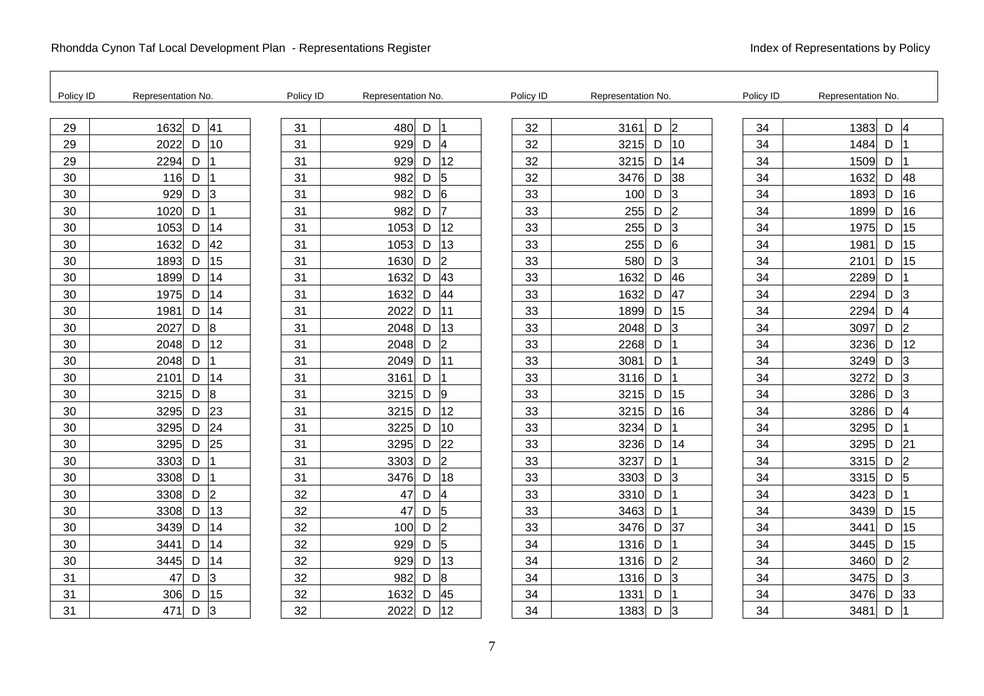| Policy ID | Representation No.          | Policy ID | Representation No. |   |                | Policy ID | Representation No. |   |                | Policy ID | Representation No. |   |                |
|-----------|-----------------------------|-----------|--------------------|---|----------------|-----------|--------------------|---|----------------|-----------|--------------------|---|----------------|
| 29        | $\mathsf D$<br>41<br>1632   | 31        | 480                | D | $\overline{1}$ | 32        | 3161               | D | $\overline{2}$ | 34        | 1383               | D | 4              |
| 29        | 10<br>2022<br>D             | 31        | 929                | D | 4              | 32        | 3215               | D | 10             | 34        | 1484               | D |                |
| 29        | 2294<br>D                   | 31        | 929                | D | 12             | 32        | 3215               | D | 14             | 34        | 1509               | D |                |
| 30        | D<br>116                    | 31        | 982                | D | $\overline{5}$ | 32        | 3476               | D | 38             | 34        | 1632               | D | 48             |
| 30        | 3<br>929<br>D               | 31        | 982                | D | 6              | 33        | 100                | D | 3              | 34        | 1893               | D | 16             |
| 30        | 1020<br>D                   | 31        | 982                | D | 17             | 33        | 255                | D | l2             | 34        | 1899               | D | 16             |
| 30        | 14<br>1053<br>D             | 31        | 1053               | D | 12             | 33        | 255                | D | 3              | 34        | 1975               | D | 15             |
| 30        | 42<br>1632<br>D             | 31        | 1053               | D | 13             | 33        | 255                | D | 6              | 34        | 1981               | D | 15             |
| 30        | 15<br>D<br>1893             | 31        | 1630               | D | $\overline{2}$ | 33        | 580                | D | 3              | 34        | 2101               | D | 15             |
| 30        | 14<br>1899<br>D             | 31        | 1632               | D | 43             | 33        | 1632               | D | 46             | 34        | 2289               | D |                |
| 30        | 14<br>1975<br>D             | 31        | 1632               | D | 44             | 33        | 1632               | D | 47             | 34        | 2294               | D | 3              |
| 30        | 14<br>1981<br>D             | 31        | 2022               | D | 111            | 33        | 1899               | D | 15             | 34        | 2294               | D | $\overline{4}$ |
| 30        | $\overline{8}$<br>D<br>2027 | 31        | 2048               | D | 13             | 33        | 2048               | D | lЗ             | 34        | 3097               | D | $\overline{2}$ |
| 30        | 12<br>2048<br>D             | 31        | 2048               | D | $\overline{2}$ | 33        | 2268               | D |                | 34        | 3236               | D | 12             |
| 30        | 2048<br>D                   | 31        | 2049               | D | 11             | 33        | 3081               | D |                | 34        | 3249               | D | 3              |
| 30        | D<br>14<br>2101             | 31        | 3161               | D |                | 33        | 3116               | D |                | 34        | 3272               | D | 3              |
| 30        | $\overline{8}$<br>D<br>3215 | 31        | 3215               | D | 9              | 33        | 3215               | D | 15             | 34        | 3286               | D | 3              |
| 30        | 23<br>3295<br>D             | 31        | 3215               | D | 12             | 33        | 3215               | D | 16             | 34        | 3286               | D | 4              |
| 30        | 24<br>3295<br>D             | 31        | 3225               | D | 10             | 33        | 3234               | D |                | 34        | 3295               | D |                |
| 30        | 25<br>3295<br>D             | 31        | 3295               | D | 22             | 33        | 3236               | D | 14             | 34        | 3295               | D | 21             |
| 30        | D<br>3303                   | 31        | 3303               | D | $\overline{2}$ | 33        | 3237               | D |                | 34        | 3315               | D | $\overline{2}$ |
| 30        | D<br>3308                   | 31        | 3476               | D | 18             | 33        | 3303               | D | 3              | 34        | 3315               | D | 5              |
| 30        | $\overline{2}$<br>D<br>3308 | 32        | 47                 | D | 4              | 33        | 3310               | D |                | 34        | 3423               | D |                |
| 30        | 13<br>D<br>3308             | 32        | 47                 | D | 5              | 33        | 3463               | D |                | 34        | 3439               | D | 15             |
| 30        | 14<br>D<br>3439             | 32        | 100                | D | $\overline{2}$ | 33        | 3476               | D | 37             | 34        | 3441               | D | 15             |
| 30        | 14<br>3441<br>D             | 32        | 929                | D | 5              | 34        | 1316               | D |                | 34        | 3445               | D | 15             |
| 30        | 3445<br>14<br>D             | 32        | 929                | D | 13             | 34        | 1316               | D | $\mathsf{Z}$   | 34        | 3460               | D | $\overline{2}$ |
| 31        | 3<br>47<br>D                | 32        | 982                | D | 8              | 34        | 1316               | D | 3              | 34        | 3475               | D | 3              |
| 31        | 15<br>306<br>D              | 32        | 1632               | D | 45             | 34        | 1331               | D |                | 34        | 3476               | D | 33             |
| 31        | 471<br>D<br>3               | 32        | 2022               | D | 12             | 34        | 1383               | D | $\overline{3}$ | 34        | 3481               | D |                |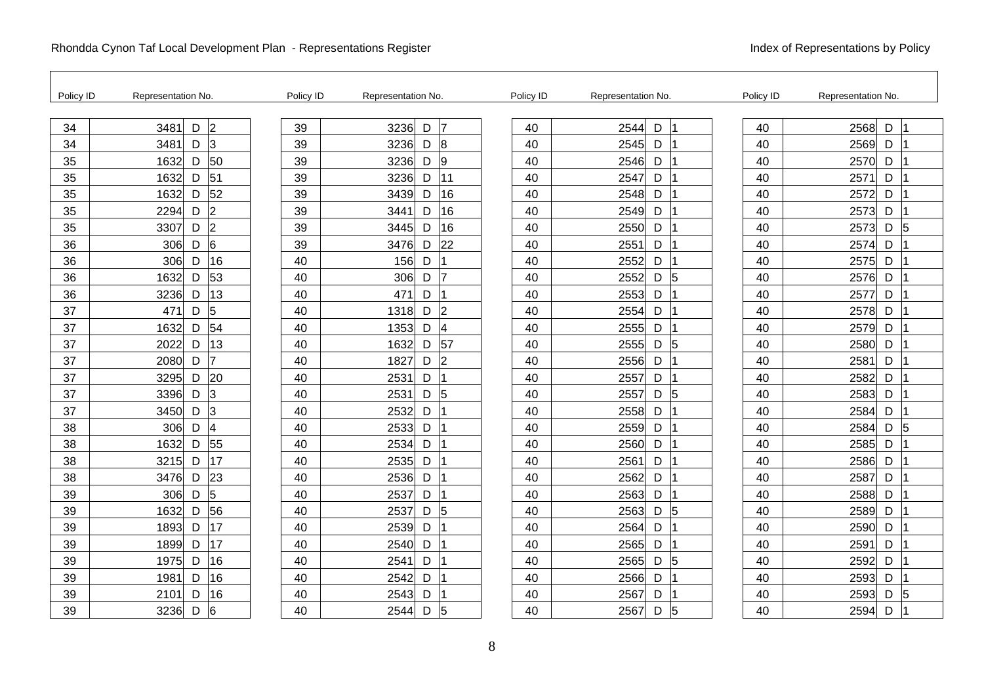F

| Policy ID | Representation No.                | Policy ID | Representation No.                    | Policy ID | Representation No.          | Policy ID | Representation No. |
|-----------|-----------------------------------|-----------|---------------------------------------|-----------|-----------------------------|-----------|--------------------|
| 34        | $\vert$ <sub>2</sub><br>D<br>3481 | 39        | 17<br>3236<br>D                       | 40        | $\mathsf D$<br>2544         | 40        | 2568<br>D          |
| 34        | 3<br>3481<br>D                    | 39        | 8<br>3236<br>D                        | 40        | 2545<br>D                   | 40        | 2569<br>D          |
| 35        | 1632<br>50<br>D                   | 39        | 3236<br>9<br>D                        | 40        | 2546<br>D                   | 40        | 2570<br>D          |
| 35        | 51<br>1632<br>D                   | 39        | 11<br>3236<br>D                       | 40        | 2547<br>D                   | 40        | D<br>2571          |
| 35        | 52<br>D<br>1632                   | 39        | 16<br>3439<br>D                       | 40        | 2548<br>D                   | 40        | 2572<br>D          |
| 35        | $\overline{2}$<br>2294<br>D       | 39        | 16<br>3441<br>D                       | 40        | 2549<br>D                   | 40        | 2573<br>D          |
| 35        | $\overline{2}$<br>3307<br>D       | 39        | 16<br>3445<br>D                       | 40        | 2550<br>D                   | 40        | 2573<br>D<br>5     |
| 36        | $6\overline{6}$<br>306<br>D       | 39        | 22<br>3476<br>D                       | 40        | 2551<br>D                   | 40        | 2574<br>D          |
| 36        | 16<br>306<br>D                    | 40        | D<br>156                              | 40        | D<br>2552                   | 40        | D<br>2575          |
| 36        | 53<br>1632<br>D                   | 40        | 7<br>306<br>D                         | 40        | 2552<br>D<br>$\overline{5}$ | 40        | D<br>2576          |
| 36        | 13<br>3236<br>D                   | 40        | 471<br>D                              | 40        | 2553<br>D                   | 40        | 2577<br>D          |
| 37        | 5<br>471<br>D                     | 40        | $\overline{2}$<br>1318<br>D           | 40        | 2554<br>D                   | 40        | D<br>2578          |
| 37        | 54<br>D<br>1632                   | 40        | $\overline{\mathcal{A}}$<br>D<br>1353 | 40        | 2555<br>D                   | 40        | 2579<br>D          |
| 37        | 13<br>2022<br>D                   | 40        | 57<br>1632<br>D                       | 40        | 2555<br>D<br>5              | 40        | D<br>2580          |
| 37        | D<br>2080                         | 40        | $\overline{2}$<br>1827<br>D           | 40        | 2556<br>D                   | 40        | 2581<br>D          |
| 37        | 20<br>3295<br>D                   | 40        | 2531<br>D                             | 40        | D<br>2557                   | 40        | D<br>2582          |
| 37        | 3<br>D<br>3396                    | 40        | 5<br>D<br>2531                        | 40        | 5<br>D<br>2557              | 40        | D<br>2583          |
| 37        | 3<br>3450<br>D                    | 40        | 2532<br>D                             | 40        | 2558<br>D                   | 40        | 2584<br>D          |
| 38        | 4<br>306<br>$\mathsf D$           | 40        | 2533<br>D                             | 40        | 2559<br>D                   | 40        | 2584<br>D<br>5     |
| 38        | 55<br>1632<br>D                   | 40        | 2534<br>D                             | 40        | 2560<br>D                   | 40        | D<br>2585          |
| 38        | 17<br>3215<br>D                   | 40        | D<br>2535                             | 40        | 2561<br>D                   | 40        | D<br>2586          |
| 38        | 23<br>3476<br>D                   | 40        | 2536<br>D                             | 40        | 2562<br>D                   | 40        | 2587<br>D          |
| 39        | 5<br>306<br>D                     | 40        | 2537<br>D                             | 40        | 2563<br>D                   | 40        | 2588<br>D          |
| 39        | 56<br>1632<br>D                   | 40        | 5<br>D<br>2537                        | 40        | $\mathsf D$<br>2563<br>5    | 40        | D<br>2589          |
| 39        | 17<br>1893<br>D                   | 40        | D<br>2539                             | 40        | $\mathsf D$<br>2564         | 40        | D<br>2590          |
| 39        | 17<br>1899<br>D                   | 40        | D<br>2540                             | 40        | 2565<br>D                   | 40        | D<br>2591          |
| 39        | 1975<br>16<br>D                   | 40        | D<br>2541                             | 40        | 2565<br>$D \vert 5$         | 40        | 2592<br>D          |
| 39        | 16<br>1981<br>D                   | 40        | 2542<br>D                             | 40        | 2566<br>D                   | 40        | D<br>2593          |
| 39        | 16<br>D<br>2101                   | 40        | 2543<br>D                             | 40        | 2567<br>D                   | 40        | 2593<br>D<br>5     |
| 39        | 6<br>3236<br>D                    | 40        | 5<br>D<br>2544                        | 40        | 5<br>D<br>2567              | 40        | 2594<br>D          |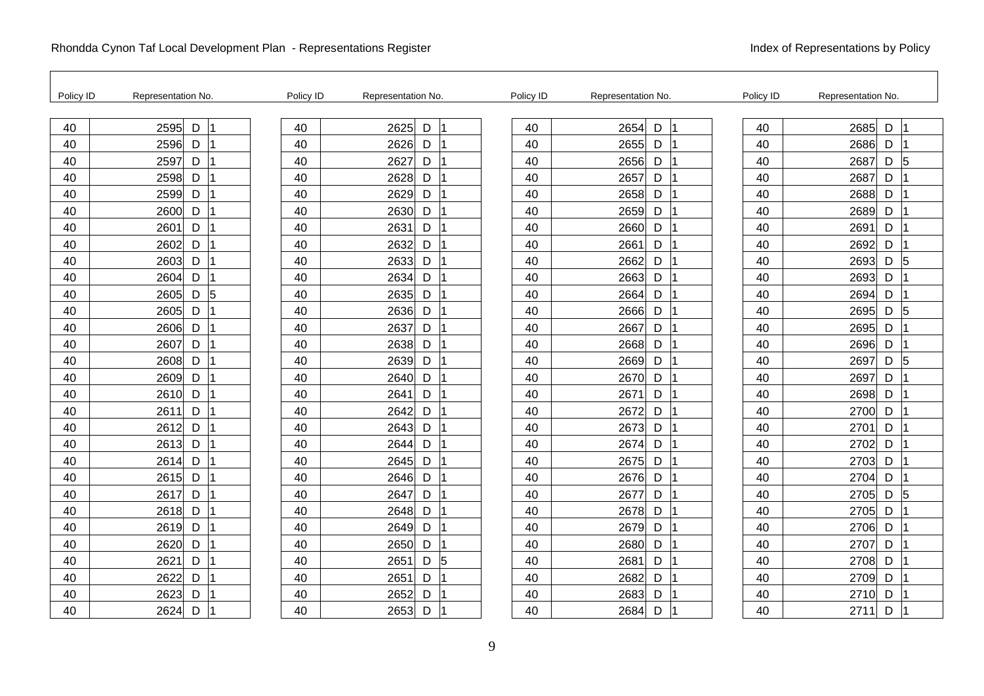| Policy ID | Representation No.      | Policy ID | Representation No. |        | Policy ID | Representation No. | Policy ID | Representation No.          |
|-----------|-------------------------|-----------|--------------------|--------|-----------|--------------------|-----------|-----------------------------|
| 40        | $\mathsf D$<br>2595     | 40        | 2625               | D<br>1 | 40        | 2654<br>D          | 40        | 2685<br>$\mathsf D$         |
| 40        | 2596<br>D               | 40        | 2626<br>D          |        | 40        | D<br>2655          | 40        | 2686<br>$\mathsf D$         |
| 40        | 2597<br>D               | 40        | 2627<br>D          |        | 40        | 2656<br>D          | 40        | 2687<br>$\overline{5}$<br>D |
| 40        | 2598<br>D               | 40        | 2628<br>D          |        | 40        | 2657<br>D          | 40        | 2687<br>D                   |
| 40        | 2599<br>D               | 40        | 2629<br>D          |        | 40        | 2658<br>D          | 40        | 2688<br>D                   |
| 40        | 2600<br>D               | 40        | 2630<br>D          |        | 40        | 2659<br>D          | 40        | 2689<br>D                   |
| 40        | D<br>2601               | 40        | 2631<br>D          |        | 40        | 2660<br>D          | 40        | 2691<br>D                   |
| 40        | $\mathsf D$<br>2602     | 40        | D<br>2632          |        | 40        | D<br>2661          | 40        | D<br>2692                   |
| 40        | D<br>2603               | 40        | 2633<br>D          |        | 40        | 2662<br>D          | 40        | $\overline{5}$<br>2693<br>D |
| 40        | 2604<br>D               | 40        | 2634<br>D          |        | 40        | 2663<br>D          | 40        | 2693<br>D                   |
| 40        | $\sqrt{5}$<br>2605<br>D | 40        | 2635<br>D          |        | 40        | 2664<br>D          | 40        | 2694<br>D                   |
| 40        | 2605<br>D               | 40        | 2636<br>D          |        | 40        | D<br>2666          | 40        | 5<br>2695<br>D              |
| 40        | D<br>2606               | 40        | 2637<br>D          |        | 40        | 2667<br>D          | 40        | 2695<br>D                   |
| 40        | 2607<br>D               | 40        | 2638<br>D          |        | 40        | 2668<br>D          | 40        | 2696<br>D                   |
| 40        | D<br>2608               | 40        | 2639<br>D          |        | 40        | 2669<br>D          | 40        | 2697<br>D<br>5              |
| 40        | D<br>2609               | 40        | D<br>2640          |        | 40        | D<br>2670          | 40        | D<br>2697                   |
| 40        | D<br>2610               | 40        | 2641<br>D          |        | 40        | 2671<br>D          | 40        | 2698<br>D                   |
| 40        | 2611<br>D               | 40        | 2642<br>D          |        | 40        | 2672<br>D          | 40        | 2700<br>D                   |
| 40        | 2612<br>D               | 40        | 2643<br>D          |        | 40        | 2673<br>D          | 40        | 2701<br>D                   |
| 40        | D<br>2613               | 40        | 2644<br>D          |        | 40        | D<br>2674          | 40        | 2702<br>D                   |
| 40        | D<br>2614               | 40        | 2645<br>D          |        | 40        | D<br>2675          | 40        | 2703<br>D                   |
| 40        | 2615<br>D               | 40        | 2646<br>D          |        | 40        | 2676<br>D          | 40        | D<br>2704                   |
| 40        | 2617<br>D               | 40        | 2647<br>D          |        | 40        | 2677<br>D          | 40        | 5<br>2705<br>D              |
| 40        | D<br>2618               | 40        | 2648<br>D          |        | 40        | D<br>2678          | 40        | 2705<br>D                   |
| 40        | D<br>2619               | 40        | 2649<br>D          |        | 40        | D<br>2679          | 40        | 2706<br>D                   |
| 40        | 2620<br>D               | 40        | 2650<br>D          |        | 40        | D<br>2680          | 40        | D<br>2707                   |
| 40        | 2621<br>D               | 40        | 2651<br>D          | 5      | 40        | 2681<br>D          | 40        | 2708<br>D                   |
| 40        | D<br>2622               | 40        | D<br>2651          |        | 40        | 2682<br>D          | 40        | D<br>2709                   |
| 40        | D<br>2623               | 40        | 2652<br>D          |        | 40        | D<br>2683          | 40        | 2710<br>D                   |
| 40        | 2624<br>D               | 40        | 2653<br>D          |        | 40        | 2684<br>D          | 40        | D<br>2711                   |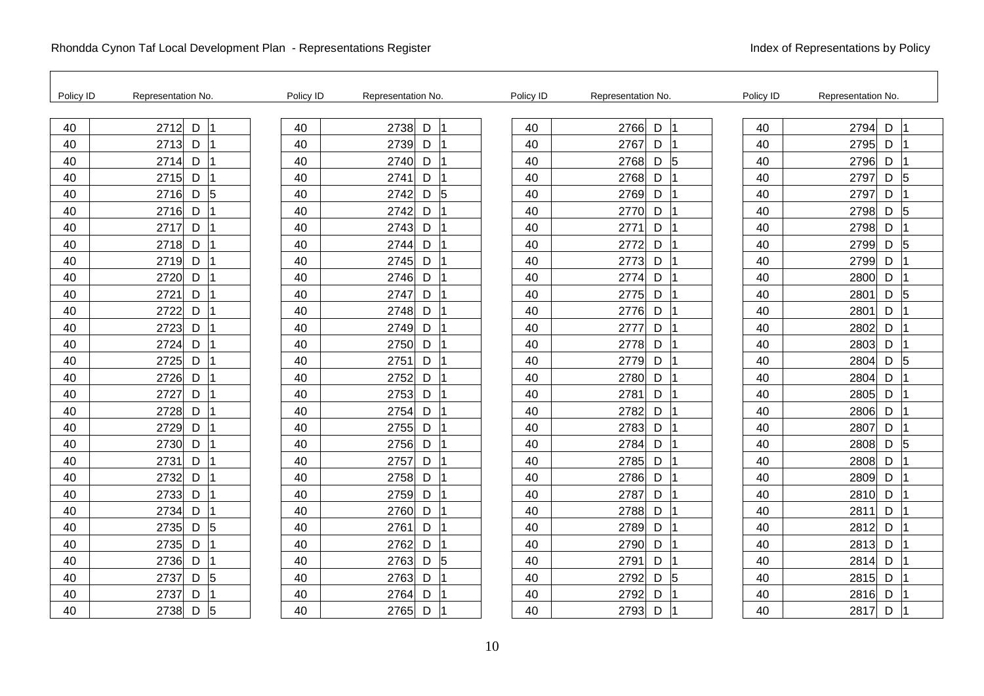| Policy ID | Representation No.          | Policy ID | Representation No.          | Policy ID | Representation No.          | Policy ID | Representation No.          |
|-----------|-----------------------------|-----------|-----------------------------|-----------|-----------------------------|-----------|-----------------------------|
| 40        | 2712<br>D                   | 40        | 2738<br>D<br>$\overline{1}$ | 40        | 2766<br>D                   | 40        | 2794<br>D                   |
| 40        | 2713<br>D                   | 40        | 2739<br>D                   | 40        | 2767<br>D                   | 40        | 2795<br>D                   |
| 40        | 2714<br>D                   | 40        | 2740<br>D                   | 40        | $\sqrt{5}$<br>2768<br>D     | 40        | 2796<br>D                   |
| 40        | 2715<br>D                   | 40        | 2741<br>D                   | 40        | 2768<br>D                   | 40        | D<br>5<br>2797              |
| 40        | $\overline{5}$<br>D<br>2716 | 40        | 2742<br>D<br>5              | 40        | 2769<br>D                   | 40        | 2797<br>D                   |
| 40        | D<br>2716                   | 40        | 2742<br>D                   | 40        | D<br>2770                   | 40        | 2798<br>D<br>$\overline{5}$ |
| 40        | 2717<br>D                   | 40        | 2743<br>D                   | 40        | 2771<br>D                   | 40        | 2798<br>D                   |
| 40        | 2718<br>D                   | 40        | 2744<br>D                   | 40        | D<br>2772                   | 40        | 5<br>2799<br>D              |
| 40        | D<br>2719                   | 40        | 2745<br>D                   | 40        | 2773<br>D                   | 40        | 2799<br>D                   |
| 40        | 2720<br>D                   | 40        | 2746<br>D                   | 40        | D<br>2774                   | 40        | 2800<br>$\mathsf D$         |
| 40        | 2721<br>D                   | 40        | 2747<br>D                   | 40        | 2775<br>D                   | 40        | 2801<br>$\overline{5}$<br>D |
| 40        | D<br>2722                   | 40        | 2748<br>D                   | 40        | D<br>2776                   | 40        | D<br>2801                   |
| 40        | D<br>2723                   | 40        | 2749<br>D                   | 40        | D<br>2777                   | 40        | 2802<br>D                   |
| 40        | 2724<br>D                   | 40        | 2750<br>D                   | 40        | 2778<br>D                   | 40        | 2803<br>D                   |
| 40        | D<br>2725                   | 40        | 2751<br>D                   | 40        | D<br>2779                   | 40        | $\overline{5}$<br>2804<br>D |
| 40        | D<br>2726                   | 40        | 2752<br>D                   | 40        | 2780<br>D                   | 40        | 2804<br>D                   |
| 40        | D<br>2727                   | 40        | 2753<br>D                   | 40        | 2781<br>D                   | 40        | 2805<br>D                   |
| 40        | 2728<br>D                   | 40        | 2754<br>D                   | 40        | 2782<br>D                   | 40        | 2806<br>D                   |
| 40        | D<br>2729                   | 40        | 2755<br>D                   | 40        | 2783<br>D                   | 40        | 2807<br>D                   |
| 40        | 2730<br>D                   | 40        | 2756<br>D                   | 40        | 2784<br>D                   | 40        | 2808<br>D<br>5              |
| 40        | D<br>2731                   | 40        | 2757<br>D                   | 40        | 2785<br>D                   | 40        | 2808<br>D                   |
| 40        | 2732<br>$\mathsf D$         | 40        | 2758<br>D                   | 40        | 2786<br>D                   | 40        | 2809<br>D                   |
| 40        | 2733<br>D                   | 40        | 2759<br>D                   | 40        | D<br>2787                   | 40        | D<br>2810                   |
| 40        | D<br>2734                   | 40        | D<br>2760                   | 40        | 2788<br>D                   | 40        | D<br>2811                   |
| 40        | 5<br>2735<br>D              | 40        | 2761<br>D                   | 40        | 2789<br>D                   | 40        | 2812<br>D                   |
| 40        | 2735<br>D                   | 40        | 2762<br>D                   | 40        | 2790<br>D                   | 40        | 2813<br>D                   |
| 40        | 2736<br>D                   | 40        | 2763<br>D<br>5              | 40        | 2791<br>D                   | 40        | 2814<br>D                   |
| 40        | $\overline{5}$<br>D<br>2737 | 40        | D<br>2763                   | 40        | $\overline{5}$<br>D<br>2792 | 40        | 2815<br>D                   |
| 40        | 2737<br>D                   | 40        | 2764<br>D                   | 40        | 2792<br>D                   | 40        | D<br>2816                   |
| 40        | 2738<br>D<br>5              | 40        | D<br>2765                   | 40        | 2793<br>D                   | 40        | D<br>2817                   |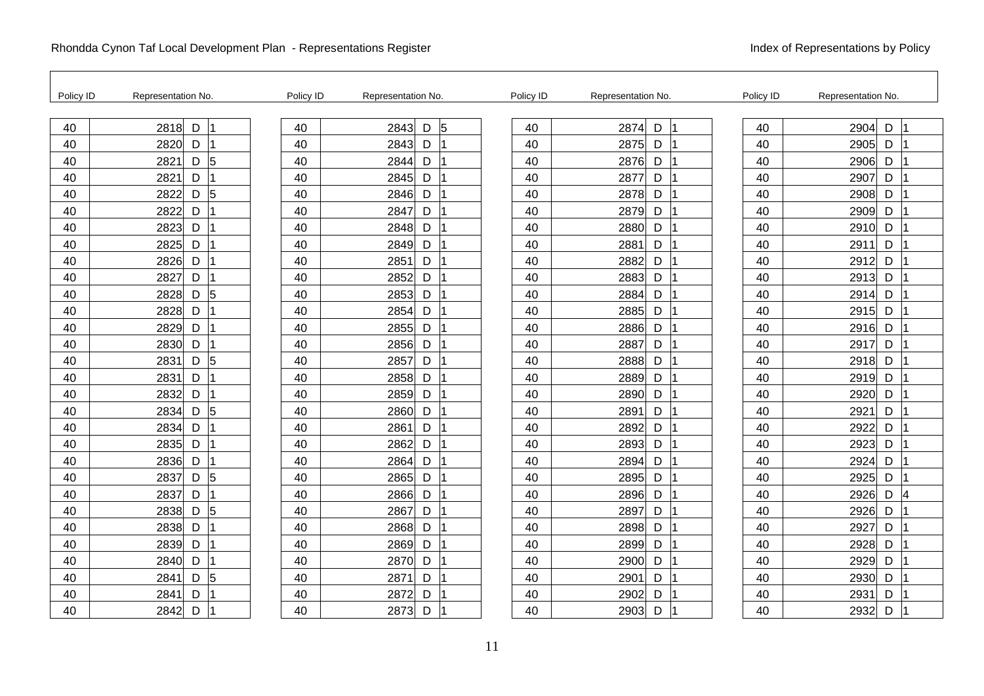| Policy ID | Representation No.                    | Policy ID | Representation No. |         | Policy ID | Representation No. | Policy ID | Representation No. |
|-----------|---------------------------------------|-----------|--------------------|---------|-----------|--------------------|-----------|--------------------|
| 40        | 2818<br>$\mathsf D$                   | 40        | 2843               | 5<br>D  | 40        | 2874<br>D          | 40        | 2904<br>D          |
| 40        | 2820<br>D                             | 40        | 2843               | D       | 40        | 2875<br>D          | 40        | 2905<br>D          |
| 40        | $D \vert 5$<br>2821                   | 40        | 2844               | D       | 40        | 2876<br>D          | 40        | 2906<br>D          |
| 40        | 2821<br>D                             | 40        | 2845               | D       | 40        | 2877<br>D          | 40        | 2907<br>D          |
| 40        | $\overline{5}$<br>$\mathsf D$<br>2822 | 40        | 2846               | D       | 40        | D<br>2878          | 40        | 2908<br>D          |
| 40        | 2822<br>D                             | 40        | 2847               | D       | 40        | 2879<br>D          | 40        | 2909<br>D          |
| 40        | 2823<br>D                             | 40        | 2848               | D       | 40        | 2880<br>D          | 40        | 2910<br>D          |
| 40        | 2825<br>D                             | 40        | 2849               | D<br>11 | 40        | 2881<br>D          | 40        | D<br>2911          |
| 40        | 2826<br>D                             | 40        | 2851               | D       | 40        | 2882<br>D          | 40        | 2912<br>D          |
| 40        | 2827<br>D                             | 40        | 2852               | D       | 40        | 2883<br>D          | 40        | 2913<br>D          |
| 40        | $\overline{5}$<br>2828<br>D           | 40        | 2853               | D       | 40        | 2884<br>D          | 40        | 2914<br>D          |
| 40        | 2828<br>D                             | 40        | 2854               | D       | 40        | D<br>2885          | 40        | 2915<br>D          |
| 40        | 2829<br>D                             | 40        | 2855               | D       | 40        | 2886<br>D          | 40        | 2916<br>D          |
| 40        | 2830<br>D                             | 40        | 2856               | D       | 40        | 2887<br>D          | 40        | 2917<br>D          |
| 40        | $\sqrt{5}$<br>2831<br>D               | 40        | 2857               | D       | 40        | 2888<br>D          | 40        | 2918<br>D          |
| 40        | $\mathsf D$<br>2831                   | 40        | 2858               | D<br>11 | 40        | D<br>2889          | 40        | 2919<br>D          |
| 40        | D<br>2832                             | 40        | 2859               | D       | 40        | 2890<br>D          | 40        | 2920<br>D          |
| 40        | $\sqrt{5}$<br>2834<br>D               | 40        | 2860               | D       | 40        | D<br>2891          | 40        | 2921<br>D          |
| 40        | 2834<br>D                             | 40        | 2861               | D       | 40        | 2892<br>D          | 40        | 2922<br>D          |
| 40        | D<br>2835                             | 40        | 2862               | D       | 40        | D<br>2893          | 40        | D<br>2923          |
| 40        | D<br>2836                             | 40        | 2864               | D       | 40        | D<br>2894          | 40        | 2924<br>D          |
| 40        | $\sqrt{5}$<br>2837<br>D               | 40        | 2865               | D       | 40        | 2895<br>D          | 40        | 2925<br>D          |
| 40        | 2837<br>D                             | 40        | 2866               | D       | 40        | 2896<br>D          | 40        | 2926<br>D<br>4     |
| 40        | $\sqrt{5}$<br>D<br>2838               | 40        | 2867               | D       | 40        | D<br>2897          | 40        | 2926<br>D          |
| 40        | D<br>2838                             | 40        | 2868               | D       | 40        | 2898<br>D          | 40        | 2927<br>D          |
| 40        | 2839<br>D                             | 40        | 2869               | D       | 40        | 2899<br>D          | 40        | 2928<br>D          |
| 40        | D<br>2840                             | 40        | 2870               | D       | 40        | D<br>2900          | 40        | 2929<br>D          |
| 40        | $\sqrt{5}$<br>D<br>2841               | 40        | 2871               | D       | 40        | D<br>2901          | 40        | D<br>2930          |
| 40        | D<br>2841                             | 40        | 2872               | D       | 40        | D<br>2902          | 40        | 2931<br>D          |
| 40        | 2842<br>D                             | 40        | 2873               | D       | 40        | 2903<br>D          | 40        | 2932<br>D          |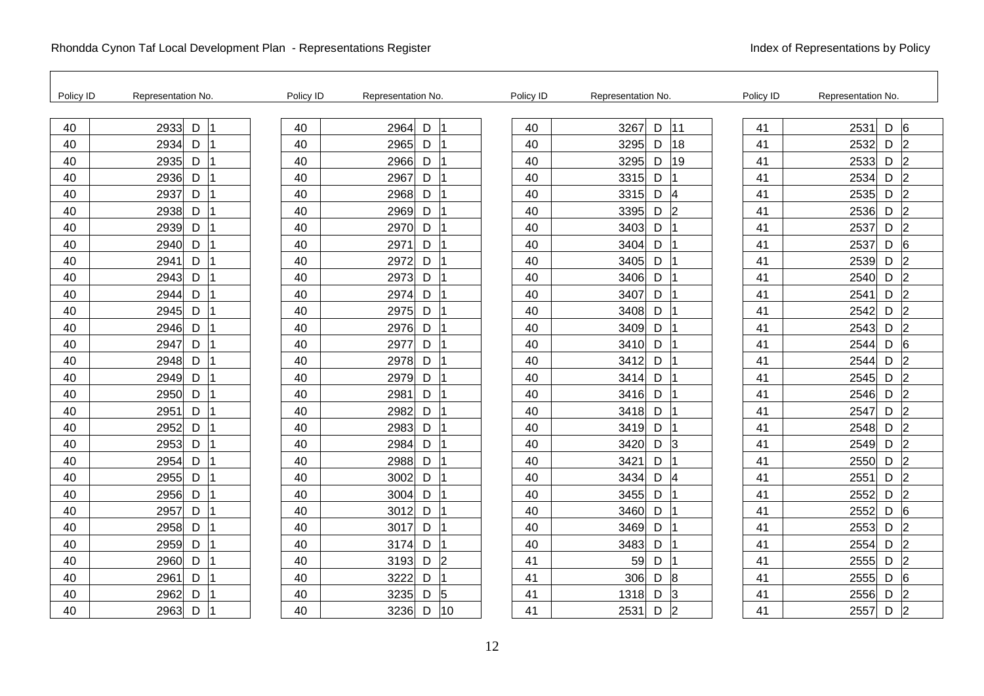| Policy ID | Representation No. | Policy ID | Representation No.          | Policy ID | Representation No.          | Policy ID | Representation No.           |
|-----------|--------------------|-----------|-----------------------------|-----------|-----------------------------|-----------|------------------------------|
| 40        | D<br>2933          | 40        | 2964<br>D<br>$\overline{1}$ | 40        | 11<br>3267<br>D             | 41        | $\mathsf D$<br>6<br>2531     |
| 40        | 2934<br>D          | 40        | 2965<br>D                   | 40        | 18<br>3295<br>D             | 41        | 2<br>2532<br>D               |
| 40        | 2935<br>D          | 40        | 2966<br>D                   | 40        | 19<br>3295<br>D             | 41        | 2533<br>$\overline{2}$<br>D  |
| 40        | 2936<br>D          | 40        | 2967<br>D                   | 40        | 3315<br>D                   | 41        | $\overline{2}$<br>2534<br>D  |
| 40        | D<br>2937          | 40        | 2968<br>D                   | 40        | D<br>4<br>3315              | 41        | $\overline{2}$<br>2535<br>D  |
| 40        | 2938<br>D          | 40        | 2969<br>D                   | 40        | 3395<br>D<br>2              | 41        | 2536<br>D<br>$\overline{2}$  |
| 40        | 2939<br>D          | 40        | 2970<br>D                   | 40        | 3403<br>D                   | 41        | 2537<br>2<br>D               |
| 40        | 2940<br>D          | 40        | 2971<br>D                   | 40        | 3404<br>D                   | 41        | $6\phantom{a}6$<br>2537<br>D |
| 40        | D<br>2941          | 40        | 2972<br>D                   | 40        | 3405<br>D                   | 41        | $\overline{2}$<br>2539<br>D  |
| 40        | 2943<br>D          | 40        | 2973<br>D                   | 40        | 3406<br>D                   | 41        | $\overline{2}$<br>2540<br>D  |
| 40        | 2944<br>D          | 40        | 2974<br>D                   | 40        | 3407<br>D                   | 41        | 2<br>2541<br>D               |
| 40        | D<br>2945          | 40        | 2975<br>D                   | 40        | D<br>3408                   | 41        | D<br> 2 <br>2542             |
| 40        | 2946<br>D          | 40        | 2976<br>D                   | 40        | D<br>3409                   | 41        | $\overline{2}$<br>2543<br>D  |
| 40        | 2947<br>D          | 40        | 2977<br>D                   | 40        | D<br>3410                   | 41        | 2544<br>D<br>6               |
| 40        | 2948<br>D          | 40        | 2978<br>D                   | 40        | 3412<br>D                   | 41        | 2544<br> 2 <br>D             |
| 40        | 2949<br>D          | 40        | 2979<br>D<br>11             | 40        | 3414<br>D                   | 41        | 2 <br>2545<br>D              |
| 40        | 2950<br>D          | 40        | 2981<br>D                   | 40        | 3416<br>D                   | 41        | 2546<br>$\overline{2}$<br>D  |
| 40        | 2951<br>D          | 40        | 2982<br>D                   | 40        | 3418<br>D                   | 41        | 2547<br> 2<br>D              |
| 40        | 2952<br>D          | 40        | 2983<br>D                   | 40        | 3419<br>D                   | 41        | 2548<br>D<br>$\overline{2}$  |
| 40        | 2953<br>D          | 40        | 2984<br>D                   | 40        | D<br>3420<br>3              | 41        | 2<br>2549<br>D               |
| 40        | D<br>2954          | 40        | 2988<br>D                   | 40        | 3421<br>D                   | 41        | 2550<br>$\overline{2}$<br>D  |
| 40        | 2955<br>D          | 40        | 3002<br>D                   | 40        | 3434<br>D<br>$\overline{4}$ | 41        | 2551<br>D<br>$\overline{2}$  |
| 40        | 2956<br>D          | 40        | 3004<br>D                   | 40        | D<br>3455                   | 41        | 2 <br>2552<br>D              |
| 40        | D<br>2957          | 40        | D<br>3012                   | 40        | D<br>3460                   | 41        | $6\phantom{.}6$<br>2552<br>D |
| 40        | 2958<br>D          | 40        | D<br>3017                   | 40        | 3469<br>D                   | 41        | 2553<br>D<br>$\overline{2}$  |
| 40        | 2959<br>D          | 40        | 3174<br>D                   | 40        | 3483<br>D                   | 41        | 2554<br>D<br>2               |
| 40        | D<br>2960          | 40        | D<br>$\overline{2}$<br>3193 | 41        | 59<br>D                     | 41        | $\overline{2}$<br>2555<br>D  |
| 40        | D<br>2961          | 40        | D<br>3222                   | 41        | 306<br>D<br>$\overline{8}$  | 41        | 6<br>2555<br>D               |
| 40        | D<br>2962          | 40        | 3235<br>D<br>5              | 41        | 1318<br>D<br>3              | 41        | 2556<br>D<br>$\overline{2}$  |
| 40        | D<br>2963          | 40        | 3236<br>D<br>10             | 41        | $\overline{2}$<br>D<br>2531 | 41        | $\overline{2}$<br>2557<br>D  |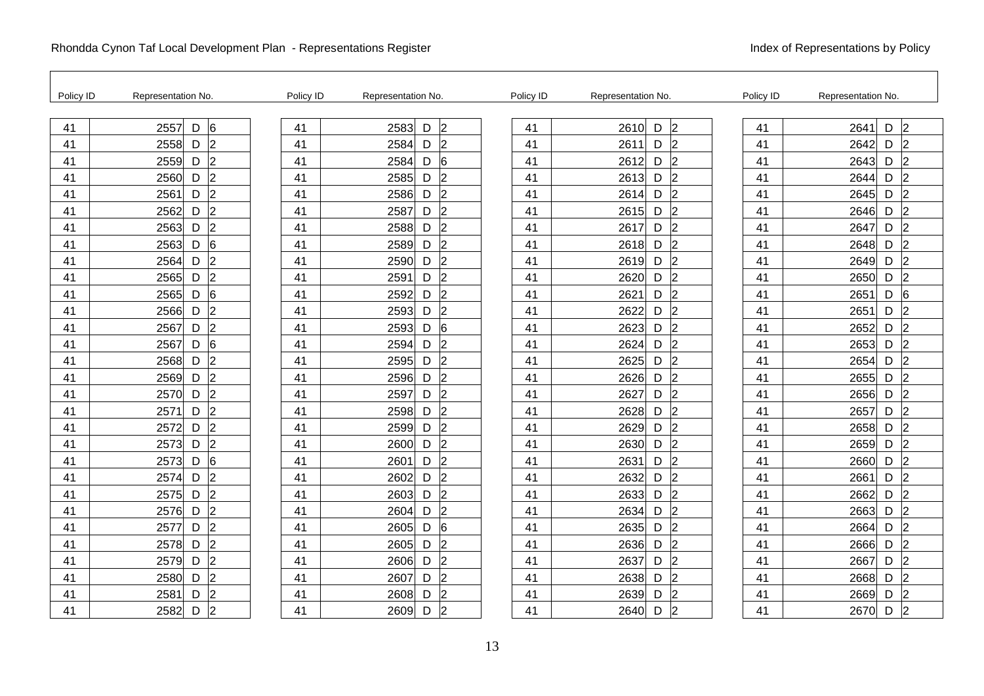| Policy ID | Representation No.                    | Policy ID | Representation No.          | Policy ID | Representation No.                | Policy ID | Representation No.                    |
|-----------|---------------------------------------|-----------|-----------------------------|-----------|-----------------------------------|-----------|---------------------------------------|
| 41        | <sup>6</sup><br>2557<br>$\mathsf D$   | 41        | 2583<br>$\overline{2}$<br>D | 41        | l2<br>2610<br>D                   | 41        | $\overline{2}$<br>2641<br>D           |
| 41        | $\overline{2}$<br>2558<br>D           | 41        | 2584<br> 2<br>D             | 41        | D<br>$\overline{2}$<br>2611       | 41        | $\overline{2}$<br>2642<br>D           |
| 41        | $\overline{2}$<br>2559<br>D           | 41        | 2584<br>6<br>D              | 41        | $\overline{2}$<br>2612<br>D       | 41        | 2<br>2643<br>D                        |
| 41        | 2 <br>D<br>2560                       | 41        | 2585<br> 2<br>D             | 41        | D<br>2613<br>$\overline{2}$       | 41        | $\overline{2}$<br>2644<br>D           |
| 41        | $\overline{2}$<br>$\mathsf D$<br>2561 | 41        | $\overline{2}$<br>2586<br>D | 41        | 2614<br>D<br>2                    | 41        | 2645<br>D<br>$\overline{2}$           |
| 41        | $\overline{2}$<br>2562<br>D           | 41        | 2587<br> 2<br>D             | 41        | D<br>2615<br>$\overline{2}$       | 41        | 2646<br>D<br>12                       |
| 41        | $\overline{2}$<br>2563<br>D           | 41        | $\overline{2}$<br>2588<br>D | 41        | 2617<br>D<br>$\overline{2}$       | 41        | 2647<br>$\overline{2}$<br>D           |
| 41        | 6<br>2563<br>D                        | 41        | $\overline{2}$<br>2589<br>D | 41        | 2618<br>D<br>$\overline{2}$       | 41        | 2 <br>2648<br>D                       |
| 41        | $\overline{2}$<br>D<br>2564           | 41        | 2590<br>$\overline{2}$<br>D | 41        | 2619<br>D<br>2                    | 41        | $\overline{2}$<br>2649<br>D           |
| 41        | $\overline{2}$<br>2565<br>D           | 41        | 2591<br>l2<br>D             | 41        | 2620<br>D<br>$\overline{2}$       | 41        | 2650<br> 2<br>D                       |
| 41        | $6\overline{6}$<br>2565<br>D          | 41        | 2592<br>$\overline{2}$<br>D | 41        | 2621<br>2<br>D                    | 41        | 2651<br>6<br>D                        |
| 41        | $\overline{2}$<br>D<br>2566           | 41        | $\overline{2}$<br>2593<br>D | 41        | D<br>$\overline{2}$<br>2622       | 41        | D<br>$\overline{2}$<br>2651           |
| 41        | $\overline{2}$<br>D<br>2567           | 41        | 2593<br>6<br>D              | 41        | 2623<br>D<br>2                    | 41        | 2652<br>D<br>2                        |
| 41        | 6<br>2567<br>D                        | 41        | 2594<br> 2<br>D             | 41        | 2624<br>D<br>$\overline{2}$       | 41        | 2653<br>D<br>$\overline{2}$           |
| 41        | $\overline{2}$<br>D<br>2568           | 41        | $\overline{2}$<br>2595<br>D | 41        | $\overline{2}$<br>2625<br>D       | 41        | 2654<br> 2<br>D                       |
| 41        | $\vert$ <sub>2</sub><br>D<br>2569     | 41        | $\overline{2}$<br>2596<br>D | 41        | 2626<br>D<br>2                    | 41        | 2655<br>D<br>$\overline{2}$           |
| 41        | $\overline{2}$<br>2570<br>D           | 41        | 2597<br>$\overline{2}$<br>D | 41        | 2627<br>$\overline{2}$<br>D       | 41        | 2656<br>$\overline{2}$<br>D           |
| 41        | $\overline{2}$<br>2571<br>D           | 41        | $\overline{2}$<br>2598<br>D | 41        | $\vert$ <sub>2</sub><br>2628<br>D | 41        | 2657<br>D<br>$\overline{2}$           |
| 41        | $\overline{2}$<br>D<br>2572           | 41        | $\overline{2}$<br>2599<br>D | 41        | $\overline{2}$<br>2629<br>D       | 41        | 2658<br>$\overline{2}$<br>D           |
| 41        | $\overline{2}$<br>D<br>2573           | 41        | $\overline{2}$<br>2600<br>D | 41        | 2630<br>D<br>$\overline{2}$       | 41        | 2659<br>D<br>$\overline{2}$           |
| 41        | 6<br>2573<br>D                        | 41        | 2601<br>$\overline{2}$<br>D | 41        | 2631<br>D<br>$\overline{2}$       | 41        | 2660<br>D<br>$\overline{2}$           |
| 41        | $\overline{2}$<br>2574<br>D           | 41        | $\overline{2}$<br>2602<br>D | 41        | $\overline{2}$<br>2632<br>D       | 41        | 2661<br>$\mathsf D$<br>$\overline{2}$ |
| 41        | $\overline{2}$<br>2575<br>D           | 41        | $\overline{2}$<br>2603<br>D | 41        | $\overline{2}$<br>2633<br>D       | 41        | 2662<br>$\mathsf D$<br>$\overline{2}$ |
| 41        | $\overline{2}$<br>D<br>2576           | 41        | $\overline{2}$<br>2604<br>D | 41        | l2<br>2634<br>D                   | 41        | 2<br>2663<br>D                        |
| 41        | $\overline{2}$<br>2577<br>D           | 41        | 2605<br>6<br>D              | 41        | $\overline{2}$<br>2635<br>D       | 41        | 2664<br>D<br>$\overline{2}$           |
| 41        | $\overline{2}$<br>2578<br>D           | 41        | $\overline{2}$<br>2605<br>D | 41        | 2 <br>2636<br>D                   | 41        | 2666<br>$\overline{2}$<br>D           |
| 41        | $\overline{2}$<br>2579<br>D           | 41        | $\overline{2}$<br>2606<br>D | 41        | $\overline{2}$<br>2637<br>D       | 41        | 2667<br>D<br>$\overline{2}$           |
| 41        | $\overline{2}$<br>D<br>2580           | 41        | $\overline{2}$<br>2607<br>D | 41        | $\overline{2}$<br>2638<br>D       | 41        | 2<br>2668<br>D                        |
| 41        | $\overline{2}$<br>2581<br>D           | 41        | $\overline{2}$<br>2608<br>D | 41        | 2639<br>D<br>2                    | 41        | D<br>2669<br>$\overline{2}$           |
| 41        | $\overline{2}$<br>D<br>2582           | 41        | $\overline{2}$<br>2609<br>D | 41        | $\overline{2}$<br>D<br>2640       | 41        | $\overline{2}$<br>D<br>2670           |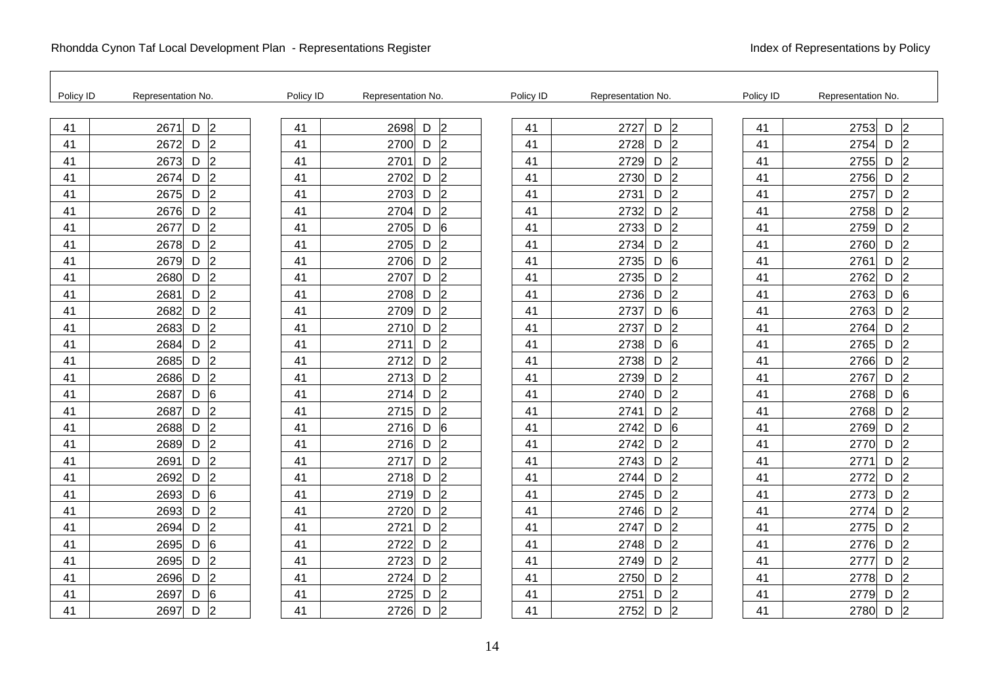| Policy ID | Representation No.                    | Policy ID | Representation No.          | Policy ID | Representation No.                | Policy ID | Representation No.           |
|-----------|---------------------------------------|-----------|-----------------------------|-----------|-----------------------------------|-----------|------------------------------|
| 41        | 2671<br>D<br>$\overline{2}$           | 41        | 2698<br>$\overline{2}$<br>D | 41        | D<br>$\overline{2}$<br>2727       | 41        | 2753<br>$\overline{2}$<br>D  |
| 41        | $D$ 2<br>2672                         | 41        | 2700<br>D<br> 2             | 41        | 2728<br>D<br>$\overline{2}$       | 41        | 2754<br>D<br> 2              |
| 41        | 2 <br>2673<br>D                       | 41        | 2701<br>$\overline{2}$<br>D | 41        | $\overline{2}$<br>2729<br>D       | 41        | 2755<br>2<br>D               |
| 41        | $\vert$ 2<br>2674<br>D                | 41        | 2702<br>D<br>2              | 41        | D<br>2<br>2730                    | 41        | $\overline{2}$<br>2756<br>D  |
| 41        | $\overline{2}$<br>2675<br>D           | 41        | 2703<br>D<br>$\overline{2}$ | 41        | $\overline{2}$<br>2731<br>D       | 41        | 2757<br>$\overline{2}$<br>D  |
| 41        | $\vert$ 2<br>2676<br>D                | 41        | 2704<br>$\overline{2}$<br>D | 41        | 2732<br>$\overline{2}$<br>D       | 41        | 2758<br>$\overline{2}$<br>D  |
| 41        | 2 <br>2677<br>D                       | 41        | 2705<br>D<br>6              | 41        | $\overline{2}$<br>2733<br>D       | 41        | 2759<br> 2 <br>D             |
| 41        | $\vert$ <sub>2</sub><br>D<br>2678     | 41        | $\overline{2}$<br>2705<br>D | 41        | l2<br>2734<br>D                   | 41        | D<br> 2 <br>2760             |
| 41        | $\overline{2}$<br>2679<br>D           | 41        | 2706<br>D<br>$\overline{2}$ | 41        | 6<br>2735<br>D                    | 41        | 2761<br>D<br>12              |
| 41        | $\vert$ 2<br>2680<br>D                | 41        | 2707<br>$\overline{2}$<br>D | 41        | 2735<br>D<br>$\overline{2}$       | 41        | 2762<br>D<br>2               |
| 41        | $\overline{2}$<br>2681<br>$\mathsf D$ | 41        | $\overline{2}$<br>2708<br>D | 41        | $\overline{2}$<br>2736<br>D       | 41        | 2763<br>D<br>$6\phantom{1}6$ |
| 41        | 2 <br>D<br>2682                       | 41        | $\overline{2}$<br>2709<br>D | 41        | D<br>6<br>2737                    | 41        | $\overline{2}$<br>2763<br>D  |
| 41        | $\overline{2}$<br>2683<br>D           | 41        | D<br>$\overline{2}$<br>2710 | 41        | 2737<br>D<br>$\overline{2}$       | 41        | 2764<br>D<br>$\overline{2}$  |
| 41        | $\vert$ <sub>2</sub><br>2684<br>D     | 41        | 2711<br> 2<br>D             | 41        | 2738<br>D<br>6                    | 41        | 2765<br>D<br>$\overline{2}$  |
| 41        | $\overline{2}$<br>2685<br>D           | 41        | $\overline{2}$<br>2712<br>D | 41        | 2<br>2738<br>D                    | 41        | $\overline{2}$<br>2766<br>D  |
| 41        | $\overline{2}$<br>D<br>2686           | 41        | $\overline{2}$<br>2713<br>D | 41        | D<br>2<br>2739                    | 41        | 2<br>2767<br>D               |
| 41        | 6<br>2687<br>D                        | 41        | $\overline{2}$<br>2714<br>D | 41        | 2740<br>D<br>$\overline{2}$       | 41        | 2768<br>D<br>6               |
| 41        | $\overline{2}$<br>2687<br>D           | 41        | $\overline{2}$<br>2715<br>D | 41        | $\overline{2}$<br>D<br>2741       | 41        | 2768<br>D<br> 2              |
| 41        | $\overline{2}$<br>D<br>2688           | 41        | 2716<br>D<br>6              | 41        | 6<br>D<br>2742                    | 41        | 2<br>D<br>2769               |
| 41        | 2 <br>D<br>2689                       | 41        | $\overline{2}$<br>2716<br>D | 41        | D<br>$\overline{2}$<br>2742       | 41        | $\overline{2}$<br>2770<br>D  |
| 41        | $\overline{2}$<br>D<br>2691           | 41        | D<br>$\overline{2}$<br>2717 | 41        | 2743<br>D<br>$\overline{2}$       | 41        | 2771<br>D<br>$\overline{2}$  |
| 41        | $\overline{2}$<br>2692<br>D           | 41        | $\overline{2}$<br>2718<br>D | 41        | $\vert$ <sub>2</sub><br>2744<br>D | 41        | 2772<br>D<br>$\overline{2}$  |
| 41        | 6<br>D<br>2693                        | 41        | $\overline{2}$<br>2719<br>D | 41        | 2<br>2745<br>D                    | 41        | D<br> 2 <br>2773             |
| 41        | $\overline{2}$<br>D<br>2693           | 41        | $\overline{2}$<br>D<br>2720 | 41        | D<br>$\overline{2}$<br>2746       | 41        | D<br>$\overline{2}$<br>2774  |
| 41        | 2 <br>2694<br>D                       | 41        | 2721<br>D<br>$\overline{2}$ | 41        | 2747<br>D<br>l2                   | 41        | 2775<br>D<br> 2              |
| 41        | 6<br>2695<br>D                        | 41        | $\overline{2}$<br>2722<br>D | 41        | $\overline{2}$<br>D<br>2748       | 41        | 2<br>2776<br>D               |
| 41        | 2 <br>2695<br>D                       | 41        | $\overline{2}$<br>2723<br>D | 41        | 2<br>2749<br>D                    | 41        | 2<br>D<br>2777               |
| 41        | $\overline{2}$<br>D<br>2696           | 41        | $\overline{2}$<br>2724<br>D | 41        | 2<br>2750<br>D                    | 41        | D<br>$\overline{2}$<br>2778  |
| 41        | 6<br>2697<br>D                        | 41        | 2725<br>D<br>$\overline{2}$ | 41        | 2751<br>D<br>$\mathsf{2}$         | 41        | 2779<br>D<br>$\overline{2}$  |
| 41        | $\overline{2}$<br>2697<br>D           | 41        | 2726<br>$\overline{2}$<br>D | 41        | $\overline{2}$<br>2752<br>D       | 41        | 2<br>2780<br>D               |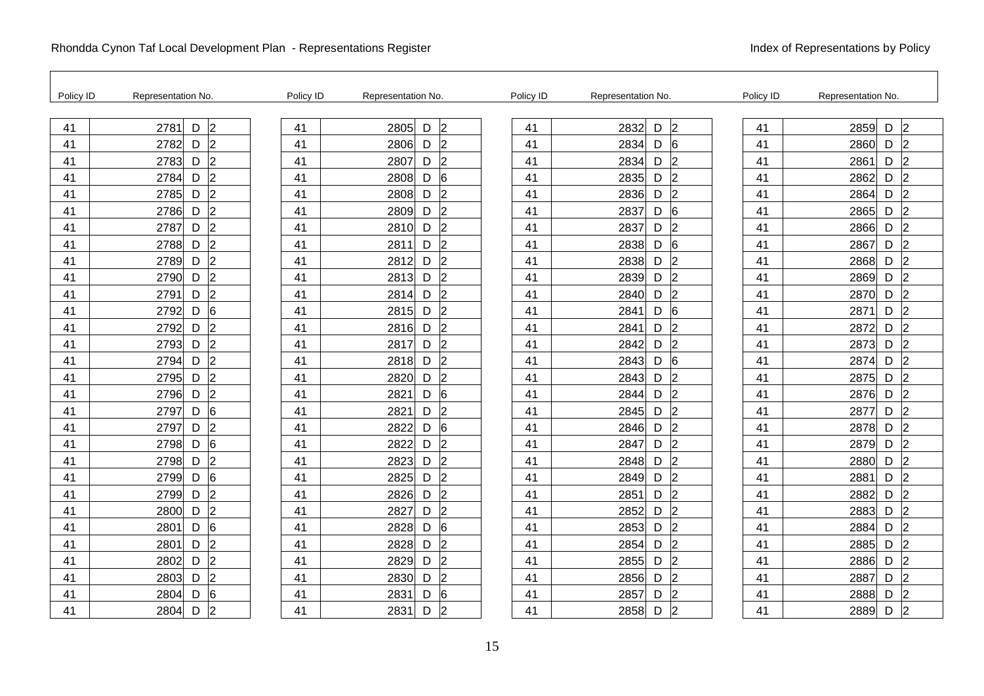| Policy ID | Representation No.                    | Policy ID | Representation No.          | Policy ID | Representation No.                | Policy ID | Representation No.          |
|-----------|---------------------------------------|-----------|-----------------------------|-----------|-----------------------------------|-----------|-----------------------------|
| 41        | $\overline{2}$<br>2781<br>D           | 41        | 2805<br>$\overline{2}$<br>D | 41        | $\overline{2}$<br>2832<br>D       | 41        | $\overline{2}$<br>2859<br>D |
| 41        | $\vert$ <sub>2</sub><br>2782<br>D     | 41        | 2806<br> 2<br>D             | 41        | 2834<br>D<br>6                    | 41        | $\overline{2}$<br>D<br>2860 |
| 41        | $\overline{2}$<br>2783<br>D           | 41        | 2<br>2807<br>D              | 41        | $\overline{2}$<br>2834<br>D       | 41        | $\overline{2}$<br>2861<br>D |
| 41        | $\overline{2}$<br>D<br>2784           | 41        | 2808<br>6<br>D              | 41        | 2<br>2835<br>D                    | 41        | $\overline{2}$<br>D<br>2862 |
| 41        | $\mathsf D$<br>$\overline{2}$<br>2785 | 41        | 2808<br>D<br>$\overline{2}$ | 41        | 2836<br>D<br>$\overline{2}$       | 41        | 2864<br>D<br>$\overline{2}$ |
| 41        | $\overline{2}$<br>2786<br>D           | 41        | 2809<br>D<br>$\overline{2}$ | 41        | 2837<br>D<br>6                    | 41        | 2865<br>D<br>$\overline{2}$ |
| 41        | $\overline{2}$<br>2787<br>D           | 41        | 2810<br>$\overline{2}$<br>D | 41        | 2837<br>$\vert$ <sub>2</sub><br>D | 41        | 2866<br>$\overline{2}$<br>D |
| 41        | $\vert$ <sub>2</sub><br>2788<br>D     | 41        | $\overline{2}$<br>2811<br>D | 41        | 2838<br>D<br>6                    | 41        | $\overline{2}$<br>2867<br>D |
| 41        | $\overline{2}$<br>2789<br>D           | 41        | 2812<br>D<br>$\overline{2}$ | 41        | 2838<br> 2 <br>D                  | 41        | 2868<br>D<br>$\overline{2}$ |
| 41        | $\overline{2}$<br>2790<br>D           | 41        | 2813<br>l2<br>D             | 41        | $\mathsf{Z}$<br>2839<br>D         | 41        | 2869<br>$\overline{2}$<br>D |
| 41        | $\overline{2}$<br>2791<br>D           | 41        | 2814<br>$\overline{2}$<br>D | 41        | $\overline{2}$<br>2840<br>D       | 41        | $\overline{2}$<br>2870<br>D |
| 41        | 6<br>2792<br>D                        | 41        | $\overline{2}$<br>2815<br>D | 41        | <sup>6</sup><br>D<br>2841         | 41        | $\overline{2}$<br>2871<br>D |
| 41        | $\overline{2}$<br>2792<br>D           | 41        | 2816<br>D<br>$\overline{2}$ | 41        | 2841<br>D<br>l2                   | 41        | 2872<br>D<br>$\overline{2}$ |
| 41        | $\overline{2}$<br>2793<br>D           | 41        | 2817<br>$\overline{2}$<br>D | 41        | 2842<br>D<br>$\vert$ 2            | 41        | 2873<br>D<br>$\overline{2}$ |
| 41        | $\overline{2}$<br>2794<br>D           | 41        | 2818<br>$\overline{2}$<br>D | 41        | $6\overline{6}$<br>2843<br>D      | 41        | $\overline{2}$<br>2874<br>D |
| 41        | $\overline{2}$<br>2795<br>$\mathsf D$ | 41        | $\overline{2}$<br>2820<br>D | 41        | 2843<br>D<br>l2                   | 41        | 2875<br>$\overline{2}$<br>D |
| 41        | $\overline{2}$<br>2796<br>D           | 41        | 2821<br>D<br>6              | 41        | 2844<br>2<br>D                    | 41        | 2876<br>D<br>$\overline{2}$ |
| 41        | $6\overline{6}$<br>2797<br>D          | 41        | 2821<br>$\overline{2}$<br>D | 41        | $\overline{2}$<br>2845<br>D       | 41        | 2877<br>D<br>$\overline{2}$ |
| 41        | $\overline{2}$<br>2797<br>D           | 41        | D<br>6<br>2822              | 41        | l2<br>2846<br>D                   | 41        | D<br>$\overline{2}$<br>2878 |
| 41        | 6<br>$\mathsf D$<br>2798              | 41        | $\overline{2}$<br>2822<br>D | 41        | l2<br>D<br>2847                   | 41        | $\overline{2}$<br>2879<br>D |
| 41        | $\overline{2}$<br>D<br>2798           | 41        | $\overline{2}$<br>2823<br>D | 41        | 2<br>2848<br>D                    | 41        | 2880<br>D<br>$\overline{2}$ |
| 41        | 6<br>2799<br>D                        | 41        | $\overline{2}$<br>2825<br>D | 41        | $\vert$ 2<br>2849<br>D            | 41        | 2881<br>$\overline{2}$<br>D |
| 41        | $\overline{2}$<br>D<br>2799           | 41        | $\overline{2}$<br>2826<br>D | 41        | $\overline{2}$<br>2851<br>D       | 41        | $\overline{2}$<br>2882<br>D |
| 41        | $\overline{2}$<br>$\mathsf D$<br>2800 | 41        | $\overline{2}$<br>2827<br>D | 41        | 2852<br>D<br>2                    | 41        | $\overline{2}$<br>2883<br>D |
| 41        | 6<br>2801<br>D                        | 41        | 2828<br>D<br>6              | 41        | 2853<br>D<br>2                    | 41        | $\overline{2}$<br>2884<br>D |
| 41        | $\overline{2}$<br>D<br>2801           | 41        | $\overline{2}$<br>2828<br>D | 41        | $\vert$ 2<br>2854<br>D            | 41        | 2885<br>D<br>$\overline{2}$ |
| 41        | $\overline{2}$<br>D<br>2802           | 41        | $\overline{2}$<br>2829<br>D | 41        | $\overline{2}$<br>2855<br>D       | 41        | D<br>$\overline{2}$<br>2886 |
| 41        | $\overline{2}$<br>D<br>2803           | 41        | $\overline{2}$<br>2830<br>D | 41        | 2856<br>$\overline{2}$<br>D       | 41        | $\overline{2}$<br>2887<br>D |
| 41        | $6\phantom{.}6$<br>2804<br>D          | 41        | 2831<br>D<br>6              | 41        | 2857<br>D<br>$\overline{2}$       | 41        | D<br>2888<br>$\overline{2}$ |
| 41        | $\overline{2}$<br>2804<br>D           | 41        | $\overline{2}$<br>2831<br>D | 41        | $\mathsf{Z}$<br>2858<br>D         | 41        | $\overline{2}$<br>2889<br>D |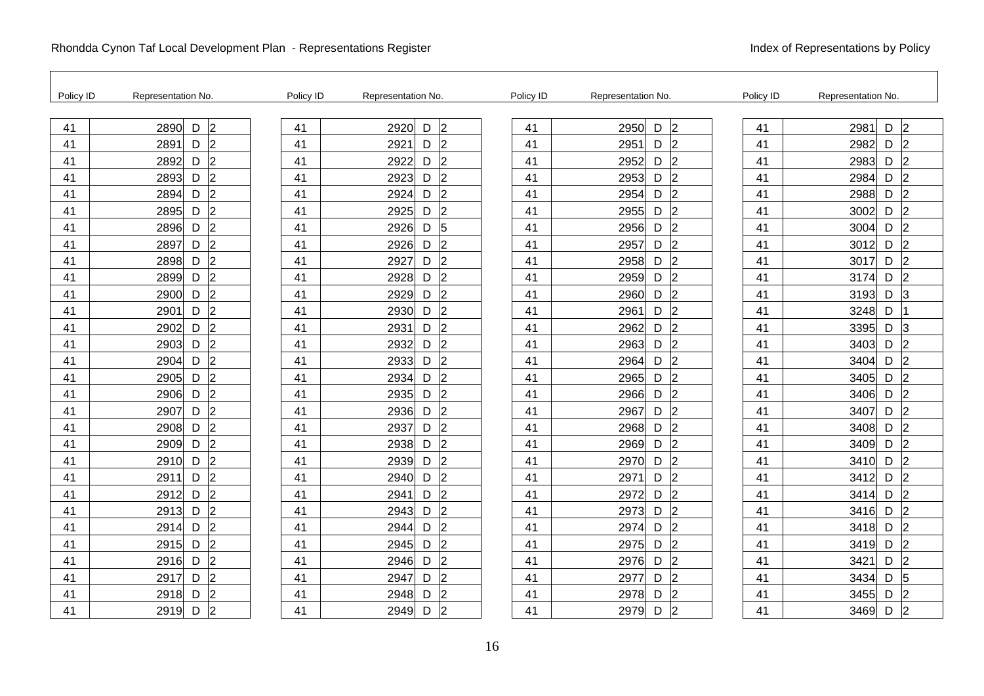| Policy ID | Representation No.                    | Policy ID | Representation No.          | Policy ID | Representation No.                | Policy ID | Representation No.          |
|-----------|---------------------------------------|-----------|-----------------------------|-----------|-----------------------------------|-----------|-----------------------------|
| 41        | $\overline{2}$<br>$\mathsf D$<br>2890 | 41        | $\overline{2}$<br>2920<br>D | 41        | $\overline{2}$<br>2950<br>D       | 41        | 2981<br>D<br>$\overline{2}$ |
| 41        | $\overline{2}$<br>2891<br>D           | 41        | 2921<br> 2<br>D             | 41        | 2951<br>$\vert$ 2<br>D            | 41        | $\overline{2}$<br>2982<br>D |
| 41        | $\overline{2}$<br>2892<br>D           | 41        | 2922<br>$\overline{2}$<br>D | 41        | $\vert$ <sub>2</sub><br>2952<br>D | 41        | 2983<br>D<br>$\overline{2}$ |
| 41        | $\overline{2}$<br>2893<br>D           | 41        | $\overline{2}$<br>2923<br>D | 41        | $\overline{2}$<br>2953<br>D       | 41        | $\overline{2}$<br>2984<br>D |
| 41        | $\overline{2}$<br>D<br>2894           | 41        | 2924<br>$\overline{2}$<br>D | 41        | l2<br>2954<br>D                   | 41        | 2988<br>D<br>$\overline{2}$ |
| 41        | $\overline{2}$<br>2895<br>D           | 41        | 2925<br>2<br>D              | 41        | 2955<br>D<br>$\overline{2}$       | 41        | 3002<br>D<br>$\overline{2}$ |
| 41        | $\overline{2}$<br>2896<br>D           | 41        | 2926<br>D<br>5              | 41        | $\overline{2}$<br>2956<br>D       | 41        | 3004<br>D<br>$\overline{2}$ |
| 41        | $\vert$ <sub>2</sub><br>D<br>2897     | 41        | $\overline{2}$<br>2926<br>D | 41        | l2<br>2957<br>D                   | 41        | $\overline{2}$<br>3012<br>D |
| 41        | $\overline{2}$<br>2898<br>D           | 41        | 2927<br>$\overline{2}$<br>D | 41        | 2958<br>D<br>$\mathcal{D}$        | 41        | 3017<br>D<br>$\overline{2}$ |
| 41        | $\overline{2}$<br>2899<br>D           | 41        | 2928<br>$\overline{2}$<br>D | 41        | 2959<br>D<br>$\overline{2}$       | 41        | 3174<br>D<br>$\overline{2}$ |
| 41        | $\overline{2}$<br>D<br>2900           | 41        | $\overline{2}$<br>2929<br>D | 41        | $\overline{2}$<br>2960<br>D       | 41        | 3<br>3193<br>D              |
| 41        | $\overline{2}$<br>$\mathsf D$<br>2901 | 41        | $\overline{2}$<br>2930<br>D | 41        | l2<br>D<br>2961                   | 41        | 3248<br>D                   |
| 41        | $\overline{2}$<br>D<br>2902           | 41        | 2931<br>D<br>$\overline{2}$ | 41        | 2962<br>D<br> 2                   | 41        | 3395<br>D<br>3              |
| 41        | $\overline{2}$<br>2903<br>D           | 41        | $\overline{2}$<br>2932<br>D | 41        | $\vert$ 2<br>2963<br>D            | 41        | 3403<br>D<br>$\overline{2}$ |
| 41        | $\overline{2}$<br>D<br>2904           | 41        | $\overline{2}$<br>2933<br>D | 41        | $\overline{2}$<br>2964<br>D       | 41        | $\overline{2}$<br>D<br>3404 |
| 41        | $\overline{2}$<br>$\mathsf D$<br>2905 | 41        | $\overline{2}$<br>2934<br>D | 41        | 2965<br>D<br>l2                   | 41        | D<br>$\overline{2}$<br>3405 |
| 41        | $\overline{2}$<br>2906<br>D           | 41        | $\overline{2}$<br>2935<br>D | 41        | $\overline{2}$<br>2966<br>D       | 41        | $\overline{2}$<br>D<br>3406 |
| 41        | $\overline{2}$<br>2907<br>D           | 41        | $\overline{2}$<br>2936<br>D | 41        | $\vert$ 2<br>D<br>2967            | 41        | $\overline{2}$<br>3407<br>D |
| 41        | $\overline{2}$<br>D<br>2908           | 41        | $\overline{2}$<br>D<br>2937 | 41        | $\overline{2}$<br>2968<br>D       | 41        | $\overline{2}$<br>D<br>3408 |
| 41        | $\overline{2}$<br>D<br>2909           | 41        | $\overline{2}$<br>2938<br>D | 41        | 2<br>D<br>2969                    | 41        | D<br>$\overline{2}$<br>3409 |
| 41        | $\overline{2}$<br>2910<br>D           | 41        | 2939<br>$\overline{2}$<br>D | 41        | 2970<br>$\vert$ 2<br>D            | 41        | 3410<br>D<br>$\overline{2}$ |
| 41        | $\overline{2}$<br>2911<br>D           | 41        | $\overline{2}$<br>2940<br>D | 41        | $\overline{2}$<br>2971<br>D       | 41        | $\overline{2}$<br>3412<br>D |
| 41        | $\overline{2}$<br>2912<br>D           | 41        | $\overline{2}$<br>2941<br>D | 41        | 2<br>2972<br>D                    | 41        | $\overline{2}$<br>D<br>3414 |
| 41        | $\overline{2}$<br>2913<br>D           | 41        | 2943<br>D<br>2              | 41        | 2973<br>D<br>2                    | 41        | D<br>$\overline{2}$<br>3416 |
| 41        | $\overline{2}$<br>2914<br>D           | 41        | 2944<br>$\overline{2}$<br>D | 41        | 2974<br> 2 <br>D                  | 41        | D<br>$\overline{2}$<br>3418 |
| 41        | $\overline{2}$<br>2915<br>D           | 41        | 2945<br>D<br>$\overline{2}$ | 41        | $\overline{2}$<br>2975<br>D       | 41        | D<br>$\overline{2}$<br>3419 |
| 41        | $\overline{2}$<br>2916<br>D           | 41        | $\overline{2}$<br>2946<br>D | 41        | 2 <br>2976<br>D                   | 41        | $\overline{2}$<br>3421<br>D |
| 41        | D<br>$\overline{2}$<br>2917           | 41        | 2947<br>$\overline{2}$<br>D | 41        | $\overline{2}$<br>2977<br>D       | 41        | 3434<br>D<br>5              |
| 41        | $\overline{2}$<br>2918<br>D           | 41        | 2948<br>$\overline{2}$<br>D | 41        | 2978<br>D<br>$\overline{2}$       | 41        | 3455<br>D<br>$\overline{2}$ |
| 41        | D<br>$\overline{2}$<br>2919           | 41        | 2949<br>$\overline{2}$<br>D | 41        | $\overline{2}$<br>2979<br>D       | 41        | $\overline{2}$<br>3469<br>D |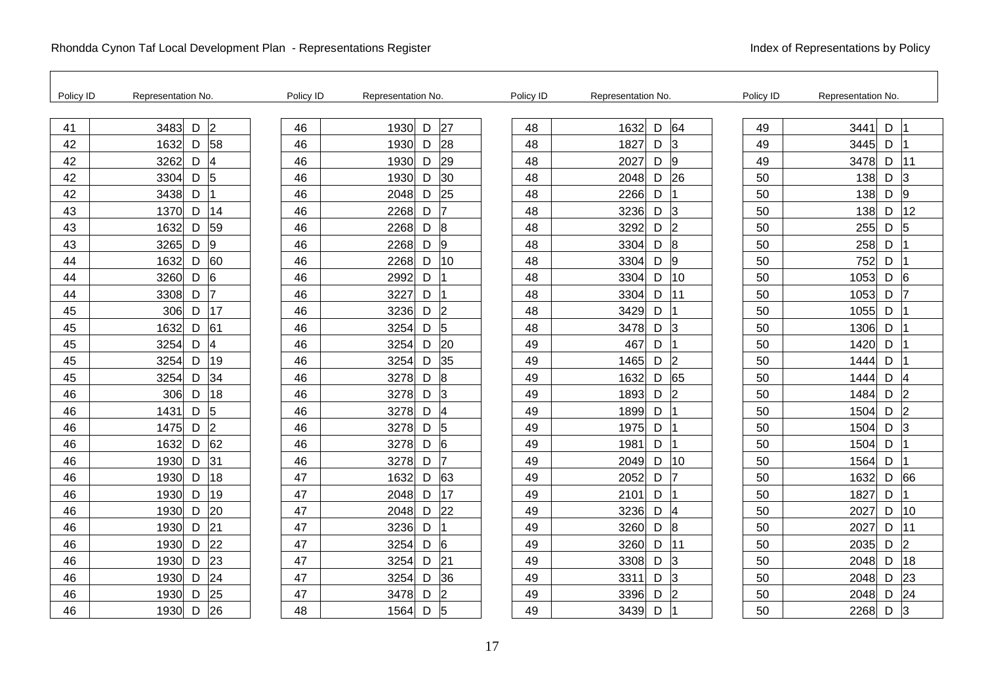| Policy ID | Representation No.                   | Policy ID | Representation No. |   |                | Policy ID | Representation No.          | Policy ID | Representation No.  |                |
|-----------|--------------------------------------|-----------|--------------------|---|----------------|-----------|-----------------------------|-----------|---------------------|----------------|
| 41        | 3483<br>D<br>$\overline{2}$          | 46        | 1930               | D | 27             | 48        | 1632<br>64<br>D             | 49        | 3441<br>D           |                |
| 42        | 58<br>1632<br>D                      | 46        | 1930               | D | 28             | 48        | 1827<br>D<br>$\vert$ 3      | 49        | 3445<br>D           |                |
| 42        | 3262<br>$\overline{\mathbf{4}}$<br>D | 46        | 1930               | D | 29             | 48        | $\overline{9}$<br>2027<br>D | 49        | 3478<br>D           | 11             |
| 42        | $\sqrt{5}$<br>3304<br>D              | 46        | 1930               | D | 30             | 48        | 26<br>2048<br>D             | 50        | 138<br>D            | 3              |
| 42        | 3438<br>D                            | 46        | 2048               | D | 25             | 48        | 2266<br>D                   | 50        | 138<br>D            | l9             |
| 43        | 1370<br>14<br>D                      | 46        | 2268               | D | 17             | 48        | 3236<br>D<br>3              | 50        | 138<br>D            | 12             |
| 43        | 59<br>1632<br>D                      | 46        | 2268               | D | 8              | 48        | $\overline{2}$<br>3292<br>D | 50        | 255<br>D            | 5              |
| 43        | $\overline{9}$<br>3265<br>D          | 46        | 2268               | D | 9              | 48        | $\overline{8}$<br>D<br>3304 | 50        | 258<br>D            |                |
| 44        | 60<br>1632<br>D                      | 46        | 2268               | D | 10             | 48        | l9<br>3304<br>D             | 50        | 752<br>D            |                |
| 44        | 3260<br>6<br>D                       | 46        | 2992               | D |                | 48        | 10<br>3304<br>D             | 50        | 1053<br>D           | 6              |
| 44        | 3308<br>7<br>D                       | 46        | 3227               | D |                | 48        | 11<br>3304<br>D             | 50        | 1053<br>D           | 7              |
| 45        | 17<br>306<br>D                       | 46        | 3236               | D | 2              | 48        | 3429<br>D                   | 50        | 1055<br>D           |                |
| 45        | 61<br>1632<br>D                      | 46        | 3254               | D | 5              | 48        | 3478<br>D<br>3              | 50        | 1306<br>D           |                |
| 45        | 3254<br>$\overline{\mathbf{4}}$<br>D | 46        | 3254               | D | 20             | 49        | 467<br>D                    | 50        | 1420<br>D           |                |
| 45        | 19<br>3254<br>D                      | 46        | 3254               | D | 35             | 49        | $\overline{2}$<br>D<br>1465 | 50        | D<br>1444           |                |
| 45        | 34<br>3254<br>D                      | 46        | 3278               | D | 8              | 49        | D<br>65<br>1632             | 50        | D<br>1444           | 4              |
| 46        | 18<br>306<br>D                       | 46        | 3278               | D | 3              | 49        | $\overline{2}$<br>1893<br>D | 50        | 1484<br>D           | $\overline{2}$ |
| 46        | 5<br>1431<br>D                       | 46        | 3278               | D | $\overline{4}$ | 49        | 1899<br>D                   | 50        | 1504<br>D           | 2              |
| 46        | $\overline{2}$<br>1475<br>D          | 46        | 3278               | D | 5              | 49        | 1975<br>D                   | 50        | 1504<br>$\mathsf D$ | 3              |
| 46        | 62<br>1632<br>D                      | 46        | 3278               | D | 6              | 49        | D<br>1981                   | 50        | 1504<br>D           |                |
| 46        | 31<br>1930<br>D                      | 46        | 3278               | D | 7              | 49        | 10<br>2049<br>D             | 50        | 1564<br>D           |                |
| 46        | 18<br>1930<br>D                      | 47        | 1632               | D | 63             | 49        | D<br>17<br>2052             | 50        | 1632<br>D           | 66             |
| 46        | 19<br>D<br>1930                      | 47        | 2048               | D | 17             | 49        | 2101<br>D                   | 50        | D<br>1827           |                |
| 46        | 20<br>D<br>1930                      | 47        | 2048               | D | 22             | 49        | 3236<br>D<br>4              | 50        | 2027<br>D           | 10             |
| 46        | 21<br>1930<br>D                      | 47        | 3236               | D |                | 49        | 8<br>3260<br>D              | 50        | 2027<br>D           | 11             |
| 46        | 22<br>1930<br>D                      | 47        | 3254               | D | 6              | 49        | 3260<br>D<br>11             | 50        | 2035<br>D           | 2              |
| 46        | 23<br>1930<br>D                      | 47        | 3254               | D | 21             | 49        | 3<br>3308<br>D              | 50        | D<br>2048           | 18             |
| 46        | 24<br>D<br>1930                      | 47        | 3254               | D | 36             | 49        | D<br>lЗ<br>3311             | 50        | 2048<br>D           | 23             |
| 46        | 25<br>1930<br>D                      | 47        | 3478               | D | $\overline{2}$ | 49        | 2<br>3396<br>D              | 50        | 2048<br>D           | 24             |
| 46        | 26<br>1930<br>D                      | 48        | 1564               | D | 5              | 49        | D<br>3439                   | 50        | D<br>2268           | 3              |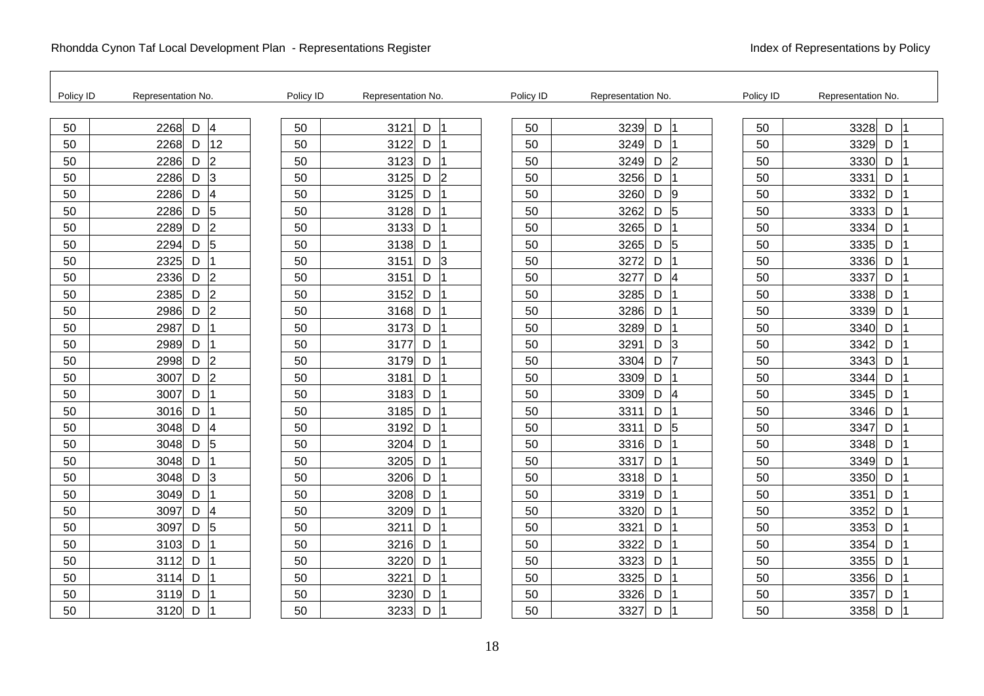| Policy ID | Representation No.                    | Policy ID | Representation No. |                | Policy ID | Representation No.          | Policy ID | Representation No.  |
|-----------|---------------------------------------|-----------|--------------------|----------------|-----------|-----------------------------|-----------|---------------------|
| 50        | 2268<br>D<br>$\overline{\mathcal{A}}$ | 50        | 3121<br>D          | $\overline{1}$ | 50        | 3239<br>D                   | 50        | 3328<br>D           |
| 50        | 12<br>2268<br>D                       | 50        | 3122<br>D          |                | 50        | 3249<br>D                   | 50        | 3329<br>D           |
| 50        | 2 <br>2286<br>D                       | 50        | 3123<br>D          |                | 50        | $\overline{2}$<br>3249<br>D | 50        | 3330<br>D           |
| 50        | $\vert$ 3<br>2286<br>D                | 50        | 3125<br>D          | 2              | 50        | 3256<br>D                   | 50        | 3331<br>D           |
| 50        | $\overline{\mathbf{4}}$<br>2286<br>D  | 50        | 3125<br>D          |                | 50        | 3260<br>D<br> 9             | 50        | 3332<br>D           |
| 50        | $\sqrt{5}$<br>2286<br>D               | 50        | 3128<br>D          |                | 50        | 3262<br>D<br>5              | 50        | 3333<br>D           |
| 50        | $\overline{2}$<br>2289<br>D           | 50        | 3133<br>D          |                | 50        | 3265<br>D                   | 50        | 3334<br>D           |
| 50        | $D \vert 5$<br>2294                   | 50        | 3138<br>D          |                | 50        | 5<br>3265<br>D              | 50        | 3335<br>D           |
| 50        | 2325<br>D                             | 50        | 3151<br>D          | 3              | 50        | 3272<br>D                   | 50        | 3336<br>D           |
| 50        | $\vert$ 2<br>2336<br>D                | 50        | 3151<br>D          |                | 50        | 3277<br>D<br>$\vert 4$      | 50        | 3337<br>$\mathsf D$ |
| 50        | 2 <br>2385<br>D                       | 50        | 3152<br>D          |                | 50        | 3285<br>D                   | 50        | 3338<br>D           |
| 50        | $\vert$ <sub>2</sub><br>D<br>2986     | 50        | D<br>3168          |                | 50        | 3286<br>D                   | 50        | D<br>3339           |
| 50        | D<br>2987                             | 50        | D<br>3173          |                | 50        | 3289<br>D                   | 50        | 3340<br>D           |
| 50        | 2989<br>D                             | 50        | 3177<br>D          |                | 50        | 3291<br>D<br>$\vert$ 3      | 50        | 3342<br>D           |
| 50        | $\overline{2}$<br>D<br>2998           | 50        | 3179<br>D          |                | 50        | D<br>17<br>3304             | 50        | 3343<br>D           |
| 50        | $\vert$ <sub>2</sub><br>3007<br>D     | 50        | 3181<br>D          |                | 50        | 3309<br>D                   | 50        | 3344<br>D           |
| 50        | D<br>3007                             | 50        | 3183<br>D          |                | 50        | 3309<br>D<br>4              | 50        | 3345<br>D           |
| 50        | 3016<br>D                             | 50        | 3185<br>D          |                | 50        | 3311<br>D                   | 50        | 3346<br>D           |
| 50        | $\overline{\mathbf{4}}$<br>3048<br>D  | 50        | D<br>3192          |                | 50        | 5<br>D<br>3311              | 50        | D<br>3347           |
| 50        | $\overline{5}$<br>3048<br>D           | 50        | 3204<br>D          |                | 50        | D<br>3316                   | 50        | 3348<br>D           |
| 50        | 3048<br>D                             | 50        | 3205<br>D          |                | 50        | 3317<br>D                   | 50        | 3349<br>D           |
| 50        | 3048<br>$\vert$ 3<br>D                | 50        | 3206<br>D          |                | 50        | 3318<br>$\mathsf D$         | 50        | 3350<br>D           |
| 50        | D<br>3049                             | 50        | 3208<br>D          |                | 50        | D<br>3319                   | 50        | 3351<br>D           |
| 50        | D<br>4<br>3097                        | 50        | D<br>3209          |                | 50        | D<br>3320                   | 50        | 3352<br>D           |
| 50        | 5<br>3097<br>D                        | 50        | 3211<br>D          |                | 50        | 3321<br>D                   | 50        | 3353<br>D           |
| 50        | 3103<br>D                             | 50        | 3216<br>D          |                | 50        | 3322<br>D                   | 50        | 3354<br>D           |
| 50        | 3112<br>D                             | 50        | 3220<br>D          |                | 50        | 3323<br>D                   | 50        | D<br>3355           |
| 50        | D<br>3114                             | 50        | 3221<br>D          |                | 50        | D<br>3325                   | 50        | D<br>3356           |
| 50        | 3119<br>D                             | 50        | 3230<br>D          |                | 50        | 3326<br>D                   | 50        | D<br>3357           |
| 50        | D<br>3120                             | 50        | 3233<br>D          |                | 50        | 3327<br>D                   | 50        | D<br>3358           |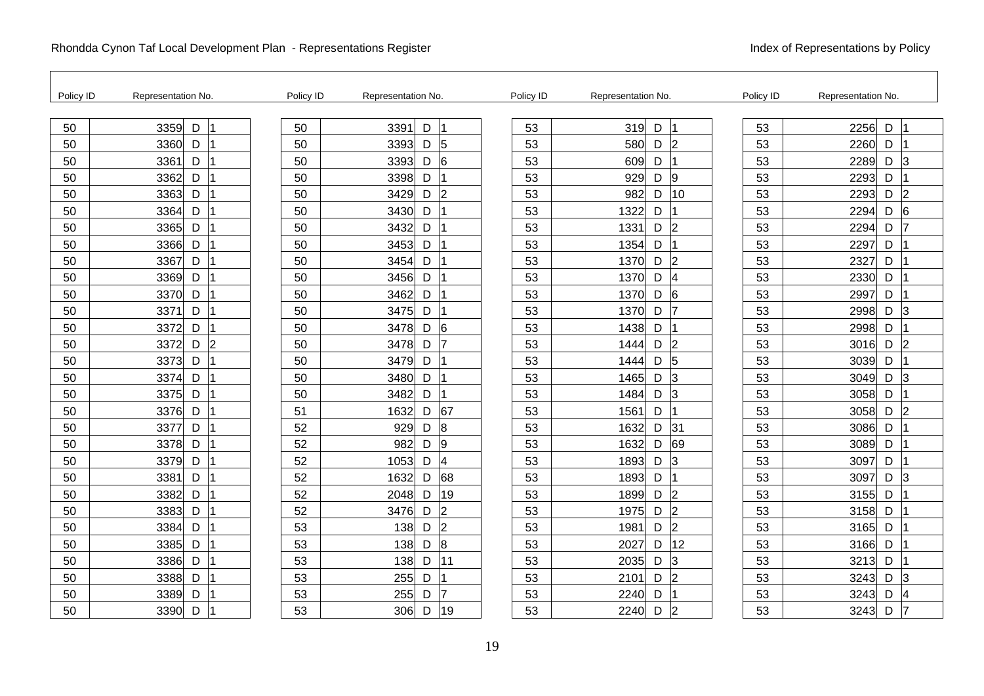| Policy ID | Representation No.                | Policy ID | Representation No. |                     | Policy ID | Representation No.          | Policy ID | Representation No. |   |                |
|-----------|-----------------------------------|-----------|--------------------|---------------------|-----------|-----------------------------|-----------|--------------------|---|----------------|
| 50        | 3359<br>D                         | 50        | 3391               | D<br>11             | 53        | 319<br>D                    | 53        | 2256               | D |                |
| 50        | 3360<br>D                         | 50        | 3393               | D<br>5              | 53        | 580<br>D<br>l2              | 53        | 2260               | D |                |
| 50        | 3361<br>D                         | 50        | 3393               | 6<br>D              | 53        | 609<br>D                    | 53        | 2289               | D | l3             |
| 50        | 3362<br>D                         | 50        | 3398               | D                   | 53        | D<br> 9<br>929              | 53        | 2293               | D |                |
| 50        | D<br>3363                         | 50        | 3429               | D<br>2              | 53        | 10<br>982<br>D              | 53        | 2293               | D | $\overline{2}$ |
| 50        | 3364<br>D                         | 50        | 3430               | D                   | 53        | 1322<br>D                   | 53        | 2294               | D | 6              |
| 50        | 3365<br>D                         | 50        | 3432               | D                   | 53        | $\overline{2}$<br>1331<br>D | 53        | 2294               | D |                |
| 50        | 3366<br>D                         | 50        | 3453               | D                   | 53        | 1354<br>D                   | 53        | 2297               | D |                |
| 50        | D<br>3367                         | 50        | 3454               | D                   | 53        | 1370<br>D<br>l2             | 53        | 2327               | D |                |
| 50        | 3369<br>D                         | 50        | 3456               | D                   | 53        | 1370<br>D<br>14             | 53        | 2330               | D |                |
| 50        | 3370<br>D                         | 50        | 3462               | D                   | 53        | $\overline{6}$<br>1370<br>D | 53        | 2997               | D |                |
| 50        | 3371<br>D                         | 50        | 3475               | D                   | 53        | D<br>1370<br>17             | 53        | 2998               | D | 3              |
| 50        | D<br>3372                         | 50        | 3478               | D<br>6              | 53        | 1438<br>D                   | 53        | 2998               | D |                |
| 50        | $\vert$ <sub>2</sub><br>3372<br>D | 50        | 3478               | D<br>17             | 53        | D<br>$\overline{2}$<br>1444 | 53        | 3016               | D | 12             |
| 50        | 3373<br>D                         | 50        | 3479               | D                   | 53        | $\overline{5}$<br>1444<br>D | 53        | 3039               | D |                |
| 50        | 3374<br>D                         | 50        | 3480               | D<br>11             | 53        | D<br>3<br>1465              | 53        | 3049               | D | 3              |
| 50        | 3375<br>D                         | 50        | 3482               | D                   | 53        | 1484<br>D<br>3              | 53        | 3058               | D |                |
| 50        | 3376<br>D                         | 51        | 1632               | 67<br>D             | 53        | 1561<br>D                   | 53        | 3058               | D | 2              |
| 50        | 3377<br>D                         | 52        | 929                | 8<br>D              | 53        | 1632<br> 31<br>D            | 53        | 3086               | D |                |
| 50        | 3378<br>D                         | 52        | 982                | D<br>9              | 53        | 1632<br>D<br>69             | 53        | 3089               | D |                |
| 50        | 3379<br>D                         | 52        | 1053               | D<br>4              | 53        | 1893<br>D<br>3              | 53        | 3097               | D |                |
| 50        | 3381<br>D                         | 52        | 1632               | 68<br>D             | 53        | 1893<br>D                   | 53        | 3097               | D | 13             |
| 50        | 3382<br>D                         | 52        | 2048               | 19<br>D             | 53        | $\overline{2}$<br>1899<br>D | 53        | 3155               | D |                |
| 50        | 3383<br>D                         | 52        | 3476               | D<br>$\overline{2}$ | 53        | D<br>$\overline{2}$<br>1975 | 53        | 3158               | D |                |
| 50        | 3384<br>D                         | 53        | 138                | $\overline{2}$<br>D | 53        | 2<br>1981<br>D              | 53        | 3165               | D |                |
| 50        | 3385<br>D                         | 53        | 138                | 8<br>D              | 53        | 12<br>2027<br>D             | 53        | 3166               | D |                |
| 50        | 3386<br>D                         | 53        | 138                | D<br>11             | 53        | 3<br>2035<br>D              | 53        | 3213               | D |                |
| 50        | 3388<br>D                         | 53        | 255                | D                   | 53        | D<br>2<br>2101              | 53        | 3243               | D | 3              |
| 50        | 3389<br>D                         | 53        | 255                | D                   | 53        | 2240<br>D                   | 53        | 3243               | D |                |
| 50        | 3390<br>D                         | 53        | 306                | 19<br>D             | 53        | 2240<br>D<br>$\overline{2}$ | 53        | 3243               | D | 17             |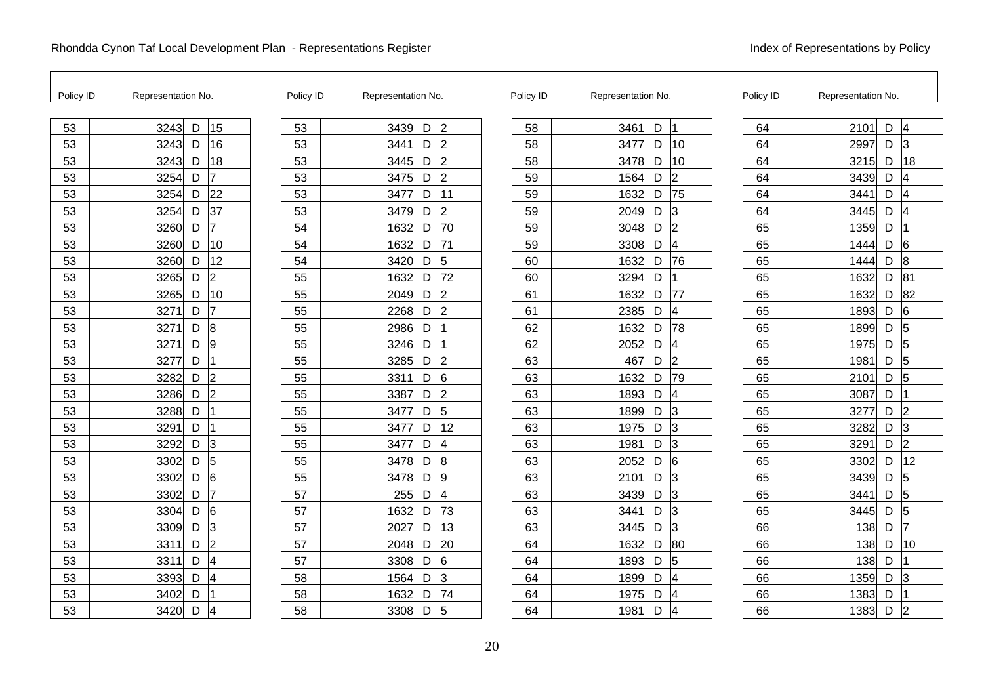| Policy ID | Representation No.                    | Policy ID | Representation No.                    | Policy ID | Representation No.          | Policy ID | Representation No.          |
|-----------|---------------------------------------|-----------|---------------------------------------|-----------|-----------------------------|-----------|-----------------------------|
| 53        | $\mathsf D$<br>15<br>3243             | 53        | $\overline{2}$<br>3439<br>D           | 58        | D<br>3461<br>1              | 64        | D<br>2101<br>$\overline{4}$ |
| 53        | 16<br>3243<br>D                       | 53        | $\overline{2}$<br>3441<br>D           | 58        | 10<br>3477<br>D             | 64        | 2997<br>D<br>3              |
| 53        | 18<br>3243<br>D                       | 53        | $\overline{2}$<br>3445<br>D           | 58        | 3478<br>10<br>D             | 64        | 18<br>3215<br>D             |
| 53        | 7<br>3254<br>D                        | 53        | $\overline{2}$<br>3475<br>D           | 59        | $\overline{2}$<br>1564<br>D | 64        | D<br>3439<br>4              |
| 53        | 22<br>3254<br>D                       | 53        | D<br>11<br>3477                       | 59        | 75<br>D<br>1632             | 64        | 3441<br>D<br>4              |
| 53        | 37<br>3254<br>D                       | 53        | $\overline{2}$<br>3479<br>D           | 59        | D<br>3<br>2049              | 64        | D<br>3445                   |
| 53        | 3260<br>D                             | 54        | 70<br>1632<br>D                       | 59        | $\overline{2}$<br>3048<br>D | 65        | 1359<br>D                   |
| 53        | 10<br>3260<br>D                       | 54        | 71<br>1632<br>D                       | 59        | 4<br>3308<br>D              | 65        | D<br>6<br>1444              |
| 53        | 12<br>D<br>3260                       | 54        | 5<br>3420<br>D                        | 60        | 76<br>D<br>1632             | 65        | D<br>8<br>1444              |
| 53        | $\overline{2}$<br>3265<br>D           | 55        | 72<br>1632<br>D                       | 60        | 3294<br>D                   | 65        | 1632<br>D<br>81             |
| 53        | 10<br>3265<br>D                       | 55        | $\overline{2}$<br>2049<br>D           | 61        | 1632<br>77<br>D             | 65        | 82<br>1632<br>D             |
| 53        | 3271<br>D                             | 55        | $\overline{2}$<br>2268<br>D           | 61        | 4<br>2385<br>D              | 65        | D<br>6<br>1893              |
| 53        | 8<br>$\mathsf D$<br>3271              | 55        | 2986<br>D                             | 62        | 78<br>1632<br>D             | 65        | D<br>5<br>1899              |
| 53        | 9<br>D<br>3271                        | 55        | D<br>3246                             | 62        | D<br>2052<br>4              | 65        | D<br>5<br>1975              |
| 53        | 3277<br>D                             | 55        | $\overline{2}$<br>3285<br>D           | 63        | $\overline{2}$<br>467<br>D  | 65        | 1981<br>D<br>$\overline{5}$ |
| 53        | $\overline{2}$<br>3282<br>D           | 55        | D<br>6<br>3311                        | 63        | 79<br>1632<br>D             | 65        | D<br>$\overline{5}$<br>2101 |
| 53        | $\overline{2}$<br>$\mathsf D$<br>3286 | 55        | $\overline{2}$<br>D<br>3387           | 63        | 4<br>1893<br>D              | 65        | D<br>3087                   |
| 53        | 3288<br>D                             | 55        | 5<br>D<br>3477                        | 63        | 3<br>1899<br>D              | 65        | 3277<br>D<br> 2             |
| 53        | 3291<br>D                             | 55        | 3477<br>12<br>D                       | 63        | 3<br>1975<br>D              | 65        | 3282<br>D<br>3              |
| 53        | 3<br>D<br>3292                        | 55        | $\overline{\mathcal{A}}$<br>D<br>3477 | 63        | 1981<br>D<br>3              | 65        | D<br>$\overline{2}$<br>3291 |
| 53        | 5<br>D<br>3302                        | 55        | D<br>8<br>3478                        | 63        | 6<br>D<br>2052              | 65        | 12<br>D<br>3302             |
| 53        | 6<br>D<br>3302                        | 55        | 9<br>3478<br>D                        | 63        | D<br>3<br>2101              | 65        | D<br>3439<br>5              |
| 53        | D<br>3302                             | 57        | 255<br>$\overline{\mathcal{A}}$<br>D  | 63        | 3<br>3439<br>D              | 65        | 3441<br>D<br>5              |
| 53        | $6\phantom{.}6$<br>3304<br>D          | 57        | 73<br>1632<br>D                       | 63        | D<br>3<br>3441              | 65        | D<br>5<br>3445              |
| 53        | 3<br>$\mathsf D$<br>3309              | 57        | 13<br>D<br>2027                       | 63        | 3<br>3445<br>D              | 66        | D<br>7<br>138               |
| 53        | $\overline{2}$<br>3311<br>D           | 57        | 20<br>2048<br>D                       | 64        | 80<br>1632<br>D             | 66        | 138<br>D<br>10              |
| 53        | $\overline{\mathcal{A}}$<br>3311<br>D | 57        | 6<br>3308<br>D                        | 64        | 5<br>1893<br>D              | 66        | 138<br>D                    |
| 53        | $\overline{4}$<br>3393<br>D           | 58        | 3<br>1564<br>D                        | 64        | 4<br>1899<br>D              | 66        | D<br>1359<br>3              |
| 53        | D<br>3402                             | 58        | 74<br>1632<br>D                       | 64        | 1975<br>D<br>4              | 66        | 1383<br>D                   |
| 53        | 3420<br>D<br>14                       | 58        | 5<br>D<br>3308                        | 64        | D<br>1981<br>4              | 66        | 1383<br>D<br>$\overline{2}$ |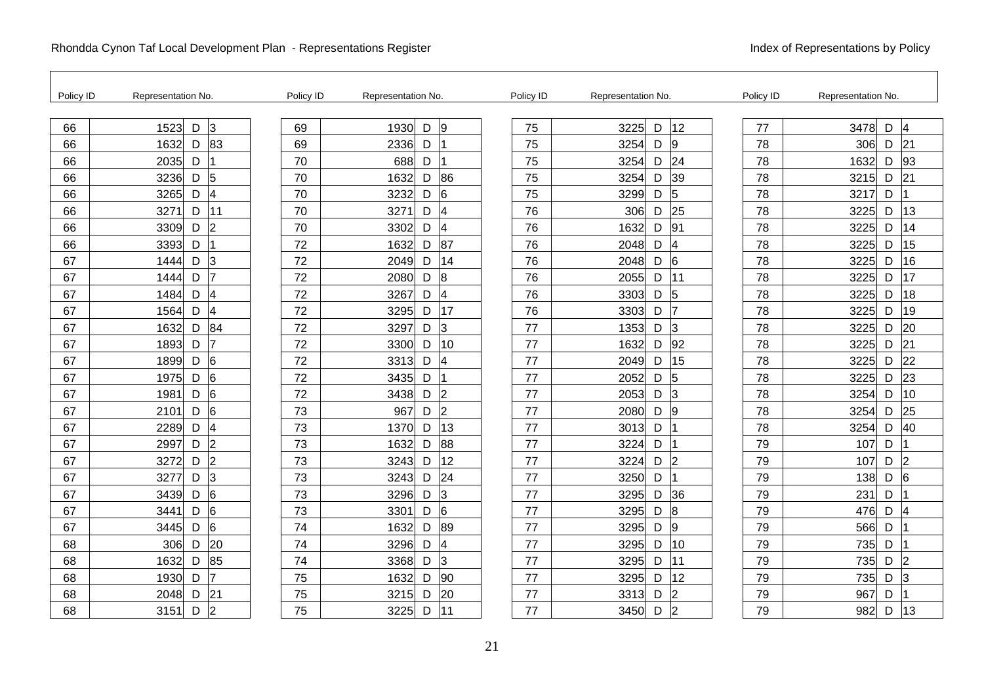| Policy ID | Representation No.                    | Policy ID | Representation No.                    | Policy ID | Representation No.          | Policy ID | Representation No.         |
|-----------|---------------------------------------|-----------|---------------------------------------|-----------|-----------------------------|-----------|----------------------------|
| 66        | $\overline{3}$<br>$\mathsf D$<br>1523 | 69        | 1930<br>9<br>D                        | 75        | 12<br>3225<br>D             | 77        | 3478<br>D<br>4             |
| 66        | 83<br>1632<br>D                       | 69        | 2336<br>D                             | 75        | 3254<br>D<br>19             | 78        | 306<br>D<br>21             |
| 66        | 2035<br>D                             | 70        | 688<br>D                              | 75        | 24<br>3254<br>D             | 78        | 1632<br>93<br>D            |
| 66        | 5<br>3236<br>D                        | 70        | 1632<br>86<br>D                       | 75        | 39<br>3254<br>D             | 78        | 21<br>3215<br>D            |
| 66        | $\overline{\mathbf{4}}$<br>3265<br>D  | 70        | 6<br>3232<br>D                        | 75        | 5<br>3299<br>D              | 78        | 3217<br>D                  |
| 66        | 3271<br>D<br>11                       | 70        | 3271<br>D<br>$\overline{\mathcal{A}}$ | 76        | 25<br>306<br>D              | 78        | 13<br>3225<br>D            |
| 66        | $\overline{2}$<br>3309<br>D           | 70        | 3302<br>$\overline{4}$<br>D           | 76        | 1632<br>91<br>D             | 78        | 3225<br>14<br>D            |
| 66        | D<br>3393<br>$\overline{1}$           | 72        | 87<br>1632<br>D                       | 76        | 2048<br>D<br>4              | 78        | 3225<br>15<br>D            |
| 67        | 3<br>1444<br>D                        | 72        | 14<br>2049<br>D                       | 76        | 2048<br>D<br>6              | 78        | 16<br>3225<br>D            |
| 67        | 17<br>1444<br>D                       | 72        | 8<br>2080<br>D                        | 76        | 2055<br>D<br>11             | 78        | 17<br>3225<br>D            |
| 67        | $\overline{4}$<br>1484<br>D           | 72        | 3267<br>$\overline{\mathcal{A}}$<br>D | 76        | 5<br>3303<br>D              | 78        | 3225<br>18<br>D            |
| 67        | 4<br>D<br>1564                        | 72        | 17<br>3295<br>D                       | 76        | D<br>3303<br>17             | 78        | 19<br>3225<br>D            |
| 67        | 84<br>1632<br>D                       | 72        | 3<br>3297<br>D                        | 77        | 1353<br>3<br>D              | 78        | 20<br>3225<br>D            |
| 67        | 1893<br>D<br>7                        | 72        | 3300<br>10<br>D                       | 77        | 92<br>1632<br>D             | 78        | 3225<br>21<br>D            |
| 67        | 6<br>1899<br>D                        | 72        | 3313<br>$\overline{\mathcal{A}}$<br>D | 77        | 15<br>2049<br>D             | 78        | 22<br>3225<br>D            |
| 67        | 6<br>D<br>1975                        | 72        | 3435<br>D                             | 77        | 2052<br>D<br>5              | 78        | 23<br>3225<br>D            |
| 67        | 6<br>D<br>1981                        | 72        | 3438<br>$\overline{2}$<br>D           | 77        | 2053<br>D<br>3              | 78        | 10<br>3254<br>D            |
| 67        | 6<br>2101<br>D                        | 73        | $\overline{2}$<br>967<br>D            | 77        | 2080<br>D<br>$\overline{9}$ | 78        | 25<br>3254<br>D            |
| 67        | $\overline{\mathcal{A}}$<br>2289<br>D | 73        | 13<br>1370<br>D                       | 77        | 3013<br>D                   | 78        | 40<br>3254<br>D            |
| 67        | $\overline{2}$<br>D<br>2997           | 73        | 88<br>1632<br>D                       | 77        | 3224<br>D                   | 79        | 107<br>D                   |
| 67        | $\overline{2}$<br>3272<br>D           | 73        | 12<br>3243<br>D                       | 77        | 3224<br>D<br>$\overline{2}$ | 79        | 107<br>D<br>$\overline{2}$ |
| 67        | 3<br>3277<br>D                        | 73        | 24<br>3243<br>D                       | 77        | 3250<br>D                   | 79        | 138<br>D<br>6              |
| 67        | $6\overline{6}$<br>3439<br>D          | 73        | 3<br>3296<br>D                        | 77        | 36<br>3295<br>D             | 79        | 231<br>D                   |
| 67        | $\overline{6}$<br>D<br>3441           | 73        | <sup>6</sup><br>3301<br>D             | 77        | 3295<br>D<br>$\overline{8}$ | 79        | D<br>476<br>4              |
| 67        | 6<br>3445<br>D                        | 74        | 89<br>1632<br>D                       | 77        | 3295<br>D<br>9              | 79        | 566<br>D                   |
| 68        | 20<br>306<br>D                        | 74        | 3296<br>$\overline{\mathcal{A}}$<br>D | 77        | 3295<br>10<br>D             | 79        | 735<br>D                   |
| 68        | 85<br>1632<br>D                       | 74        | 3<br>3368<br>D                        | 77        | 11<br>3295<br>D             | 79        | 735<br>D<br>$\overline{2}$ |
| 68        | 17<br>D<br>1930                       | 75        | 90<br>1632<br>D                       | 77        | 12<br>3295<br>D             | 79        | 3<br>735<br>D              |
| 68        | 21<br>2048<br>D                       | 75        | 20<br>3215<br>D                       | 77        | $\overline{2}$<br>3313<br>D | 79        | 967<br>D                   |
| 68        | $\overline{2}$<br>D<br>3151           | 75        | 3225<br>D<br>11                       | 77        | $\overline{2}$<br>3450<br>D | 79        | 982<br>D<br>13             |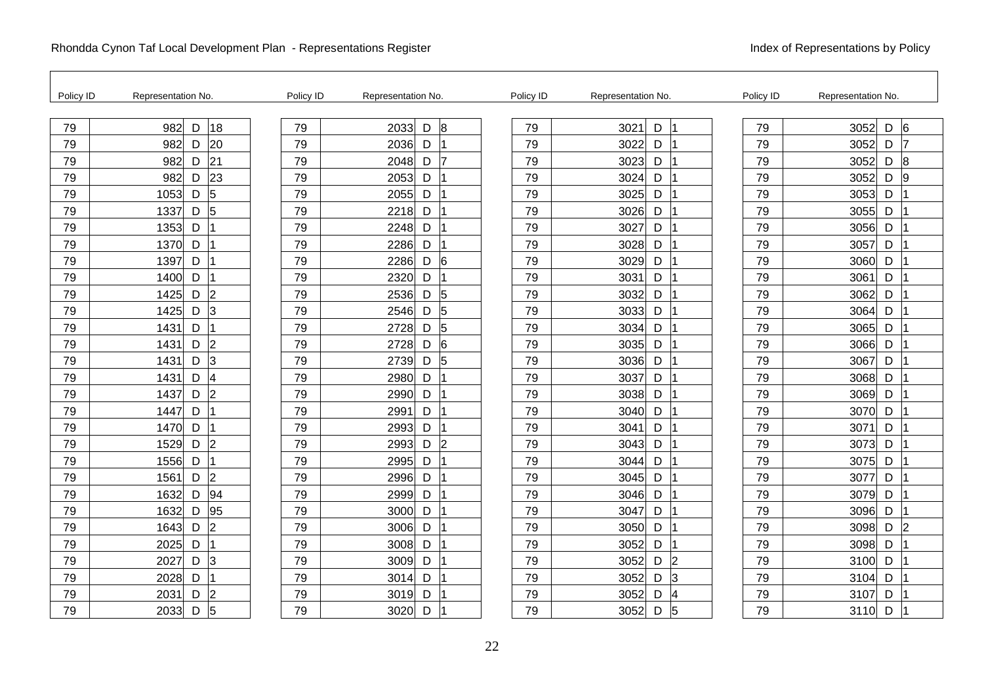| Policy ID | Representation No.          | Policy ID | Representation No.                   | Policy ID | Representation No.          | Policy ID | Representation No.           |
|-----------|-----------------------------|-----------|--------------------------------------|-----------|-----------------------------|-----------|------------------------------|
| 79        | 982<br>18<br>D              | 79        | 2033<br>8<br>D                       | 79        | D<br>3021                   | 79        | $6\overline{6}$<br>3052<br>D |
| 79        | 20<br>982<br>D              | 79        | 2036<br>D                            | 79        | 3022<br>D                   | 79        | D<br>3052<br>17              |
| 79        | 21<br>982<br>D              | 79        | 2048<br>D<br>17                      | 79        | 3023<br>D                   | 79        | 3052<br>$\overline{8}$<br>D  |
| 79        | 23<br>982<br>D              | 79        | 2053<br>D                            | 79        | 3024<br>D                   | 79        | $\overline{9}$<br>3052<br>D  |
| 79        | 5<br>D<br>1053              | 79        | 2055<br>D                            | 79        | 3025<br>D                   | 79        | 3053<br>D                    |
| 79        | $\overline{5}$<br>1337<br>D | 79        | 2218<br>D                            | 79        | 3026<br>D                   | 79        | 3055<br>D                    |
| 79        | 1353<br>D                   | 79        | 2248<br>D                            | 79        | 3027<br>D                   | 79        | 3056<br>D                    |
| 79        | D<br>1370                   | 79        | 2286<br>D<br>11                      | 79        | D<br>3028                   | 79        | D<br>3057                    |
| 79        | D<br>1397                   | 79        | 2286<br>D<br>6                       | 79        | D<br>3029                   | 79        | 3060<br>D                    |
| 79        | D<br>1400                   | 79        | 2320<br>D                            | 79        | 3031<br>D                   | 79        | 3061<br>D                    |
| 79        | $\overline{2}$<br>1425<br>D | 79        | 2536<br>D<br>5                       | 79        | 3032<br>D                   | 79        | 3062<br>D                    |
| 79        | $\vert$ 3<br>D<br>1425      | 79        | 2546<br>5<br>D                       | 79        | D<br>3033                   | 79        | D<br>3064                    |
| 79        | D<br>1431                   | 79        | 2728<br>D<br>5                       | 79        | D<br>3034                   | 79        | 3065<br>D                    |
| 79        | $\vert$ 2<br>1431<br>D      | 79        | 2728<br>D<br>16                      | 79        | 3035<br>D                   | 79        | 3066<br>D                    |
| 79        | $\overline{3}$<br>1431<br>D | 79        | 2739<br>D<br>5                       | 79        | 3036<br>$\mathsf D$         | 79        | 3067<br>D                    |
| 79        | D<br>$\overline{4}$<br>1431 | 79        | 2980<br>D<br>$\overline{\mathbf{1}}$ | 79        | D<br>3037                   | 79        | 3068<br>D                    |
| 79        | $\overline{2}$<br>D<br>1437 | 79        | 2990<br>D                            | 79        | 3038<br>D                   | 79        | 3069<br>D                    |
| 79        | 1447<br>D                   | 79        | 2991<br>D                            | 79        | D<br>3040                   | 79        | D<br>3070                    |
| 79        | D<br>1470                   | 79        | 2993<br>D                            | 79        | D<br>3041                   | 79        | 3071<br>D                    |
| 79        | D<br>$\vert$ 2<br>1529      | 79        | $\overline{2}$<br>2993<br>D          | 79        | D<br>3043                   | 79        | D<br>3073                    |
| 79        | D<br>1556                   | 79        | 2995<br>D                            | 79        | D<br>3044                   | 79        | 3075<br>D                    |
| 79        | $\vert$ 2<br>1561<br>D      | 79        | 2996<br>D                            | 79        | 3045<br>D                   | 79        | 3077<br>D                    |
| 79        | 94<br>1632<br>D             | 79        | 2999<br>D                            | 79        | 3046<br>D                   | 79        | 3079<br>D                    |
| 79        | 95<br>1632<br>D             | 79        | 3000<br>D                            | 79        | 3047<br>D                   | 79        | 3096<br>D                    |
| 79        | $\overline{c}$<br>1643<br>D | 79        | D<br>3006                            | 79        | 3050<br>D                   | 79        | 3098<br>D<br>$\overline{2}$  |
| 79        | 2025<br>D                   | 79        | 3008<br>D                            | 79        | 3052<br>D                   | 79        | 3098<br>D                    |
| 79        | D<br>3<br>2027              | 79        | D<br>3009                            | 79        | D<br>$\overline{2}$<br>3052 | 79        | 3100<br>D                    |
| 79        | D<br>2028                   | 79        | D<br>3014                            | 79        | D<br>$\overline{3}$<br>3052 | 79        | 3104<br>D                    |
| 79        | $\overline{2}$<br>2031<br>D | 79        | 3019<br>D                            | 79        | 3052<br>D<br>4              | 79        | 3107<br>D                    |
| 79        | 5<br>2033<br>D              | 79        | 3020<br>D                            | 79        | 5<br>3052<br>D              | 79        | 3110<br>D                    |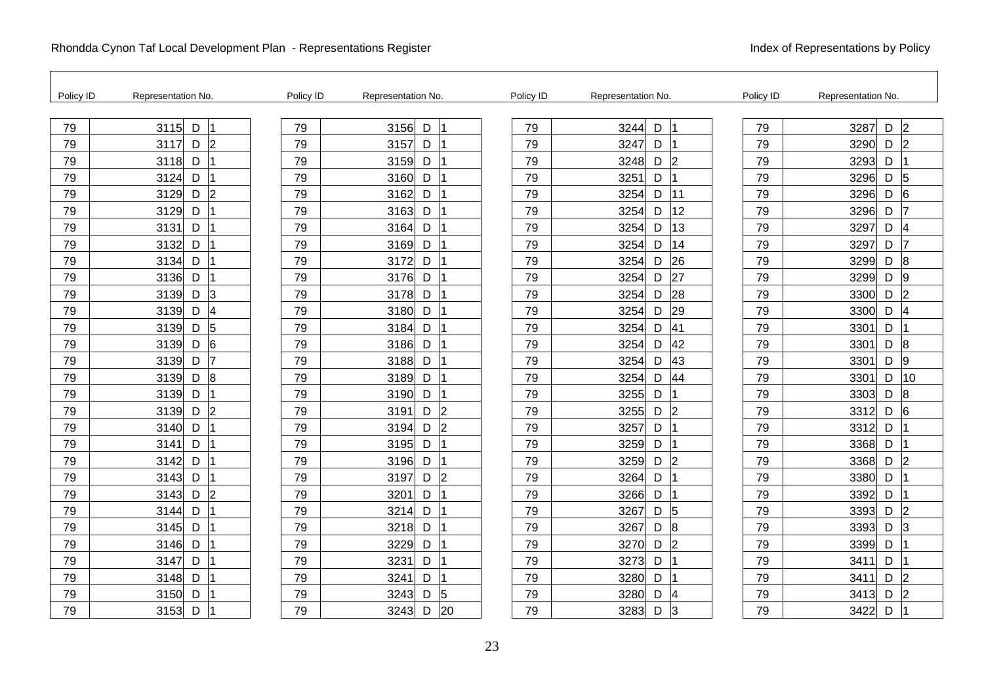| Policy ID | Representation No.                | Policy ID | Representation No.          | Policy ID | Representation No.                | Policy ID | Representation No.            |
|-----------|-----------------------------------|-----------|-----------------------------|-----------|-----------------------------------|-----------|-------------------------------|
| 79        | 3115<br>D                         | 79        | 3156<br>D                   | 79        | 3244<br>D                         | 79        | $\overline{2}$<br>3287<br>D   |
| 79        | $\vert$ 2<br>3117<br>D            | 79        | 3157<br>D                   | 79        | 3247<br>D                         | 79        | $\overline{2}$<br>3290<br>D   |
| 79        | 3118<br>D                         | 79        | 3159<br>D                   | 79        | $\vert$ <sub>2</sub><br>3248<br>D | 79        | 3293<br>D                     |
| 79        | 3124<br>D                         | 79        | D<br>3160                   | 79        | 3251<br>D                         | 79        | 3296<br>D<br>5                |
| 79        | $\overline{2}$<br>D<br>3129       | 79        | 3162<br>D                   | 79        | 3254<br>D<br>111                  | 79        | 3296<br>$6\phantom{a}6$<br>D  |
| 79        | 3129<br>D                         | 79        | 3163<br>D                   | 79        | 12<br>3254<br>D                   | 79        | 3296<br>D                     |
| 79        | 3131<br>D                         | 79        | 3164<br>D                   | 79        | 13<br>3254<br>D                   | 79        | 3297<br>D<br>4                |
| 79        | 3132<br>D                         | 79        | 3169<br>D                   | 79        | 3254<br>D<br>14                   | 79        | 3297<br>D<br>17               |
| 79        | D<br>3134                         | 79        | D<br>3172                   | 79        | 26<br>3254<br>D                   | 79        | $\boldsymbol{8}$<br>3299<br>D |
| 79        | 3136<br>D                         | 79        | 3176<br>D                   | 79        | 27<br>3254<br>D                   | 79        | 3299<br>D<br>$\overline{9}$   |
| 79        | lЗ<br>3139<br>D                   | 79        | 3178<br>D                   | 79        | 28<br>3254<br>D                   | 79        | 3300<br> 2 <br>D              |
| 79        | 3139<br>D<br>$\overline{4}$       | 79        | 3180<br>D                   | 79        | 29<br>3254<br>D                   | 79        | D<br>3300<br>$\overline{4}$   |
| 79        | 5<br>3139<br>D                    | 79        | 3184<br>D                   | 79        | 41<br>3254<br>D                   | 79        | 3301<br>D                     |
| 79        | 3139<br>6<br>D                    | 79        | 3186<br>D                   | 79        | 42<br>3254<br>D                   | 79        | 3301<br>D<br>$\boldsymbol{8}$ |
| 79        | 7<br>D<br>3139                    | 79        | 3188<br>D                   | 79        | 43<br>3254<br>D                   | 79        | D<br> 9<br>3301               |
| 79        | $\overline{8}$<br>3139<br>D       | 79        | 3189<br>D                   | 79        | 44<br>3254<br>D                   | 79        | 3301<br>D<br>10               |
| 79        | 3139<br>D                         | 79        | 3190<br>D                   | 79        | 3255<br>D                         | 79        | 3303<br>8<br>D                |
| 79        | $\vert$ <sub>2</sub><br>3139<br>D | 79        | 3191<br> 2 <br>D            | 79        | $\vert$ <sub>2</sub><br>3255<br>D | 79        | 3312<br>D<br>6                |
| 79        | D<br>3140                         | 79        | $\overline{2}$<br>D<br>3194 | 79        | 3257<br>D                         | 79        | 3312<br>D                     |
| 79        | 3141<br>D                         | 79        | 3195<br>D                   | 79        | 3259<br>D                         | 79        | 3368<br>D                     |
| 79        | D<br>3142                         | 79        | 3196<br>D                   | 79        | 2<br>3259<br>D                    | 79        | 3368<br>D<br>$\overline{2}$   |
| 79        | 3143<br>D                         | 79        | 3197<br>D<br>2              | 79        | 3264<br>D                         | 79        | 3380<br>D                     |
| 79        | $\overline{2}$<br>D<br>3143       | 79        | 3201<br>D                   | 79        | 3266<br>D                         | 79        | 3392<br>D                     |
| 79        | D<br>3144                         | 79        | 3214<br>D                   | 79        | D<br>5<br>3267                    | 79        | 2<br>3393<br>D                |
| 79        | D<br>3145                         | 79        | 3218<br>D                   | 79        | $\overline{8}$<br>3267<br>D       | 79        | 3393<br>D<br>3                |
| 79        | 3146<br>D                         | 79        | 3229<br>D                   | 79        | 2 <br>3270<br>D                   | 79        | 3399<br>D                     |
| 79        | D<br>3147                         | 79        | 3231<br>D                   | 79        | 3273<br>D                         | 79        | D<br>3411                     |
| 79        | D<br>3148                         | 79        | 3241<br>D                   | 79        | D<br>3280                         | 79        | 3411<br>D<br>$\overline{2}$   |
| 79        | D<br>3150                         | 79        | 3243<br>D<br>5              | 79        | 3280<br>D<br>4                    | 79        | D<br>3413<br>12               |
| 79        | D<br>3153                         | 79        | 3243<br>20<br>D             | 79        | 3283<br>D<br>3                    | 79        | D<br>3422                     |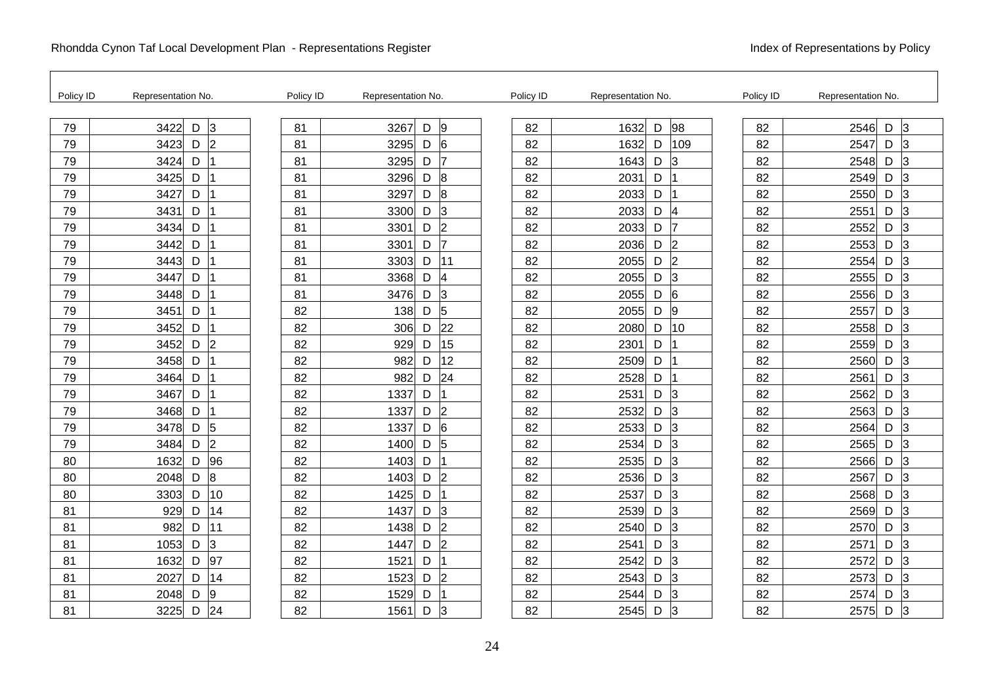F

| Policy ID | Representation No.          | Policy ID | Representation No. |   |                | Policy ID | Representation No. |                     | Policy ID | Representation No. |   |                |
|-----------|-----------------------------|-----------|--------------------|---|----------------|-----------|--------------------|---------------------|-----------|--------------------|---|----------------|
| 79        | 3422<br>D<br>lЗ             | 81        | 3267               | D | 9              | 82        | 1632               | 98<br>D             | 82        | 2546               | D | l3             |
| 79        | $\overline{2}$<br>3423<br>D | 81        | 3295               | D | 6              | 82        | 1632               | 109<br>D            | 82        | 2547               | D | $\overline{3}$ |
| 79        | 3424<br>D                   | 81        | 3295               | D | 17             | 82        | 1643               | 3<br>D              | 82        | 2548               | D | $\overline{3}$ |
| 79        | 3425<br>D                   | 81        | 3296               | D | $\overline{8}$ | 82        | 2031               | D                   | 82        | 2549               | D | 3              |
| 79        | D<br>3427                   | 81        | 3297               | D | 8              | 82        | 2033               | D                   | 82        | 2550               | D | 3              |
| 79        | 3431<br>D                   | 81        | 3300               | D | 3              | 82        | 2033               | D<br>14             | 82        | 2551               | D | 3              |
| 79        | 3434<br>D                   | 81        | 3301               | D | $\overline{2}$ | 82        | 2033               | 17<br>D             | 82        | 2552               | D | 3              |
| 79        | 3442<br>D                   | 81        | 3301               | D | 17             | 82        | 2036<br>D          | 2                   | 82        | 2553               | D | 3              |
| 79        | D<br>3443                   | 81        | 3303               | D | 11             | 82        | 2055               | D<br>l2             | 82        | 2554               | D | 3              |
| 79        | D<br>3447                   | 81        | 3368               | D | $\overline{4}$ | 82        | 2055               | D<br>3              | 82        | 2555               | D | 3              |
| 79        | 3448<br>D                   | 81        | 3476               | D | 3              | 82        | 2055               | 6<br>D              | 82        | 2556               | D | $\overline{3}$ |
| 79        | 3451<br>D                   | 82        | 138                | D | 5              | 82        | 2055               | D<br> 9             | 82        | 2557               | D | 3              |
| 79        | 3452<br>D                   | 82        | 306                | D | 22             | 82        | 2080               | 10<br>D             | 82        | 2558               | D | 3              |
| 79        | $\overline{2}$<br>3452<br>D | 82        | 929                | D | 15             | 82        | 2301               | D                   | 82        | 2559               | D | 3              |
| 79        | 3458<br>D                   | 82        | 982                | D | 12             | 82        | 2509               | D                   | 82        | 2560               | D | 3              |
| 79        | D<br>3464                   | 82        | 982                | D | 24             | 82        | 2528               | D                   | 82        | 2561               | D | 3              |
| 79        | D<br>3467                   | 82        | 1337               | D |                | 82        | 2531               | D<br>3              | 82        | 2562               | D | 3              |
| 79        | 3468<br>D                   | 82        | 1337               | D | 2              | 82        | 2532               | $\overline{3}$<br>D | 82        | 2563               | D | 3              |
| 79        | $\sqrt{5}$<br>3478<br>D     | 82        | 1337               | D | 6              | 82        | 2533               | $\overline{3}$<br>D | 82        | 2564               | D | 3              |
| 79        | $\overline{2}$<br>3484<br>D | 82        | 1400               | D | $\overline{5}$ | 82        | 2534               | D<br>$\overline{3}$ | 82        | 2565               | D | 3              |
| 80        | 96<br>D<br>1632             | 82        | 1403               | D |                | 82        | 2535               | D<br>3              | 82        | 2566               | D | 3              |
| 80        | 8<br>2048<br>D              | 82        | 1403               | D | $\overline{2}$ | 82        | 2536               | D<br>3              | 82        | 2567               | D | 13             |
| 80        | 10<br>3303<br>D             | 82        | 1425               | D |                | 82        | 2537               | 3<br>D              | 82        | 2568               | D | 3              |
| 81        | D<br>14<br>929              | 82        | 1437               | D | 3              | 82        | 2539               | D<br>3              | 82        | 2569               | D | 3              |
| 81        | 982<br>11<br>D              | 82        | 1438               | D | $\overline{2}$ | 82        | 2540               | D<br>3              | 82        | 2570               | D | 3              |
| 81        | 3<br>1053<br>D              | 82        | 1447               | D | $\overline{2}$ | 82        | 2541               | $\overline{3}$<br>D | 82        | 2571               | D | 3              |
| 81        | 97<br>1632<br>D             | 82        | 1521               | D |                | 82        | 2542               | $\overline{3}$<br>D | 82        | 2572               | D | 3              |
| 81        | 14<br>2027<br>D             | 82        | 1523               | D | $\overline{2}$ | 82        | 2543               | D<br>3              | 82        | 2573               | D | 3              |
| 81        | 9<br>2048<br>D              | 82        | 1529               | D |                | 82        | 2544               | D<br>3              | 82        | 2574               | D | 3              |
| 81        | 3225<br>D<br>24             | 82        | 1561               | D | 3              | 82        | 2545               | D<br>3              | 82        | 2575               | D | 3              |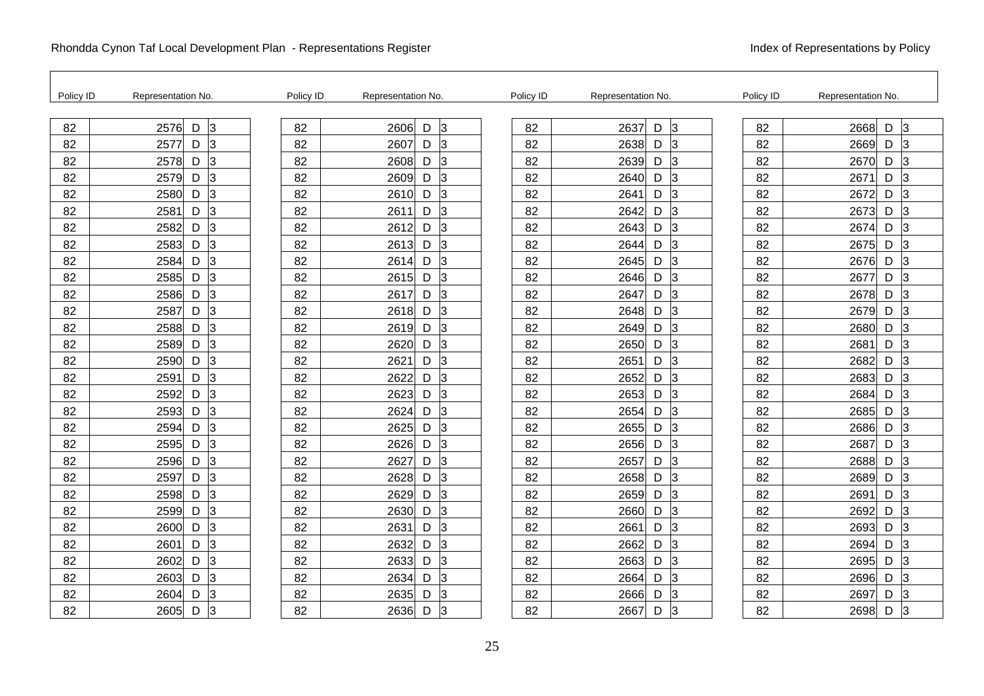| Policy ID | Representation No.        | Policy ID | Representation No. | Policy ID | Representation No.          | Policy ID | Representation No.          |
|-----------|---------------------------|-----------|--------------------|-----------|-----------------------------|-----------|-----------------------------|
| 82        | l3<br>2576<br>$\mathsf D$ | 82        | 2606<br>3<br>D     | 82        | $\overline{3}$<br>2637<br>D | 82        | lЗ<br>2668<br>D             |
| 82        | 3<br>2577<br>D            | 82        | 3<br>2607<br>D     | 82        | 2638<br>D<br>3              | 82        | D<br>$\overline{3}$<br>2669 |
| 82        | 3<br>2578<br>D            | 82        | 2608<br>3<br>D     | 82        | lЗ<br>2639<br>D             | 82        | 3<br>2670<br>D              |
| 82        | 3<br>2579<br>D            | 82        | 3<br>2609<br>D     | 82        | 2640<br>D<br>3              | 82        | 2671<br>D<br>3              |
| 82        | D<br>3<br>2580            | 82        | 3<br>2610<br>D     | 82        | 2641<br>D<br>3              | 82        | 2672<br>D<br>3              |
| 82        | 3<br>2581<br>D            | 82        | 2611<br>3<br>D     | 82        | 2642<br>D<br>3              | 82        | 2673<br>D<br>13             |
| 82        | l3<br>2582<br>D           | 82        | 2612<br>3<br>D     | 82        | lЗ<br>2643<br>D             | 82        | 2674<br>D<br>3              |
| 82        | 3<br>2583<br>D            | 82        | 3<br>2613<br>D     | 82        | 2644<br>D<br>3              | 82        | 3<br>2675<br>D              |
| 82        | 3<br>2584<br>D            | 82        | 2614<br>D<br>3     | 82        | 2645<br>D<br>3              | 82        | 2676<br>3<br>D              |
| 82        | 3<br>2585<br>D            | 82        | 3<br>2615<br>D     | 82        | 2646<br>D<br>$\overline{3}$ | 82        | 2677<br>D<br>3              |
| 82        | 3<br>2586<br>D            | 82        | 2617<br>3<br>D     | 82        | 2647<br>$\overline{3}$<br>D | 82        | $\overline{3}$<br>2678<br>D |
| 82        | 3<br>2587<br>D            | 82        | 2618<br>3<br>D     | 82        | 2648<br>D<br>$\overline{3}$ | 82        | 2679<br>D<br>3              |
| 82        | D<br>3<br>2588            | 82        | 3<br>2619<br>D     | 82        | 2649<br>D<br>3              | 82        | 2680<br>D<br>3              |
| 82        | 3<br>2589<br>D            | 82        | 2620<br>3<br>D     | 82        | 2650<br>D<br>$\overline{3}$ | 82        | 2681<br>D<br>3              |
| 82        | 3<br>2590<br>D            | 82        | 2621<br>3<br>D     | 82        | 2651<br>D<br>3              | 82        | 2682<br>3<br>D              |
| 82        | 3<br>2591<br>D            | 82        | 3<br>2622<br>D     | 82        | 2652<br>D<br>3              | 82        | D<br>3<br>2683              |
| 82        | 3<br>2592<br>D            | 82        | 2623<br>D<br>3     | 82        | 2653<br>D<br>IЗ             | 82        | 2684<br>3<br>D              |
| 82        | 3<br>2593<br>D            | 82        | 2624<br>3<br>D     | 82        | 2654<br>D<br>$\overline{3}$ | 82        | 2685<br>D<br>3              |
| 82        | 3<br>2594<br>D            | 82        | 2625<br>3<br>D     | 82        | 2655<br>lЗ<br>D             | 82        | 2686<br>D<br>3              |
| 82        | 3<br>2595<br>D            | 82        | 2626<br>3<br>D     | 82        | D<br>2656<br>3              | 82        | 2687<br>D<br>3              |
| 82        | 3<br>D<br>2596            | 82        | 2627<br>D<br>3     | 82        | 2657<br>D<br>3              | 82        | 2688<br>3<br>D              |
| 82        | 3<br>2597<br>D            | 82        | 2628<br>D<br>3     | 82        | 2658<br>D<br>3              | 82        | 2689<br>D<br>13             |
| 82        | 3<br>2598<br>D            | 82        | 2629<br>3<br>D     | 82        | 2659<br>D<br>3              | 82        | 2691<br>3<br>D              |
| 82        | lЗ<br>D<br>2599           | 82        | 2630<br>3<br>D     | 82        | D<br>3<br>2660              | 82        | D<br>3<br>2692              |
| 82        | 3<br>D<br>2600            | 82        | 2631<br>D<br>3     | 82        | 2661<br>D<br>3              | 82        | 2693<br>3<br>D              |
| 82        | 3<br>2601<br>D            | 82        | 2632<br>3<br>D     | 82        | 2662<br>$\overline{3}$<br>D | 82        | 2694<br>D<br>13             |
| 82        | 3<br>2602<br>D            | 82        | 2633<br>3<br>D     | 82        | 2663<br>3<br>D              | 82        | 2695<br>D<br>3              |
| 82        | 3<br>D<br>2603            | 82        | 2634<br>3<br>D     | 82        | D<br>2664<br>3              | 82        | D<br>3<br>2696              |
| 82        | 3<br>2604<br>D            | 82        | 2635<br>D<br>3     | 82        | 2666<br>D<br>3              | 82        | 2697<br>D<br>3              |
| 82        | 3<br>2605<br>D            | 82        | 2636<br>3<br>D     | 82        | 2667<br>D<br>3              | 82        | 2698<br>D<br>3              |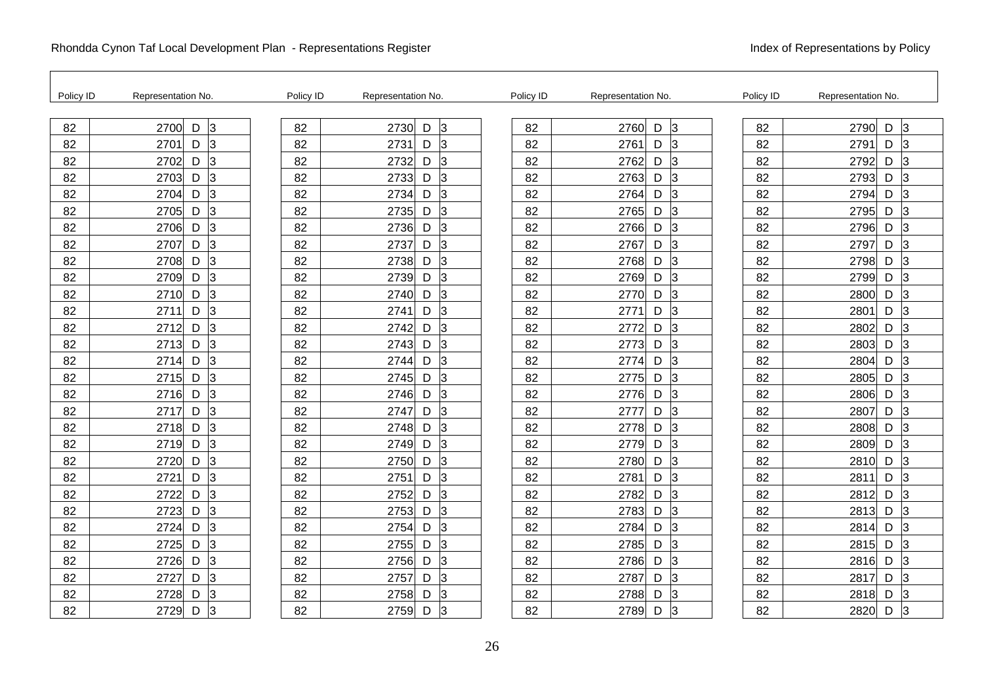| Policy ID | Representation No.     | Policy ID | Representation No.          | Policy ID | Representation No.          | Policy ID | Representation No.     |
|-----------|------------------------|-----------|-----------------------------|-----------|-----------------------------|-----------|------------------------|
| 82        | $\vert$ 3<br>2700<br>D | 82        | 2730<br>l3<br>D             | 82        | $\overline{3}$<br>2760<br>D | 82        | $\vert$ 3<br>2790<br>D |
| 82        | $\vert$ 3<br>2701<br>D | 82        | 2731<br>13<br>D             | 82        | 2761<br>D<br>$\vert$ 3      | 82        | D<br>3<br>2791         |
| 82        | 3<br>2702<br>D         | 82        | 2732<br>D<br>3              | 82        | $\vert$ 3<br>2762<br>D      | 82        | 2792<br>D<br>3         |
| 82        | 3<br>D<br>2703         | 82        | 2733<br>3<br>D              | 82        | 2763<br>$\vert$ 3<br>D      | 82        | D<br>3<br>2793         |
| 82        | 2704<br>D<br>3         | 82        | 2734<br>D<br>3              | 82        | $\overline{3}$<br>2764<br>D | 82        | 2794<br>D<br>3         |
| 82        | 3<br>2705<br>D         | 82        | 2735<br>D<br>13             | 82        | 2765<br>D<br>$\vert$ 3      | 82        | 2795<br>D<br>3         |
| 82        | 3<br>2706<br>D         | 82        | 2736<br>D<br>3              | 82        | 2766<br>$\vert$ 3<br>D      | 82        | 2796<br>D<br>$\vert$ 3 |
| 82        | Iз<br>2707<br>D        | 82        | 3<br>2737<br>D              | 82        | 2767<br>D<br>$\vert$ 3      | 82        | 3<br>2797<br>D         |
| 82        | D<br>3<br>2708         | 82        | 2738<br>D<br>3              | 82        | 2768<br>D<br>3              | 82        | 3<br>2798<br>D         |
| 82        | 3<br>2709<br>D         | 82        | 2739<br>3<br>D              | 82        | 2769<br>D<br>$\vert$ 3      | 82        | 2799<br>D<br>3         |
| 82        | 3<br>D<br>2710         | 82        | 2740<br>D<br>3              | 82        | $\overline{3}$<br>2770<br>D | 82        | 2800<br>D<br>3         |
| 82        | 3<br>2711<br>D         | 82        | 2741<br>D<br>3              | 82        | 2771<br>D<br>$\vert$ 3      | 82        | 3<br>2801<br>D         |
| 82        | l3<br>2712<br>D        | 82        | 2742<br>D<br>3              | 82        | 2772<br>D<br>13             | 82        | 2802<br>D<br>3         |
| 82        | 3<br>2713<br>D         | 82        | 2743<br>D<br>3              | 82        | 2773<br>D<br>$\vert$ 3      | 82        | 2803<br>D<br>3         |
| 82        | 3<br>D<br>2714         | 82        | 2744<br>D<br>3              | 82        | $\vert$ 3<br>2774<br>D      | 82        | $\vert$ 3<br>2804<br>D |
| 82        | 3<br>2715<br>D         | 82        | 2745<br>D<br>3              | 82        | 2775<br>D<br>3              | 82        | 2805<br>D<br>3         |
| 82        | D<br>3<br>2716         | 82        | 2746<br>3<br>D              | 82        | 2776<br>$\overline{3}$<br>D | 82        | 2806<br>D<br>3         |
| 82        | 3<br>2717<br>D         | 82        | 2747<br>3<br>D              | 82        | 2777<br>D<br>$\vert$ 3      | 82        | 2807<br>D<br>3         |
| 82        | 3<br>2718<br>D         | 82        | 2748<br>D<br>3              | 82        | $\overline{3}$<br>2778<br>D | 82        | 2808<br>D<br>3         |
| 82        | D<br>3<br>2719         | 82        | 2749<br>3<br>D              | 82        | 2779<br>D<br>13             | 82        | 3<br>2809<br>D         |
| 82        | 2720<br>D<br>3         | 82        | 2750<br>D<br>3              | 82        | 2780<br>D<br>3              | 82        | 2810<br>D<br>3         |
| 82        | 3<br>2721<br>D         | 82        | 2751<br>3<br>D              | 82        | 2781<br>D<br>$\vert$ 3      | 82        | 2811<br>D<br>3         |
| 82        | 3<br>2722<br>D         | 82        | 2752<br>D<br>3              | 82        | 2782<br>D<br>$\overline{3}$ | 82        | D<br>2812<br>3         |
| 82        | 3<br>D<br>2723         | 82        | 3<br>2753<br>D              | 82        | 2783<br>D<br>3              | 82        | 2813<br>D<br>3         |
| 82        | l3<br>2724<br>D        | 82        | 2754<br>3<br>D              | 82        | 2784<br>D<br>$\overline{3}$ | 82        | 2814<br>D<br>3         |
| 82        | 3<br>2725<br>D         | 82        | $\overline{3}$<br>2755<br>D | 82        | 2785<br>$\vert$ 3<br>D      | 82        | 2815<br>D<br>3         |
| 82        | 3<br>2726<br>D         | 82        | 2756<br>3<br>D              | 82        | $\vert$ 3<br>2786<br>D      | 82        | 3<br>2816<br>D         |
| 82        | 3<br>2727<br>D         | 82        | 3<br>2757<br>D              | 82        | 2787<br>D<br>$\vert$ 3      | 82        | 2817<br>3<br>D         |
| 82        | 3<br>2728<br>D         | 82        | 2758<br>D<br>3              | 82        | 2788<br>D<br>3              | 82        | 2818<br>D<br>3         |
| 82        | 3<br>2729<br>D         | 82        | 3<br>2759<br>D              | 82        | 2789<br>D<br>$\vert$ 3      | 82        | 2820<br>D<br>3         |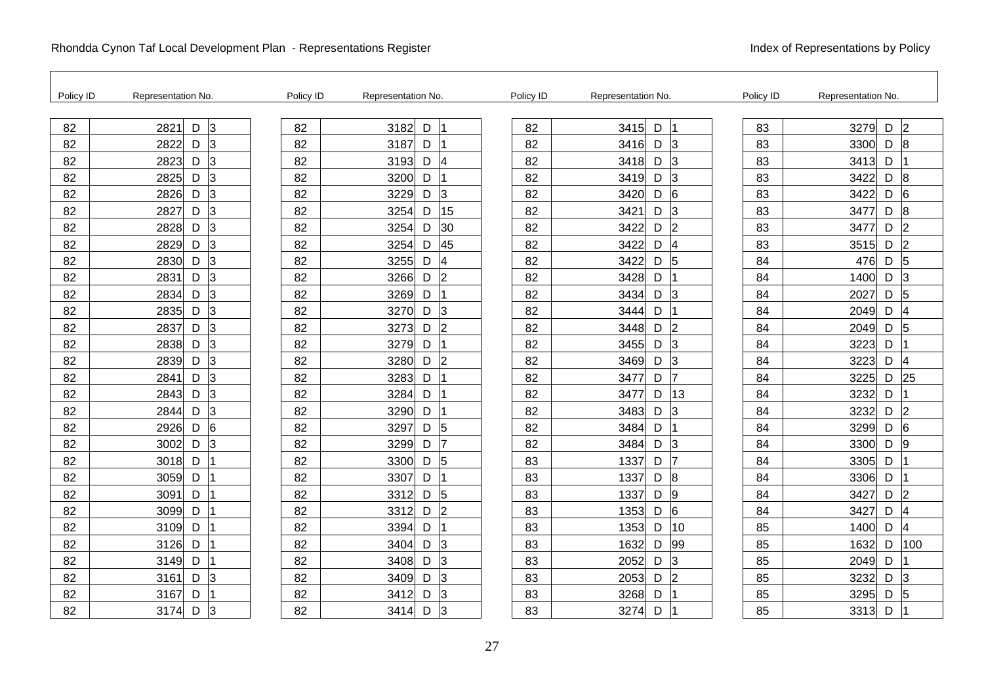| Policy ID | Representation No.           | Policy ID | Representation No.          | Policy ID | Representation No.          | Policy ID | Representation No.            |
|-----------|------------------------------|-----------|-----------------------------|-----------|-----------------------------|-----------|-------------------------------|
| 82        | $\overline{3}$<br>D<br>2821  | 82        | D<br>3182                   | 82        | 3415<br>$\mathsf D$<br>Ι1   | 83        | $\overline{2}$<br>3279<br>D   |
| 82        | 3<br>2822<br>D               | 82        | 3187<br>D                   | 82        | 3416<br>D<br>3              | 83        | D<br>$\overline{8}$<br>3300   |
| 82        | l3<br>2823<br>D              | 82        | 3193<br>D<br>4              | 82        | 3418<br>D<br>$\overline{3}$ | 83        | 3413<br>D                     |
| 82        | 3<br>2825<br>D               | 82        | 3200<br>D                   | 82        | D<br>3<br>3419              | 83        | D<br>$\boldsymbol{8}$<br>3422 |
| 82        | 3<br>D<br>2826               | 82        | 3<br>3229<br>D              | 82        | D<br>6<br>3420              | 83        | 6<br>3422<br>D                |
| 82        | 3<br>2827<br>D               | 82        | 15<br>3254<br>D             | 82        | 3421<br>D<br>3              | 83        | $\boldsymbol{8}$<br>3477<br>D |
| 82        | 3<br>2828<br>D               | 82        | 3254<br>30<br>D             | 82        | 2<br>3422<br>D              | 83        | $\overline{2}$<br>3477<br>D   |
| 82        | 3<br>2829<br>D               | 82        | 45<br>3254<br>D             | 82        | 4<br>3422<br>D              | 83        | $\overline{2}$<br>3515<br>D   |
| 82        | 3<br>D<br>2830               | 82        | 4<br>3255<br>D              | 82        | 5<br>D<br>3422              | 84        | 5<br>D<br>476                 |
| 82        | 3<br>2831<br>D               | 82        | $\overline{2}$<br>3266<br>D | 82        | 3428<br>D                   | 84        | 1400<br>D<br>3                |
| 82        | 3<br>2834<br>D               | 82        | 3269<br>D                   | 82        | 3434<br>D<br>3              | 84        | $\overline{5}$<br>2027<br>D   |
| 82        | 3<br>2835<br>D               | 82        | 3<br>3270<br>D              | 82        | 3444<br>D                   | 84        | D<br>2049<br>14               |
| 82        | 3<br>D<br>2837               | 82        | $\overline{2}$<br>3273<br>D | 82        | 3448<br>D<br>12             | 84        | 2049<br>D<br>5                |
| 82        | 3<br>2838<br>D               | 82        | 3279<br>D                   | 82        | 3455<br>D<br>3              | 84        | 3223<br>D                     |
| 82        | 3<br>2839<br>D               | 82        | 3280<br>$\overline{2}$<br>D | 82        | 3<br>3469<br>D              | 84        | 3223<br>D<br>4                |
| 82        | 3<br>2841<br>D               | 82        | 3283<br>D                   | 82        | D<br>17<br>3477             | 84        | 25<br>3225<br>D               |
| 82        | $\overline{3}$<br>D<br>2843  | 82        | 3284<br>D                   | 82        | 13<br>3477<br>D             | 84        | 3232<br>D                     |
| 82        | 3<br>2844<br>D               | 82        | 3290<br>D                   | 82        | 3483<br>D<br>3              | 84        | 3232<br>D<br> 2               |
| 82        | $6\overline{6}$<br>2926<br>D | 82        | 3297<br>5<br>D              | 82        | 3484<br>D                   | 84        | 3299<br>6<br>D                |
| 82        | 3<br>3002<br>D               | 82        | 3299<br>17<br>D             | 82        | D<br>3<br>3484              | 84        | 3300<br>D<br>$\overline{9}$   |
| 82        | D<br>3018                    | 82        | 3300<br>5<br>D              | 83        | 1337<br>D<br>17             | 84        | 3305<br>D                     |
| 82        | 3059<br>D                    | 82        | 3307<br>D                   | 83        | 1337<br>D<br>18             | 84        | 3306<br>D                     |
| 82        | 3091<br>D                    | 82        | 3312<br>5<br>D              | 83        | 1337<br>D<br>l9             | 84        | 3427<br>D<br>$\overline{2}$   |
| 82        | D<br>3099                    | 82        | $\overline{2}$<br>3312<br>D | 83        | D<br>6<br>1353              | 84        | D<br>3427<br>14               |
| 82        | D<br>3109                    | 82        | 3394<br>D                   | 83        | 10<br>1353<br>D             | 85        | 1400<br>D<br>4                |
| 82        | 3126<br>D                    | 82        | 3404<br>13<br>D             | 83        | 1632<br>99<br>D             | 85        | 1632<br>D<br>100              |
| 82        | 3149<br>D                    | 82        | 3<br>3408<br>D              | 83        | 3<br>2052<br>D              | 85        | 2049<br>D                     |
| 82        | 3<br>3161<br>D               | 82        | 3<br>3409<br>D              | 83        | D<br>$\overline{2}$<br>2053 | 85        | 3232<br>D<br>3                |
| 82        | D<br>3167                    | 82        | 3412<br>D<br>3              | 83        | 3268<br>D                   | 85        | 3295<br>D<br>5                |
| 82        | 3174<br>D<br>3               | 82        | 3414<br>3<br>D              | 83        | 3274<br>D                   | 85        | 3313<br>D                     |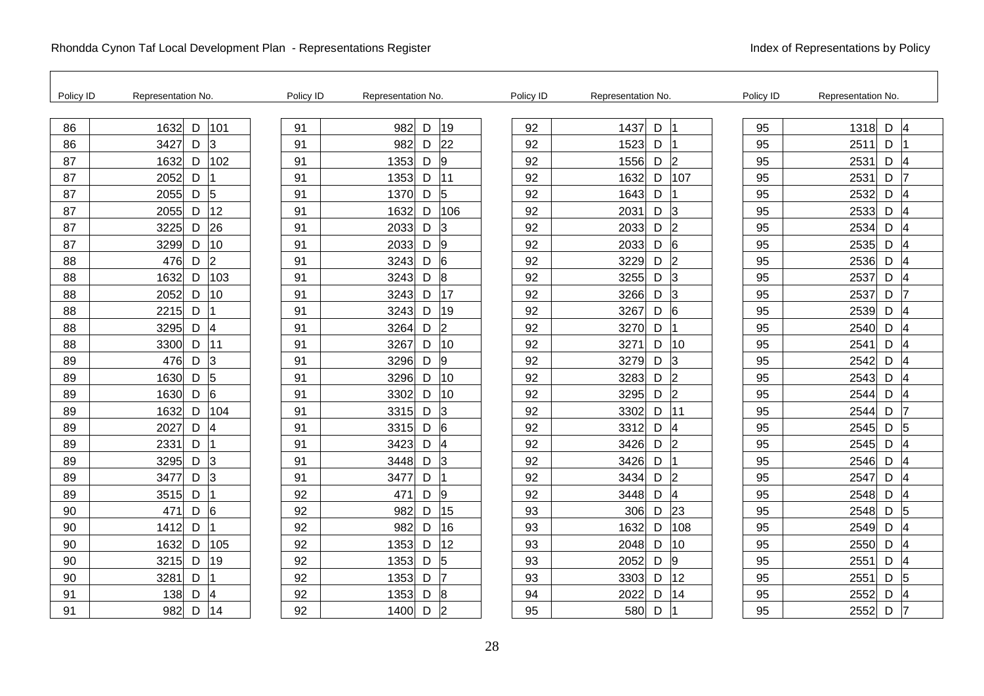| Policy ID | Representation No.                              | Policy ID | Representation No.          | Policy ID | Representation No.                    | Policy ID | Representation No.          |
|-----------|-------------------------------------------------|-----------|-----------------------------|-----------|---------------------------------------|-----------|-----------------------------|
| 86        | D<br>101<br>1632                                | 91        | 19<br>982<br>D              | 92        | 1437<br>$\mathsf D$                   | 95        | 1318<br>D<br>4              |
| 86        | 3427<br>IЗ<br>D                                 | 91        | 22<br>982<br>D              | 92        | 1523<br>D                             | 95        | D<br>2511                   |
| 87        | 102<br>1632<br>D                                | 91        | 9<br>1353<br>D              | 92        | $\overline{2}$<br>1556<br>D           | 95        | 2531<br>D<br>4              |
| 87        | 2052<br>D                                       | 91        | 1353<br>11<br>D             | 92        | 1632<br>D<br>107                      | 95        | D<br>2531<br>17             |
| 87        | 5<br>$\mathsf D$<br>2055                        | 91        | 5<br>D<br>1370              | 92        | 1643<br>D                             | 95        | 2532<br>D<br>4              |
| 87        | 12<br>2055<br>D                                 | 91        | 106<br>1632<br>D            | 92        | 2031<br>D<br>$\overline{3}$           | 95        | 2533<br>D<br>14             |
| 87        | 26<br>3225<br>D                                 | 91        | 2033<br>3<br>D              | 92        | $D$ 2<br>2033                         | 95        | 2534<br>D<br>4              |
| 87        | 3299<br>10<br>D                                 | 91        | 9<br>2033<br>D              | 92        | 2033<br>D<br>$6\phantom{.}6$          | 95        | 2535<br>D<br>14             |
| 88        | $\overline{2}$<br>D<br>476                      | 91        | 6<br>3243<br>D              | 92        | D<br>2<br>3229                        | 95        | 2536<br>D<br>4              |
| 88        | 1632<br>103<br>D                                | 91        | 8<br>3243<br>D              | 92        | 3255<br>D<br>3                        | 95        | 2537<br>D<br>14             |
| 88        | 10<br>2052<br>D                                 | 91        | 17<br>3243<br>D             | 92        | 3<br>3266<br>D                        | 95        | 2537<br>D<br>7              |
| 88        | 2215<br>D                                       | 91        | 19<br>3243<br>D             | 92        | 3267<br>D<br>$6\phantom{1}6$          | 95        | D<br>2539<br>4              |
| 88        | $\overline{\mathcal{A}}$<br>$\mathsf D$<br>3295 | 91        | $\overline{2}$<br>3264<br>D | 92        | 3270<br>D                             | 95        | 2540<br>D<br>4              |
| 88        | 3300<br>11<br>D                                 | 91        | 10<br>3267<br>D             | 92        | 3271<br>D<br>10                       | 95        | D<br>2541<br>14             |
| 89        | $\overline{3}$<br>476<br>D                      | 91        | 3296<br>9<br>D              | 92        | 3<br>3279<br>D                        | 95        | 2542<br>D<br>4              |
| 89        | 5<br>1630<br>D                                  | 91        | 3296<br>10<br>D             | 92        | 3283<br>D<br>2                        | 95        | D<br>2543<br>14             |
| 89        | 6<br>$\mathsf D$<br>1630                        | 91        | 10<br>3302<br>D             | 92        | 3295<br>D<br>2                        | 95        | 2544<br>D<br>4              |
| 89        | 104<br>1632<br>D                                | 91        | 3<br>3315<br>D              | 92        | 3302<br>D<br>11                       | 95        | 2544<br>D                   |
| 89        | 4<br>2027<br>D                                  | 91        | 3315<br>6<br>D              | 92        | $\overline{\mathcal{A}}$<br>3312<br>D | 95        | 5<br>2545<br>D              |
| 89        | 2331<br>D                                       | 91        | 3423<br>D<br>4              | 92        | $\overline{2}$<br>3426<br>D           | 95        | 2545<br>D<br>14             |
| 89        | 3<br>D<br>3295                                  | 91        | 3<br>3448<br>D              | 92        | D<br>3426                             | 95        | 2546<br>D<br>4              |
| 89        | 3<br>3477<br>D                                  | 91        | 3477<br>D                   | 92        | 3434<br>D<br>2                        | 95        | 2547<br>D<br>14             |
| 89        | 3515<br>D<br>1                                  | 92        | 471<br>9<br>D               | 92        | 4<br>3448<br>D                        | 95        | 2548<br>D<br>4              |
| 90        | 6<br>471<br>D                                   | 92        | 15<br>982<br>D              | 93        | 23<br>306<br>D                        | 95        | $\overline{5}$<br>2548<br>D |
| 90        | D<br>1412                                       | 92        | 16<br>982<br>D              | 93        | 108<br>1632<br>D                      | 95        | 2549<br>D<br>4              |
| 90        | 1632<br>105<br>D                                | 92        | 12<br>1353<br>D             | 93        | 2048<br>D<br>10                       | 95        | 2550<br>D<br>14             |
| 90        | 19<br>3215<br>D                                 | 92        | 5<br>1353<br>D              | 93        | 9<br>2052<br>D                        | 95        | 2551<br>D<br>14             |
| 90        | 3281<br>D                                       | 92        | 7<br>1353<br>D              | 93        | 12<br>3303<br>D                       | 95        | D<br>5<br>2551              |
| 91        | 4<br>D<br>138                                   | 92        | 1353<br>8<br>D              | 94        | D<br>14<br>2022                       | 95        | 2552<br>D<br>4              |
| 91        | 982<br>D<br>14                                  | 92        | $\overline{2}$<br>1400<br>D | 95        | 580<br>D                              | 95        | 2552<br>D<br>17             |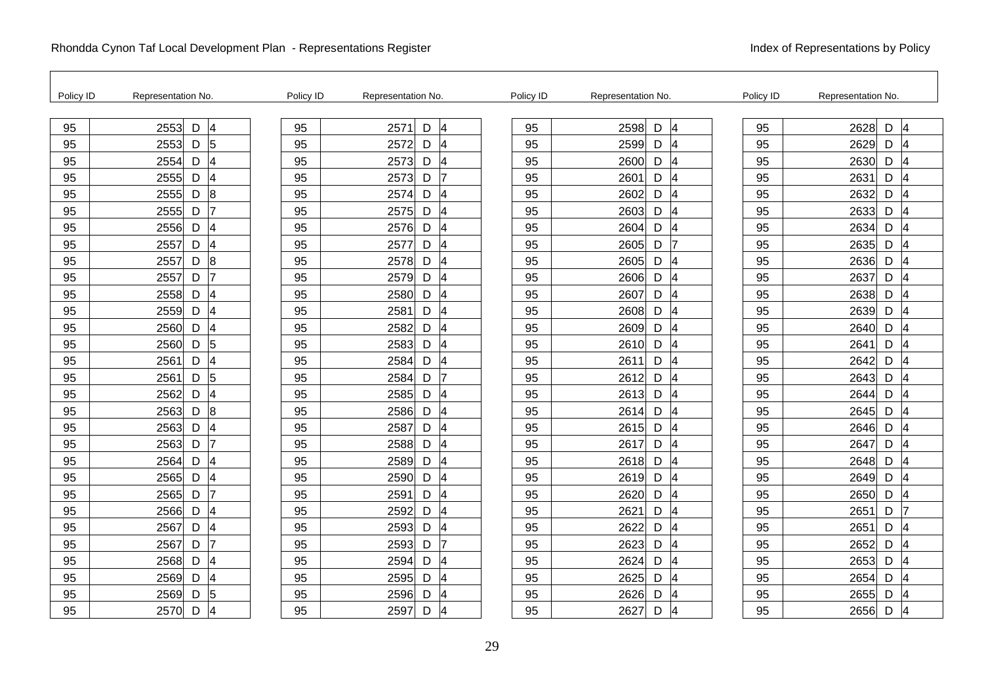| Policy ID | Representation No.                              | Policy ID | Representation No. |                          | Policy ID | Representation No.  |                | Policy ID | Representation No. |                               |  |
|-----------|-------------------------------------------------|-----------|--------------------|--------------------------|-----------|---------------------|----------------|-----------|--------------------|-------------------------------|--|
| 95        | $\overline{4}$<br>2553<br>D                     | 95        | 2571<br>D          | $\overline{4}$           | 95        | 2598<br>D           | 4              | 95        | 2628               | D<br>4                        |  |
| 95        | $\overline{5}$<br>2553<br>D                     | 95        | 2572<br>D          | 4                        | 95        | 2599<br>D           | $\overline{4}$ | 95        | 2629               | D<br>4                        |  |
| 95        | $\overline{\mathbf{4}}$<br>2554<br>D            | 95        | 2573<br>D          | 4                        | 95        | 2600<br>D           | $\overline{4}$ | 95        | 2630               | D<br>$\overline{4}$           |  |
| 95        | D<br>$\overline{\mathbf{4}}$<br>2555            | 95        | 2573<br>D          | 17                       | 95        | 2601<br>D           | 4              | 95        | 2631               | D<br>$\overline{\mathcal{A}}$ |  |
| 95        | $\mathsf D$<br>8<br>2555                        | 95        | 2574<br>D          | 14                       | 95        | D<br>2602           | 4              | 95        | 2632               | D<br>4                        |  |
| 95        | 17<br>2555<br>D                                 | 95        | 2575<br>D          | 14                       | 95        | 2603<br>D           | 4              | 95        | 2633               | D<br>4                        |  |
| 95        | $\overline{\mathcal{A}}$<br>2556<br>$\mathsf D$ | 95        | 2576<br>D          | 4                        | 95        | 2604<br>D           | 4              | 95        | 2634               | D<br>4                        |  |
| 95        | $\overline{\mathcal{A}}$<br>2557<br>D           | 95        | 2577<br>D          | 4                        | 95        | 2605<br>D           | 17             | 95        | 2635               | D<br>$\overline{4}$           |  |
| 95        | 8<br>2557<br>D                                  | 95        | 2578<br>D          | 4                        | 95        | 2605<br>D           | 4              | 95        | 2636               | D<br>4                        |  |
| 95        | 2557<br>D<br>$\overline{7}$                     | 95        | 2579<br>D          | 4                        | 95        | 2606<br>D           | 4              | 95        | 2637               | D<br>4                        |  |
| 95        | 4<br>2558<br>D                                  | 95        | 2580<br>D          | $\overline{\mathcal{A}}$ | 95        | 2607<br>D           | 4              | 95        | 2638               | D<br>4                        |  |
| 95        | D<br>$\overline{\mathcal{A}}$<br>2559           | 95        | 2581<br>D          | 4                        | 95        | 2608<br>D           | 4              | 95        | 2639               | D<br>$\overline{4}$           |  |
| 95        | D<br>4<br>2560                                  | 95        | 2582<br>D          | 4                        | 95        | 2609<br>D           | 4              | 95        | 2640               | D                             |  |
| 95        | 5<br>2560<br>D                                  | 95        | 2583<br>D          | $\overline{4}$           | 95        | 2610<br>D           | $\overline{A}$ | 95        | 2641               | D<br>4                        |  |
| 95        | $\overline{\mathbf{4}}$<br>2561<br>D            | 95        | 2584<br>D          | $\overline{4}$           | 95        | 2611<br>D           | 4              | 95        | 2642               | D<br>4                        |  |
| 95        | 5<br>$\mathsf D$<br>2561                        | 95        | 2584<br>D          | 7                        | 95        | $\mathsf D$<br>2612 | 4              | 95        | 2643               | D<br>4                        |  |
| 95        | 4<br>2562<br>D                                  | 95        | 2585<br>D          | 4                        | 95        | 2613<br>D           | 4              | 95        | 2644               | D                             |  |
| 95        | $\overline{8}$<br>2563<br>D                     | 95        | 2586<br>D          | $\overline{4}$           | 95        | D<br>2614           | 4              | 95        | 2645               | D<br>4                        |  |
| 95        | 4<br>D<br>2563                                  | 95        | D<br>2587          | $\overline{4}$           | 95        | 2615<br>D           | 4              | 95        | 2646               | D<br>4                        |  |
| 95        | D<br>2563                                       | 95        | 2588<br>D          | $\overline{4}$           | 95        | 2617<br>D           | 4              | 95        | 2647               | D<br>4                        |  |
| 95        | D<br>4<br>2564                                  | 95        | 2589<br>D          | 4                        | 95        | 2618<br>D           | 4              | 95        | 2648               | D                             |  |
| 95        | $\overline{\mathcal{A}}$<br>2565<br>D           | 95        | 2590<br>D          | 4                        | 95        | 2619<br>D           | $\overline{A}$ | 95        | 2649               | D<br>4                        |  |
| 95        | 2565<br>D                                       | 95        | 2591<br>D          | $\overline{4}$           | 95        | 2620<br>D           | 4              | 95        | 2650               | D<br>$\overline{\mathcal{A}}$ |  |
| 95        | D<br>4<br>2566                                  | 95        | 2592<br>D          | $\overline{\mathcal{A}}$ | 95        | D<br>2621           | 4              | 95        | 2651               | D                             |  |
| 95        | 4<br>2567<br>D                                  | 95        | 2593<br>D          | 14                       | 95        | 2622<br>D           | $\overline{4}$ | 95        | 2651               | D<br>4                        |  |
| 95        | 2567<br>D                                       | 95        | 2593<br>D          | 17                       | 95        | 2623<br>D           | 4              | 95        | 2652               | D<br>$\overline{4}$           |  |
| 95        | $\overline{\mathcal{A}}$<br>2568<br>D           | 95        | 2594<br>D          | 4                        | 95        | 2624<br>D           | 4              | 95        | 2653               | D<br>$\overline{4}$           |  |
| 95        | $\overline{\mathcal{A}}$<br>D<br>2569           | 95        | 2595<br>D          | $\overline{4}$           | 95        | 2625<br>D           | 4              | 95        | 2654               | D<br>$\overline{4}$           |  |
| 95        | 5<br>2569<br>D                                  | 95        | 2596<br>D          | 14                       | 95        | 2626<br>D           | 4              | 95        | 2655               | D                             |  |
| 95        | 4<br>2570<br>D                                  | 95        | 2597<br>D          | 4                        | 95        | 2627<br>D           | 4              | 95        | 2656               | D<br>$\overline{4}$           |  |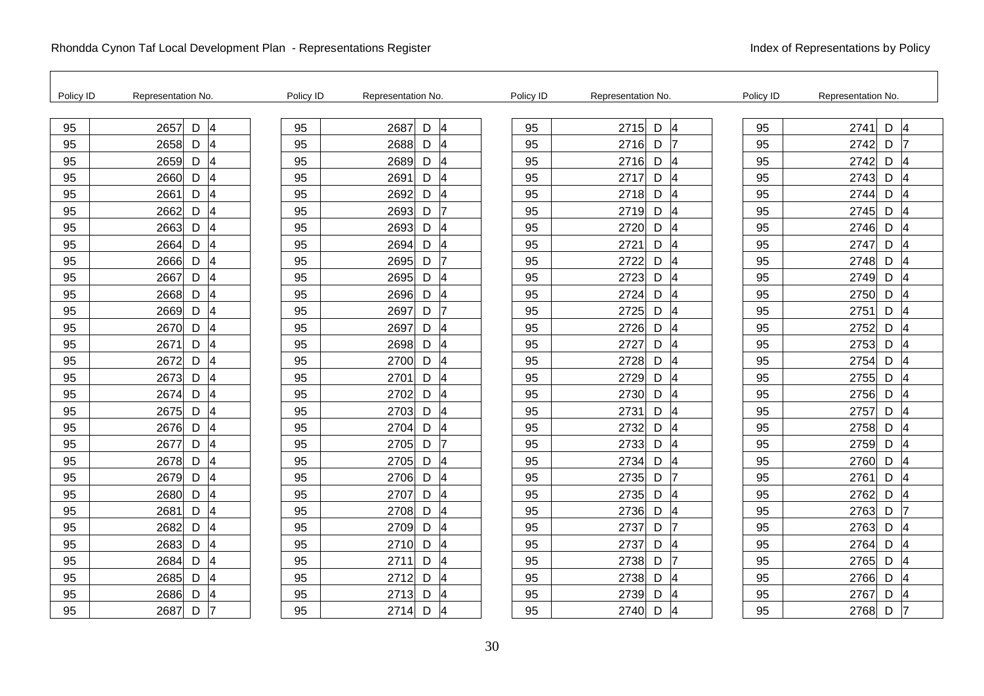| Policy ID | Representation No.                    | Policy ID | Representation No. |                               | Policy ID | Representation No.          | Policy ID | Representation No.          |
|-----------|---------------------------------------|-----------|--------------------|-------------------------------|-----------|-----------------------------|-----------|-----------------------------|
| 95        | 2657<br>D<br>4                        | 95        | 2687               | D<br>$\overline{4}$           | 95        | 2715<br>4<br>D              | 95        | 2741<br>D<br>4              |
| 95        | 2658<br>D<br>$\vert$ 4                | 95        | 2688               | D<br>4                        | 95        | 2716<br>D<br>17             | 95        | 2742<br>D<br>17             |
| 95        | $\overline{4}$<br>2659<br>D           | 95        | 2689               | D<br>$\overline{4}$           | 95        | 4<br>2716<br>D              | 95        | 2742<br>D<br>4              |
| 95        | D<br>$\overline{4}$<br>2660           | 95        | 2691               | D<br>4                        | 95        | D<br>2717<br>14             | 95        | D<br>2743<br>14             |
| 95        | $\overline{4}$<br>D<br>2661           | 95        | 2692               | D<br>4                        | 95        | 2718<br>D<br>4              | 95        | 2744<br>D<br>4              |
| 95        | 2662<br>$D \mid 4$                    | 95        | 2693               | D<br>17                       | 95        | 2719<br>D<br>$\overline{4}$ | 95        | 2745<br>D<br>14             |
| 95        | $\overline{\mathbf{4}}$<br>2663<br>D  | 95        | 2693               | D<br>$\overline{\mathcal{A}}$ | 95        | D<br>4<br>2720              | 95        | 2746<br>D<br>4              |
| 95        | 2664<br>D<br>$\overline{4}$           | 95        | 2694               | D<br>$\overline{\mathcal{A}}$ | 95        | 2721<br>D<br>4              | 95        | D<br>$\overline{A}$<br>2747 |
| 95        | 4<br>2666<br>D                        | 95        | 2695               | D<br>17                       | 95        | 2722<br>D<br>4              | 95        | 2748<br>D<br>4              |
| 95        | 2667<br>D<br>$\vert 4 \vert$          | 95        | 2695               | D<br>14                       | 95        | 2723<br>D<br>$\overline{4}$ | 95        | 2749<br>D<br>14             |
| 95        | $\overline{\mathbf{4}}$<br>2668<br>D  | 95        | 2696               | D<br>4                        | 95        | 4<br>2724<br>D              | 95        | 2750<br>4<br>D              |
| 95        | D<br>2669<br>$\overline{4}$           | 95        | 2697               | D<br>17                       | 95        | 2725<br>D<br>14             | 95        | D<br>2751<br>$\overline{4}$ |
| 95        | D<br>$\overline{\mathbf{4}}$<br>2670  | 95        | 2697               | D<br>4                        | 95        | 2726<br>D<br>4              | 95        | 2752<br>D<br>4              |
| 95        | 2671<br>D<br>$\vert 4 \vert$          | 95        | 2698               | D<br>4                        | 95        | 2727<br>D<br>$\overline{4}$ | 95        | 2753<br>D<br>4              |
| 95        | $\overline{\mathbf{4}}$<br>D<br>2672  | 95        | 2700               | D<br>$\overline{4}$           | 95        | $\overline{4}$<br>2728<br>D | 95        | 2754<br>D<br>4              |
| 95        | 2673<br>D<br>4                        | 95        | 2701               | D<br>$\overline{4}$           | 95        | 2729<br>D<br>4              | 95        | 2755<br>D<br>14             |
| 95        | D<br>4<br>2674                        | 95        | 2702               | D<br>4                        | 95        | 2730<br>D<br>4              | 95        | 2756<br>D<br>14             |
| 95        | 2675<br>D<br>4                        | 95        | 2703               | D<br>$\overline{4}$           | 95        | 2731<br>D<br>$\overline{4}$ | 95        | 2757<br>D<br>4              |
| 95        | $\overline{\mathbf{4}}$<br>2676<br>D  | 95        | 2704               | D<br>$\overline{4}$           | 95        | $\overline{4}$<br>2732<br>D | 95        | 2758<br>D<br>4              |
| 95        | 2677<br>D<br>4                        | 95        | 2705               | D<br>7                        | 95        | 2733<br>D<br>4              | 95        | 2759<br>D<br>4              |
| 95        | 2678<br>D<br>4                        | 95        | 2705               | D<br>4                        | 95        | 2734<br>D<br>4              | 95        | 2760<br>D<br>4              |
| 95        | 2679<br>D<br>4                        | 95        | 2706               | D<br>$\overline{\mathcal{A}}$ | 95        | 2735<br>D<br>17             | 95        | 2761<br>$\mathsf D$<br>14   |
| 95        | $\overline{\mathbf{4}}$<br>D<br>2680  | 95        | 2707               | D<br>$\overline{4}$           | 95        | D<br>$\overline{4}$<br>2735 | 95        | $\mathsf D$<br>2762<br>4    |
| 95        | D<br>$\overline{4}$<br>2681           | 95        | 2708               | D<br>$\overline{4}$           | 95        | 2736<br>D<br>4              | 95        | 17<br>2763<br>D             |
| 95        | $\overline{\mathcal{A}}$<br>2682<br>D | 95        | 2709               | D<br>4                        | 95        | 2737<br>D<br>17             | 95        | 2763<br>D<br>14             |
| 95        | 2683<br>4<br>D                        | 95        | 2710               | D<br>$\overline{4}$           | 95        | 2737<br>4<br>D              | 95        | 2764<br>D<br>4              |
| 95        | $\overline{\mathbf{4}}$<br>2684<br>D  | 95        | 2711               | D<br>$\overline{4}$           | 95        | 2738<br>17<br>D             | 95        | 2765<br>D<br>4              |
| 95        | D<br>$\overline{\mathcal{A}}$<br>2685 | 95        | 2712               | D<br>4                        | 95        | D<br>2738<br>4              | 95        | 2766<br>D<br>4              |
| 95        | 2686<br>D<br>4                        | 95        | 2713               | D<br>4                        | 95        | 2739<br>D<br>4              | 95        | 2767<br>D<br>4              |
| 95        | D<br>2687                             | 95        | 2714               | D<br>$\overline{4}$           | 95        | 2740<br>D<br>4              | 95        | D<br>2768<br>17             |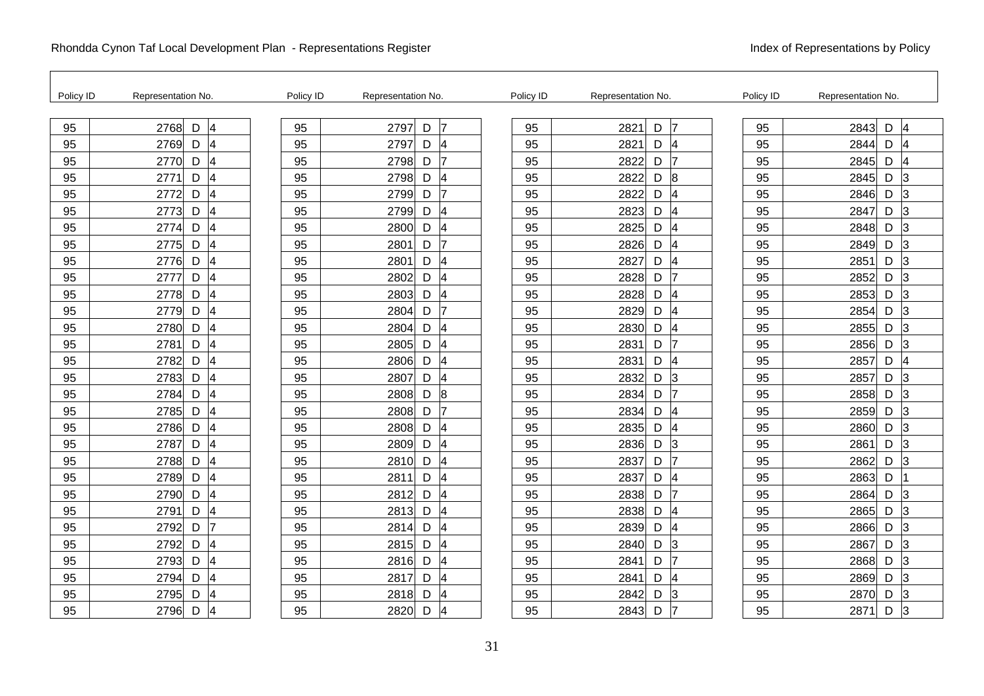| Policy ID | Representation No.                              | Policy ID | Representation No.          | Policy ID | Representation No.                   | Policy ID | Representation No.          |
|-----------|-------------------------------------------------|-----------|-----------------------------|-----------|--------------------------------------|-----------|-----------------------------|
| 95        | 4<br>D<br>2768                                  | 95        | 2797<br>D<br>17             | 95        | D<br>17<br>2821                      | 95        | D<br>2843<br>$\overline{4}$ |
| 95        | 4<br>2769<br>D                                  | 95        | 2797<br>D<br>4              | 95        | 2821<br>D<br>4                       | 95        | 2844<br>D<br>4              |
| 95        | $\overline{\mathbf{4}}$<br>2770<br>D            | 95        | 2798<br>17<br>D             | 95        | 2822<br>D<br>17                      | 95        | 2845<br>D<br>4              |
| 95        | $\overline{\mathbf{4}}$<br>2771<br>D            | 95        | 2798<br>D<br>$\overline{4}$ | 95        | $\boldsymbol{8}$<br>2822<br>D        | 95        | 2845<br>D<br>3              |
| 95        | $\mathsf D$<br>$\overline{\mathbf{4}}$<br>2772  | 95        | 17<br>2799<br>D             | 95        | 4<br>D<br>2822                       | 95        | 2846<br>D<br>3              |
| 95        | D<br>4<br>2773                                  | 95        | 2799<br>D<br>14             | 95        | D<br>2823<br>4                       | 95        | D<br>2847<br>3              |
| 95        | 2774<br>$\overline{\mathcal{A}}$<br>D           | 95        | 2800<br>D<br>$\overline{4}$ | 95        | 4<br>2825<br>D                       | 95        | 2848<br>D<br>3              |
| 95        | $\overline{\mathbf{4}}$<br>2775<br>D            | 95        | 17<br>2801<br>D             | 95        | 4<br>2826<br>D                       | 95        | $\overline{3}$<br>D<br>2849 |
| 95        | D<br>$\overline{\mathbf{4}}$<br>2776            | 95        | D<br>2801<br>$\overline{4}$ | 95        | 4<br>D<br>2827                       | 95        | 2851<br>D<br>3              |
| 95        | $\overline{\mathbf{4}}$<br>D<br>2777            | 95        | 2802<br>D<br>$\overline{4}$ | 95        | 2828<br>D                            | 95        | 2852<br>D<br>3              |
| 95        | 2778<br>$\overline{\mathbf{4}}$<br>D            | 95        | 2803<br>$\overline{4}$<br>D | 95        | 2828<br>4<br>D                       | 95        | 2853<br>D<br>3              |
| 95        | $\overline{\mathbf{4}}$<br>D<br>2779            | 95        | 2804<br>D<br>7              | 95        | $\overline{\mathbf{4}}$<br>2829<br>D | 95        | $\mathsf D$<br>2854<br>3    |
| 95        | $\overline{\mathcal{A}}$<br>$\mathsf D$<br>2780 | 95        | 2804<br>D<br>$\overline{4}$ | 95        | 4<br>D<br>2830                       | 95        | 2855<br>D<br>3              |
| 95        | D<br>4<br>2781                                  | 95        | 2805<br>D<br>14             | 95        | 2831<br>D                            | 95        | 2856<br>D<br>3              |
| 95        | 2782<br>$\mathsf D$<br>$\overline{\mathcal{A}}$ | 95        | 2806<br>D<br>$\overline{4}$ | 95        | 2831<br>D<br>4                       | 95        | 2857<br>D<br>14             |
| 95        | D<br>$\overline{\mathcal{A}}$<br>2783           | 95        | 2807<br>D<br>$\overline{4}$ | 95        | D<br>3<br>2832                       | 95        | D<br>2857<br>3              |
| 95        | D<br>$\overline{\mathcal{A}}$<br>2784           | 95        | D<br>8<br>2808              | 95        | D<br>2834<br>17                      | 95        | $\mathsf D$<br>3<br>2858    |
| 95        | $\overline{4}$<br>2785<br>D                     | 95        | 2808<br>D<br>17             | 95        | 2834<br>D<br>4                       | 95        | 2859<br>D<br>13             |
| 95        | $\overline{\mathcal{A}}$<br>2786<br>$\mathsf D$ | 95        | 2808<br>$\overline{4}$<br>D | 95        | 2835<br>D<br>4                       | 95        | 2860<br>D<br>$\overline{3}$ |
| 95        | $\overline{\mathcal{A}}$<br>2787<br>D           | 95        | 2809<br>D<br>$\overline{4}$ | 95        | 3<br>2836<br>D                       | 95        | $\mathsf D$<br>2861<br>3    |
| 95        | $\overline{\mathcal{A}}$<br>D<br>2788           | 95        | D<br>2810<br>$\overline{4}$ | 95        | D<br>2837<br>17                      | 95        | 2862<br>D<br>3              |
| 95        | $\overline{4}$<br>2789<br>D                     | 95        | 2811<br>D<br>14             | 95        | 2837<br>D<br>4                       | 95        | 2863<br>D                   |
| 95        | 2790<br>$\mathsf D$<br>4                        | 95        | 2812<br>D<br>$\overline{4}$ | 95        | 2838<br>D<br>17                      | 95        | 2864<br>D<br>3              |
| 95        | D<br>4<br>2791                                  | 95        | D<br>2813<br>$\overline{4}$ | 95        | D<br>2838<br>4                       | 95        | $\mathsf D$<br>3<br>2865    |
| 95        | D<br>2792                                       | 95        | D<br>$\overline{4}$<br>2814 | 95        | D<br>4<br>2839                       | 95        | $\mathsf D$<br>3<br>2866    |
| 95        | 2792<br>4<br>D                                  | 95        | D<br>2815<br>4              | 95        | 3<br>2840<br>D                       | 95        | 2867<br>D<br>$\overline{3}$ |
| 95        | $\overline{\mathcal{A}}$<br>2793<br>D           | 95        | $\overline{4}$<br>2816<br>D | 95        | D<br>17<br>2841                      | 95        | 2868<br>D<br>3              |
| 95        | $\overline{\mathcal{A}}$<br>2794<br>D           | 95        | 2817<br>D<br>$\overline{4}$ | 95        | 2841<br>D<br>4                       | 95        | D<br>3<br>2869              |
| 95        | D<br>$\overline{\mathcal{A}}$<br>2795           | 95        | 2818<br>D<br>$\overline{4}$ | 95        | 2842<br>D<br>3                       | 95        | 2870<br>D<br>3              |
| 95        | D<br>4<br>2796                                  | 95        | 2820<br>D<br> 4             | 95        | 2843<br>D                            | 95        | D<br>2871<br>3              |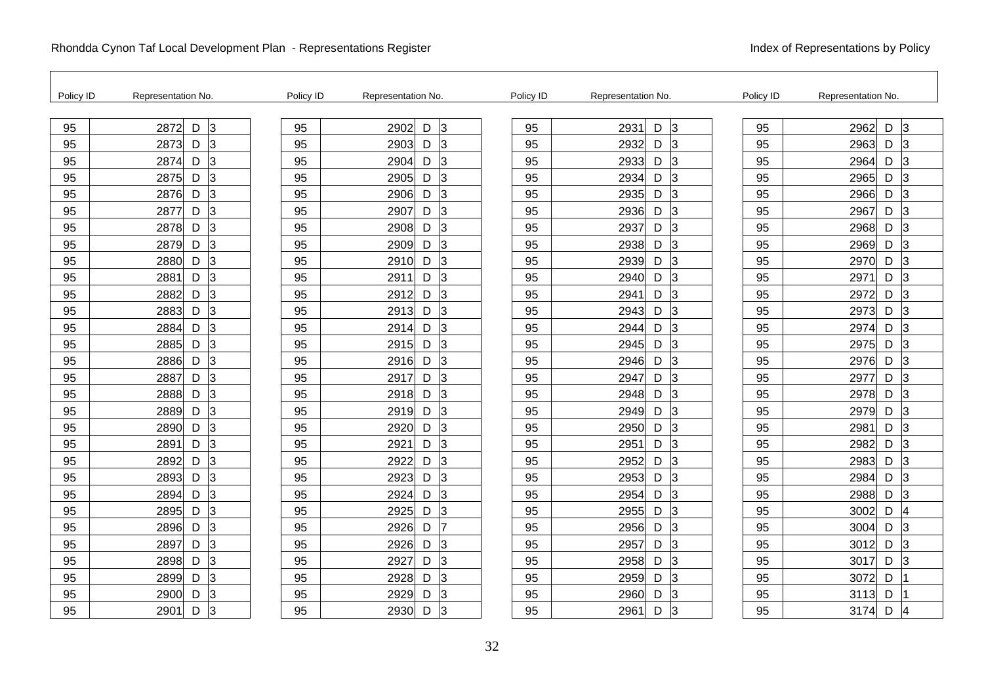| Policy ID | Representation No. | Policy ID | Representation No. | Policy ID | Representation No.          | Policy ID | Representation No.          |
|-----------|--------------------|-----------|--------------------|-----------|-----------------------------|-----------|-----------------------------|
| 95        | l3<br>D<br>2872    | 95        | D<br>3<br>2902     | 95        | D<br>lЗ<br>2931             | 95        | lЗ<br>2962<br>D             |
| 95        | 3<br>2873<br>D     | 95        | 3<br>2903<br>D     | 95        | 3<br>2932<br>D              | 95        | 2963<br>D<br>3              |
| 95        | 3<br>2874<br>D     | 95        | 3<br>2904<br>D     | 95        | 2933<br>D<br>$\overline{3}$ | 95        | 2964<br>D<br>3              |
| 95        | 3<br>2875<br>D     | 95        | 3<br>2905<br>D     | 95        | 3<br>D<br>2934              | 95        | D<br>3<br>2965              |
| 95        | 3<br>D<br>2876     | 95        | 3<br>2906<br>D     | 95        | 2935<br>D<br>3              | 95        | 3<br>2966<br>D              |
| 95        | 3<br>2877<br>D     | 95        | 3<br>2907<br>D     | 95        | 2936<br>D<br>3              | 95        | 2967<br>D<br>13             |
| 95        | 3<br>2878<br>D     | 95        | 3<br>2908<br>D     | 95        | 2937<br>D<br>3              | 95        | 2968<br>3<br>D              |
| 95        | 3<br>2879<br>D     | 95        | 3<br>2909<br>D     | 95        | 3<br>2938<br>D              | 95        | 3<br>2969<br>D              |
| 95        | 3<br>D<br>2880     | 95        | 2910<br>3<br>D     | 95        | D<br>2939<br>3              | 95        | 3<br>2970<br>D              |
| 95        | 3<br>2881<br>D     | 95        | 3<br>2911<br>D     | 95        | 2940<br>D<br>3              | 95        | 2971<br>D<br>3              |
| 95        | 3<br>2882<br>D     | 95        | 2912<br>3<br>D     | 95        | 2941<br>D<br>3              | 95        | 2972<br>D<br>3              |
| 95        | 3<br>2883<br>D     | 95        | 3<br>2913<br>D     | 95        | 2943<br>D<br>3              | 95        | D<br>2973<br>3              |
| 95        | 3<br>D<br>2884     | 95        | 3<br>2914<br>D     | 95        | 2944<br>D<br>3              | 95        | 2974<br>D<br>3              |
| 95        | 3<br>2885<br>D     | 95        | 2915<br>3<br>D     | 95        | 2945<br>D<br>3              | 95        | 2975<br>D<br>3              |
| 95        | 3<br>2886<br>D     | 95        | 2916<br>3<br>D     | 95        | 3<br>2946<br>D              | 95        | 2976<br>D<br>3              |
| 95        | 3<br>2887<br>D     | 95        | 3<br>2917<br>D     | 95        | 2947<br>D<br>3              | 95        | 2977<br>D<br>3              |
| 95        | 3<br>D<br>2888     | 95        | 3<br>2918<br>D     | 95        | 2948<br>D<br>3              | 95        | 2978<br>D<br>3              |
| 95        | 3<br>2889<br>D     | 95        | 2919<br>3<br>D     | 95        | 2949<br>D<br>3              | 95        | 2979<br>D<br>3              |
| 95        | l3<br>2890<br>D    | 95        | 2920<br>3<br>D     | 95        | lЗ<br>2950<br>D             | 95        | 2981<br>$\overline{3}$<br>D |
| 95        | 3<br>2891<br>D     | 95        | 2921<br>3<br>D     | 95        | D<br>3<br>2951              | 95        | 2982<br>D<br>3              |
| 95        | 3<br>2892<br>D     | 95        | 2922<br>D<br>3     | 95        | 2952<br>D<br>3              | 95        | 2983<br>3<br>D              |
| 95        | 3<br>2893<br>D     | 95        | 2923<br>3<br>D     | 95        | 2953<br>D<br>3              | 95        | 2984<br>D<br>13             |
| 95        | 3<br>2894<br>D     | 95        | 2924<br>3<br>D     | 95        | 2954<br>D<br>3              | 95        | 2988<br>3<br>D              |
| 95        | 3<br>2895<br>D     | 95        | 3<br>2925<br>D     | 95        | D<br>3<br>2955              | 95        | D<br>3002<br>$\overline{4}$ |
| 95        | 3<br>2896<br>D     | 95        | 2926<br>D<br>17    | 95        | D<br>3<br>2956              | 95        | 3<br>3004<br>D              |
| 95        | 3<br>2897<br>D     | 95        | 2926<br>D<br>13    | 95        | 2957<br>D<br>IЗ             | 95        | 3012<br>D<br>13             |
| 95        | 3<br>2898<br>D     | 95        | 2927<br>3<br>D     | 95        | 2958<br>D<br>3              | 95        | 3017<br>3<br>D              |
| 95        | 3<br>2899<br>D     | 95        | 3<br>2928<br>D     | 95        | D<br>3<br>2959              | 95        | 3072<br>D                   |
| 95        | D<br>3<br>2900     | 95        | 2929<br>D<br>3     | 95        | 2960<br>D<br>3              | 95        | 3113<br>D                   |
| 95        | 3<br>2901<br>D     | 95        | 2930<br>3<br>D     | 95        | 2961<br>D<br>3              | 95        | 3174<br>D<br>14             |